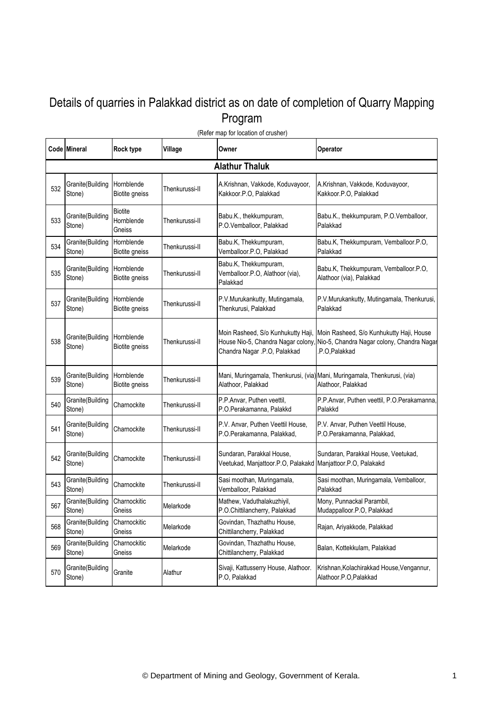## Details of quarries in Palakkad district as on date of completion of Quarry Mapping Program

|     | Code Mineral               | <b>Rock type</b>                       | Village        | Owner                                                                                    | Operator                                                                                                                                   |  |  |  |  |
|-----|----------------------------|----------------------------------------|----------------|------------------------------------------------------------------------------------------|--------------------------------------------------------------------------------------------------------------------------------------------|--|--|--|--|
|     | <b>Alathur Thaluk</b>      |                                        |                |                                                                                          |                                                                                                                                            |  |  |  |  |
| 532 | Granite(Building<br>Stone) | Hornblende<br><b>Biotite gneiss</b>    | Thenkurussi-II | A.Krishnan, Vakkode, Koduvayoor,<br>Kakkoor.P.O, Palakkad                                | A.Krishnan, Vakkode, Koduvayoor,<br>Kakkoor.P.O, Palakkad                                                                                  |  |  |  |  |
| 533 | Granite(Building<br>Stone) | <b>Biotite</b><br>Hornblende<br>Gneiss | Thenkurussi-II | Babu.K., thekkumpuram,<br>P.O.Vemballoor, Palakkad                                       | Babu.K., thekkumpuram, P.O.Vemballoor,<br>Palakkad                                                                                         |  |  |  |  |
| 534 | Granite(Building<br>Stone) | Hornblende<br><b>Biotite gneiss</b>    | Thenkurussi-II | Babu.K, Thekkumpuram,<br>Vemballoor.P.O, Palakkad                                        | Babu.K, Thekkumpuram, Vemballoor.P.O,<br>Palakkad                                                                                          |  |  |  |  |
| 535 | Granite(Building<br>Stone) | Hornblende<br><b>Biotite gneiss</b>    | Thenkurussi-II | Babu.K, Thekkumpuram,<br>Vemballoor.P.O, Alathoor (via),<br>Palakkad                     | Babu.K, Thekkumpuram, Vemballoor.P.O,<br>Alathoor (via), Palakkad                                                                          |  |  |  |  |
| 537 | Granite(Building<br>Stone) | Hornblende<br><b>Biotite gneiss</b>    | Thenkurussi-II | P.V.Murukankutty, Mutingamala,<br>Thenkurusi, Palakkad                                   | P.V.Murukankutty, Mutingamala, Thenkurusi,<br>Palakkad                                                                                     |  |  |  |  |
| 538 | Granite(Building<br>Stone) | Hornblende<br>Biotite gneiss           | Thenkurussi-II | House Nio-5, Chandra Nagar colony,<br>Chandra Nagar .P.O, Palakkad                       | Moin Rasheed, S/o Kunhukutty Haji, Moin Rasheed, S/o Kunhukutty Haji, House<br>Nio-5, Chandra Nagar colony, Chandra Nagar<br>.P.O,Palakkad |  |  |  |  |
| 539 | Granite(Building<br>Stone) | Hornblende<br><b>Biotite gneiss</b>    | Thenkurussi-II | Alathoor, Palakkad                                                                       | Mani, Muringamala, Thenkurusi, (via) Mani, Muringamala, Thenkurusi, (via)<br>Alathoor, Palakkad                                            |  |  |  |  |
| 540 | Granite(Building<br>Stone) | Charnockite                            | Thenkurussi-II | P.P.Anvar, Puthen veettil,<br>P.O.Perakamanna, Palakkd                                   | P.P.Anvar, Puthen veettil, P.O.Perakamanna,<br>Palakkd                                                                                     |  |  |  |  |
| 541 | Granite(Building<br>Stone) | Charnockite                            | Thenkurussi-II | P.V. Anvar, Puthen Veettil House,<br>P.O.Perakamanna, Palakkad,                          | P.V. Anvar, Puthen Veettil House,<br>P.O.Perakamanna, Palakkad,                                                                            |  |  |  |  |
| 542 | Granite(Building<br>Stone) | Charnockite                            | Thenkurussi-II | Sundaran, Parakkal House,<br>Veetukad, Manjattoor.P.O, Palakakd Manjattoor.P.O, Palakakd | Sundaran, Parakkal House, Veetukad,                                                                                                        |  |  |  |  |
| 543 | Granite(Building<br>Stone) | Charnockite                            | Thenkurussi-II | Sasi moothan, Muringamala,<br>Vemballoor, Palakkad                                       | Sasi moothan, Muringamala, Vemballoor,<br>Palakkad                                                                                         |  |  |  |  |
| 567 | Granite(Building<br>Stone) | Charnockitic<br>Gneiss                 | Melarkode      | Mathew, Vaduthalakuzhiyil,<br>P.O.Chittilancherry, Palakkad                              | Mony, Punnackal Parambil,<br>Mudappalloor.P.O, Palakkad                                                                                    |  |  |  |  |
| 568 | Granite(Building<br>Stone) | Charnockitic<br>Gneiss                 | Melarkode      | Govindan, Thazhathu House,<br>Chittilancherry, Palakkad                                  | Rajan, Ariyakkode, Palakkad                                                                                                                |  |  |  |  |
| 569 | Granite(Building<br>Stone) | Charnockitic<br>Gneiss                 | Melarkode      | Govindan, Thazhathu House,<br>Chittilancherry, Palakkad                                  | Balan, Kottekkulam, Palakkad                                                                                                               |  |  |  |  |
| 570 | Granite(Building<br>Stone) | Granite                                | Alathur        | Sivaji, Kattusserry House, Alathoor.<br>P.O, Palakkad                                    | Krishnan, Kolachirakkad House, Vengannur,<br>Alathoor.P.O,Palakkad                                                                         |  |  |  |  |

(Refer map for location of crusher)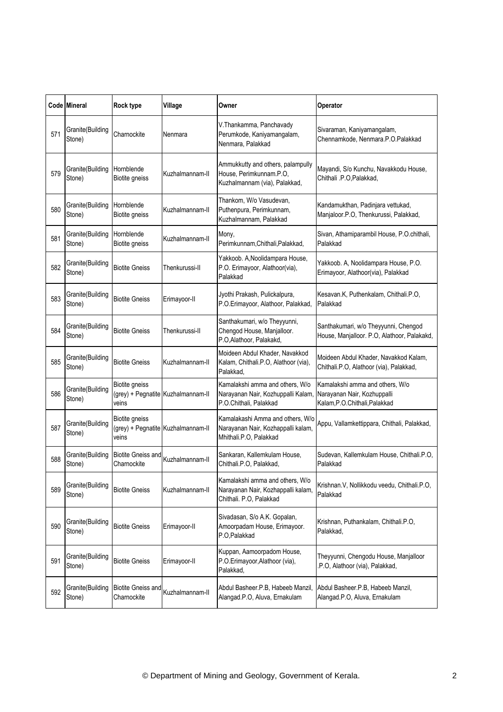|     | Code Mineral               | Rock type                                | Village                            | Owner                                                                                            | Operator                                                                                         |
|-----|----------------------------|------------------------------------------|------------------------------------|--------------------------------------------------------------------------------------------------|--------------------------------------------------------------------------------------------------|
| 571 | Granite(Building<br>Stone) | Charnockite                              | Nenmara                            | V.Thankamma, Panchavady<br>Perumkode, Kaniyamangalam,<br>Nenmara, Palakkad                       | Sivaraman, Kaniyamangalam,<br>Chennamkode, Nenmara.P.O.Palakkad                                  |
| 579 | Granite(Building<br>Stone) | Hornblende<br>Biotite gneiss             | Kuzhalmannam-II                    | Ammukkutty and others, palampully<br>House, Perimkunnam.P.O,<br>Kuzhalmannam (via), Palakkad,    | Mayandi, S/o Kunchu, Navakkodu House,<br>Chithali .P.O, Palakkad,                                |
| 580 | Granite(Building<br>Stone) | Hornblende<br>Biotite gneiss             | Kuzhalmannam-II                    | Thankom, W/o Vasudevan,<br>Puthenpura, Perimkunnam,<br>Kuzhalmannam, Palakkad                    | Kandamukthan, Padinjara vettukad,<br>Manjaloor.P.O, Thenkurussi, Palakkad,                       |
| 581 | Granite(Building<br>Stone) | Hornblende<br>Biotite gneiss             | Kuzhalmannam-II                    | Mony,<br>Perimkunnam, Chithali, Palakkad,                                                        | Sivan, Athamiparambil House, P.O.chithali,<br>Palakkad                                           |
| 582 | Granite(Building<br>Stone) | <b>Biotite Gneiss</b>                    | Thenkurussi-II                     | Yakkoob. A, Noolidampara House,<br>P.O. Erimayoor, Alathoor(via),<br>Palakkad                    | Yakkoob. A, Noolidampara House, P.O.<br>Erimayoor, Alathoor(via), Palakkad                       |
| 583 | Granite(Building<br>Stone) | <b>Biotite Gneiss</b>                    | Erimayoor-II                       | Jyothi Prakash, Pulickalpura,<br>P.O.Erimayoor, Alathoor, Palakkad,                              | Kesavan.K, Puthenkalam, Chithali.P.O,<br>Palakkad                                                |
| 584 | Granite(Building<br>Stone) | <b>Biotite Gneiss</b>                    | Thenkurussi-II                     | Santhakumari, w/o Theyyunni,<br>Chengod House, Manjalloor.<br>P.O, Alathoor, Palakakd,           | Santhakumari, w/o Theyyunni, Chengod<br>House, Manjalloor. P.O, Alathoor, Palakakd,              |
| 585 | Granite(Building<br>Stone) | <b>Biotite Gneiss</b>                    | Kuzhalmannam-II                    | Moideen Abdul Khader, Navakkod<br>Kalam, Chithali.P.O, Alathoor (via),<br>Palakkad.              | Moideen Abdul Khader, Navakkod Kalam,<br>Chithali.P.O, Alathoor (via), Palakkad,                 |
| 586 | Granite(Building<br>Stone) | Biotite gneiss<br>veins                  | (grey) + Pegnatite Kuzhalmannam-II | Kamalakshi amma and others, W/o<br>Narayanan Nair, Kozhuppalli Kalam,<br>P.O.Chithali, Palakkad  | Kamalakshi amma and others, W/o<br>Narayanan Nair, Kozhuppalli<br>Kalam, P.O. Chithali, Palakkad |
| 587 | Granite(Building<br>Stone) | Biotite gneiss<br>veins                  | (grey) + Pegnatite Kuzhalmannam-II | Kamalakashi Amma and others, W/o<br>Narayanan Nair, Kozhappalli kalam,<br>Mhithali.P.O, Palakkad | Appu, Vallamkettippara, Chithali, Palakkad,                                                      |
| 588 | Granite(Building<br>Stone) | <b>Biotite Gneiss and</b><br>Charnockite | Kuzhalmannam-II                    | Sankaran, Kallemkulam House,<br>Chithali.P.O, Palakkad,                                          | Sudevan, Kallemkulam House, Chithali.P.O,<br>Palakkad                                            |
| 589 | Granite(Building<br>Stone) | <b>Biotite Gneiss</b>                    | Kuzhalmannam-II                    | Kamalakshi amma and others, W/o<br>Narayanan Nair, Kozhappalli kalam,<br>Chithali. P.O, Palakkad | Krishnan.V, Nollikkodu veedu, Chithali.P.O,<br>Palakkad                                          |
| 590 | Granite(Building<br>Stone) | <b>Biotite Gneiss</b>                    | Erimayoor-II                       | Sivadasan, S/o A.K. Gopalan,<br>Amoorpadam House, Erimayoor.<br>P.O, Palakkad                    | Krishnan, Puthankalam, Chithali.P.O,<br>Palakkad,                                                |
| 591 | Granite(Building<br>Stone) | <b>Biotite Gneiss</b>                    | Erimayoor-II                       | Kuppan, Aamoorpadom House,<br>P.O.Erimayoor,Alathoor (via),<br>Palakkad,                         | Theyyunni, Chengodu House, Manjalloor<br>.P.O, Alathoor (via), Palakkad,                         |
| 592 | Granite(Building<br>Stone) | <b>Biotite Gneiss and</b><br>Charnockite | Kuzhalmannam-II                    | Abdul Basheer.P.B, Habeeb Manzil,<br>Alangad.P.O, Aluva, Ernakulam                               | Abdul Basheer.P.B, Habeeb Manzil,<br>Alangad.P.O, Aluva, Ernakulam                               |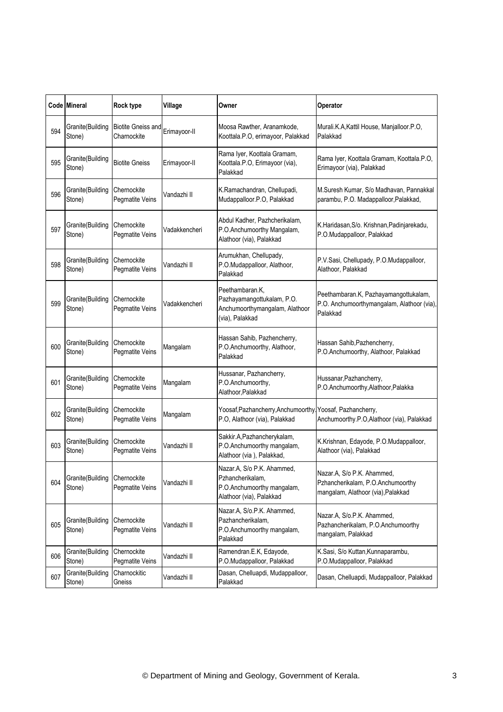|     | Code Mineral               | Rock type                                | Village       | Owner                                                                                                    | Operator                                                                                              |
|-----|----------------------------|------------------------------------------|---------------|----------------------------------------------------------------------------------------------------------|-------------------------------------------------------------------------------------------------------|
| 594 | Granite(Building<br>Stone) | <b>Biotite Gneiss and</b><br>Charnockite | Erimayoor-II  | Moosa Rawther, Aranamkode,<br>Koottala.P.O, erimayoor, Palakkad                                          | Murali.K.A, Kattil House, Manjalloor.P.O,<br>Palakkad                                                 |
| 595 | Granite(Building<br>Stone) | <b>Biotite Gneiss</b>                    | Erimayoor-II  | Rama Iyer, Koottala Gramam,<br>Koottala.P.O, Erimayoor (via),<br>Palakkad                                | Rama Iyer, Koottala Gramam, Koottala.P.O,<br>Erimayoor (via), Palakkad                                |
| 596 | Granite(Building<br>Stone) | Chernockite<br>Pegmatite Veins           | Vandazhi II   | K.Ramachandran, Chellupadi,<br>Mudappalloor.P.O, Palakkad                                                | M.Suresh Kumar, S/o Madhavan, Pannakkal<br>parambu, P.O. Madappalloor, Palakkad,                      |
| 597 | Granite(Building<br>Stone) | Chernockite<br>Pegmatite Veins           | Vadakkencheri | Abdul Kadher, Pazhcherikalam,<br>P.O.Anchumoorthy Mangalam,<br>Alathoor (via), Palakkad                  | K.Haridasan, S/o. Krishnan, Padinjarekadu,<br>P.O.Mudappalloor, Palakkad                              |
| 598 | Granite(Building<br>Stone) | Chernockite<br>Pegmatite Veins           | Vandazhi II   | Arumukhan, Chellupady,<br>P.O.Mudappalloor, Alathoor,<br>Palakkad                                        | P.V.Sasi, Chellupady, P.O.Mudappalloor,<br>Alathoor, Palakkad                                         |
| 599 | Granite(Building<br>Stone) | Chernockite<br>Pegmatite Veins           | Vadakkencheri | Peethambaran.K,<br>Pazhayamangottukalam, P.O.<br>Anchumoorthymangalam, Alathoor<br>(via), Palakkad       | Peethambaran.K, Pazhayamangottukalam,<br>P.O. Anchumoorthymangalam, Alathoor (via),<br>Palakkad       |
| 600 | Granite(Building<br>Stone) | Chernockite<br>Pegmatite Veins           | Mangalam      | Hassan Sahib, Pazhencherry,<br>P.O.Anchumoorthy, Alathoor,<br>Palakkad                                   | Hassan Sahib, Pazhencherry,<br>P.O.Anchumoorthy, Alathoor, Palakkad                                   |
| 601 | Granite(Building<br>Stone) | Chernockite<br>Pegmatite Veins           | Mangalam      | Hussanar, Pazhancherry,<br>P.O.Anchumoorthy,<br>Alathoor, Palakkad                                       | Hussanar, Pazhancherry,<br>P.O.Anchumoorthy,Alathoor,Palakka                                          |
| 602 | Granite(Building<br>Stone) | Chernockite<br>Pegmatite Veins           | Mangalam      | Yoosaf, Pazhancherry, Anchumoorthy, Yoosaf, Pazhancherry,<br>P.O, Alathoor (via), Palakkad               | Anchumoorthy.P.O,Alathoor (via), Palakkad                                                             |
| 603 | Granite(Building<br>Stone) | Chernockite<br>Pegmatite Veins           | Vandazhi II   | Sakkir.A, Pazhancherykalam,<br>P.O.Anchumoorthy mangalam,<br>Alathoor (via), Palakkad,                   | K.Krishnan, Edayode, P.O.Mudappalloor,<br>Alathoor (via), Palakkad                                    |
| 604 | Granite(Building<br>Stone) | Chernockite<br>Pegmatite Veins           | Vandazhi II   | Nazar.A, S/o P.K. Ahammed.<br>Pzhancherikalam,<br>P.O.Anchumoorthy mangalam,<br>Alathoor (via), Palakkad | Nazar.A, S/o P.K. Ahammed,<br>Pzhancherikalam, P.O.Anchumoorthy<br>mangalam, Alathoor (via), Palakkad |
| 605 | Granite(Building<br>Stone) | Chernockite<br>Pegmatite Veins           | Vandazhi II   | Nazar.A, S/o.P.K. Ahammed,<br>Pazhancherikalam,<br>P.O.Anchumoorthy mangalam,<br>Palakkad                | Nazar.A, S/o.P.K. Ahammed,<br>Pazhancherikalam, P.O.Anchumoorthy<br>mangalam, Palakkad                |
| 606 | Granite(Building<br>Stone) | Chernockite<br>Pegmatite Veins           | Vandazhi II   | Ramendran.E.K, Edayode,<br>P.O.Mudappalloor, Palakkad                                                    | K.Sasi, S/o Kuttan, Kunnaparambu,<br>P.O.Mudappalloor, Palakkad                                       |
| 607 | Granite(Building<br>Stone) | Charnockitic<br>Gneiss                   | Vandazhi II   | Dasan, Chelluapdi, Mudappalloor,<br>Palakkad                                                             | Dasan, Chelluapdi, Mudappalloor, Palakkad                                                             |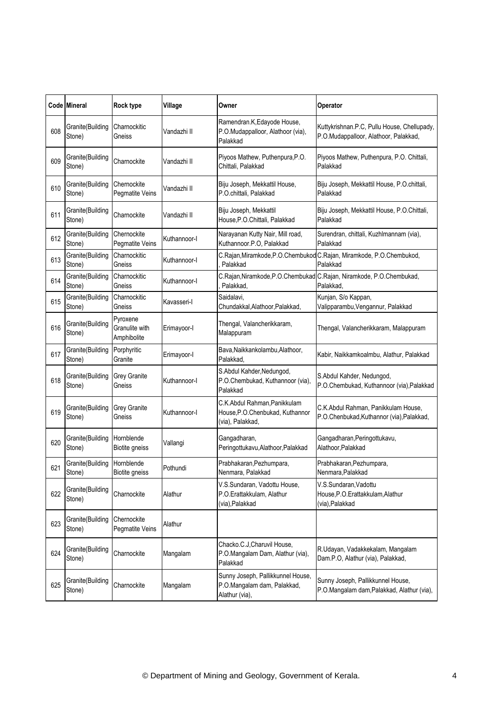|     | Code Mineral               | Rock type                                 | Village      | Owner                                                                                | Operator                                                                             |
|-----|----------------------------|-------------------------------------------|--------------|--------------------------------------------------------------------------------------|--------------------------------------------------------------------------------------|
| 608 | Granite(Building<br>Stone) | Charnockitic<br>Gneiss                    | √andazhi II  | Ramendran.K, Edayode House,<br>P.O.Mudappalloor, Alathoor (via),<br>Palakkad         | Kuttykrishnan.P.C, Pullu House, Chellupady,<br>P.O.Mudappalloor, Alathoor, Palakkad, |
| 609 | Granite(Building<br>Stone) | Charnockite                               | Vandazhi II  | Piyoos Mathew, Puthenpura, P.O.<br>Chittali, Palakkad                                | Piyoos Mathew, Puthenpura, P.O. Chittali,<br>Palakkad                                |
| 610 | Granite(Building<br>Stone) | Chernockite<br>Pegmatite Veins            | √andazhi II  | Biju Joseph, Mekkattil House,<br>P.O.chittali, Palakkad                              | Biju Joseph, Mekkattil House, P.O.chittali,<br>Palakkad                              |
| 611 | Granite(Building<br>Stone) | Charnockite                               | √andazhi II  | Biju Joseph, Mekkattil<br>House, P.O. Chittali, Palakkad                             | Biju Joseph, Mekkattil House, P.O.Chittali,<br>Palakkad                              |
| 612 | Granite(Building<br>Stone) | Chernockite<br>Pegmatite Veins            | Kuthannoor-I | Narayanan Kutty Nair, Mill road,<br>Kuthannoor.P.O, Palakkad                         | Surendran, chittali, Kuzhlmannam (via),<br>Palakkad                                  |
| 613 | Granite(Building<br>Stone) | Charnockitic<br>Gneiss                    | Kuthannoor-I | Palakkad                                                                             | C.Rajan, Miramkode, P.O.Chembukod C.Rajan, Miramkode, P.O.Chembukod,<br>Palakkad     |
| 614 | Granite(Building<br>Stone) | Charnockitic<br>Gneiss                    | Kuthannoor-I | C.Rajan, Niramkode, P.O.Chembukad<br>Palakkad,                                       | C.Rajan, Niramkode, P.O.Chembukad,<br>Palakkad.                                      |
| 615 | Granite(Building<br>Stone) | Charnockitic<br>Gneiss                    | Kavasseri-I  | Saidalavi.<br>Chundakkal, Alathoor, Palakkad,                                        | Kunjan, S/o Kappan,<br>Valipparambu, Vengannur, Palakkad                             |
| 616 | Granite(Building<br>Stone) | Pyroxene<br>Granulite with<br>Amphibolite | Erimayoor-I  | Thengal, Valancherikkaram,<br>Malappuram                                             | Thengal, Valancherikkaram, Malappuram                                                |
| 617 | Granite(Building<br>Stone) | Porphyritic<br>Granite                    | Erimayoor-I  | Bava, Naikkankolambu, Alathoor,<br>Palakkad.                                         | Kabir, Naikkamkoalmbu, Alathur, Palakkad                                             |
| 618 | Granite(Building<br>Stone) | Grey Granite<br>Gneiss                    | Kuthannoor-I | S.Abdul Kahder, Nedungod,<br>P.O.Chembukad, Kuthannoor (via),<br>Palakkad            | S.Abdul Kahder, Nedungod,<br>P.O.Chembukad, Kuthannoor (via), Palakkad               |
| 619 | Granite(Building<br>Stone) | <b>Grey Granite</b><br>Gneiss             | Kuthannoor-I | C.K.Abdul Rahman, Panikkulam<br>House, P.O. Chenbukad, Kuthannor<br>(via), Palakkad, | C.K.Abdul Rahman, Panikkulam House,<br>P.O.Chenbukad, Kuthannor (via), Palakkad,     |
| 620 | Granite(Building<br>Stone) | Hornblende<br>Biotite gneiss              | Vallangi     | Gangadharan,<br>Peringottukavu, Alathoor, Palakkad                                   | Gangadharan, Peringottukavu,<br>Alathoor, Palakkad                                   |
| 621 | Granite(Building<br>Stone) | Hornblende<br>Biotite gneiss              | Pothundi     | Prabhakaran, Pezhumpara,<br>Nenmara, Palakkad                                        | Prabhakaran, Pezhumpara,<br>Nenmara, Palakkad                                        |
| 622 | Granite(Building<br>Stone) | Charnockite                               | Alathur      | V.S.Sundaran, Vadottu House,<br>P.O.Erattakkulam, Alathur<br>(via), Palakkad         | V.S.Sundaran, Vadottu<br>House, P.O. Erattakkulam, Alathur<br>(via), Palakkad        |
| 623 | Granite(Building<br>Stone) | Chernockite<br>Pegmatite Veins            | Alathur      |                                                                                      |                                                                                      |
| 624 | Granite(Building<br>Stone) | Charnockite                               | Mangalam     | Chacko.C.J, Charuvil House,<br>P.O.Mangalam Dam, Alathur (via),<br>Palakkad          | R.Udayan, Vadakkekalam, Mangalam<br>Dam.P.O, Alathur (via), Palakkad,                |
| 625 | Granite(Building<br>Stone) | Charnockite                               | Mangalam     | Sunny Joseph, Pallikkunnel House,<br>P.O.Mangalam dam, Palakkad,<br>Alathur (via),   | Sunny Joseph, Pallikkunnel House,<br>P.O.Mangalam dam, Palakkad, Alathur (via),      |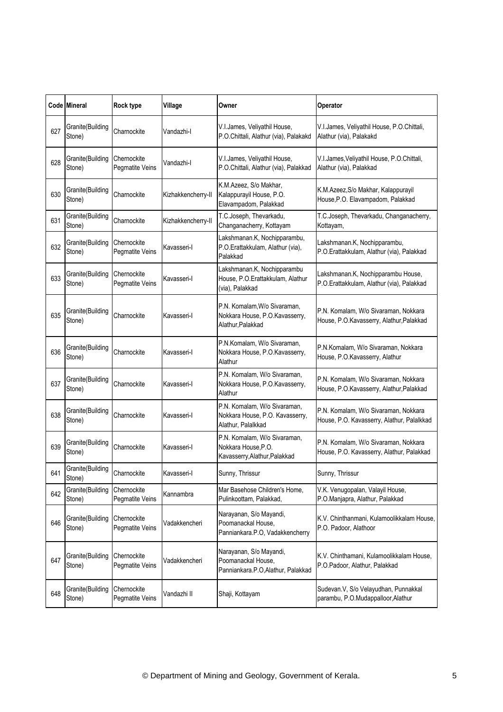|     | Code Mineral               | <b>Rock type</b>               | Village            | Owner                                                                                 | Operator                                                                           |
|-----|----------------------------|--------------------------------|--------------------|---------------------------------------------------------------------------------------|------------------------------------------------------------------------------------|
| 627 | Granite(Building<br>Stone) | Charnockite                    | Vandazhi-l         | V.I.James, Veliyathil House,<br>P.O.Chittali, Alathur (via), Palakakd                 | V.I.James, Veliyathil House, P.O.Chittali,<br>Alathur (via), Palakakd              |
| 628 | Granite(Building<br>Stone) | Chernockite<br>Pegmatite Veins | Vandazhi-l         | V.I.James, Veliyathil House,<br>P.O.Chittali, Alathur (via), Palakkad                 | V.I.James, Veliyathil House, P.O.Chittali,<br>Alathur (via), Palakkad              |
| 630 | Granite(Building<br>Stone) | Charnockite                    | Kizhakkencherry-II | K.M.Azeez, S/o Makhar,<br>Kalappurayil House, P.O.<br>Elavampadom, Palakkad           | K.M.Azeez, S/o Makhar, Kalappurayil<br>House, P.O. Elavampadom, Palakkad           |
| 631 | Granite(Building<br>Stone) | Charnockite                    | Kizhakkencherry-II | T.C.Joseph, Thevarkadu,<br>Changanacherry, Kottayam                                   | T.C.Joseph, Thevarkadu, Changanacherry,<br>Kottayam,                               |
| 632 | Granite(Building<br>Stone) | Chernockite<br>Pegmatite Veins | Kavasseri-l        | Lakshmanan.K, Nochipparambu,<br>P.O.Erattakkulam, Alathur (via),<br>Palakkad          | Lakshmanan.K, Nochipparambu,<br>P.O.Erattakkulam, Alathur (via), Palakkad          |
| 633 | Granite(Building<br>Stone) | Chernockite<br>Pegmatite Veins | Kavasseri-l        | Lakshmanan.K, Nochipparambu<br>House, P.O.Erattakkulam, Alathur<br>(via), Palakkad    | Lakshmanan.K, Nochipparambu House,<br>P.O.Erattakkulam, Alathur (via), Palakkad    |
| 635 | Granite(Building<br>Stone) | Charnockite                    | Kavasseri-I        | P.N. Komalam, W/o Sivaraman,<br>Nokkara House, P.O.Kavasserry,<br>Alathur, Palakkad   | P.N. Komalam, W/o Sivaraman, Nokkara<br>House, P.O.Kavasserry, Alathur, Palakkad   |
| 636 | Granite(Building<br>Stone) | Charnockite                    | Kavasseri-I        | P.N.Komalam, W/o Sivaraman,<br>Nokkara House, P.O.Kavasserry,<br>Alathur              | P.N.Komalam, W/o Sivaraman, Nokkara<br>House, P.O.Kavasserry, Alathur              |
| 637 | Granite(Building<br>Stone) | Charnockite                    | Kavasseri-I        | P.N. Komalam, W/o Sivaraman,<br>Nokkara House, P.O.Kavasserry,<br>Alathur             | P.N. Komalam, W/o Sivaraman, Nokkara<br>House, P.O.Kavasserry, Alathur, Palakkad   |
| 638 | Granite(Building<br>Stone) | Charnockite                    | Kavasseri-I        | P.N. Komalam, W/o Sivaraman,<br>Nokkara House, P.O. Kavasserry,<br>Alathur, Palalkkad | P.N. Komalam, W/o Sivaraman, Nokkara<br>House, P.O. Kavasserry, Alathur, Palalkkad |
| 639 | Granite(Building<br>Stone) | Charnockite                    | Kavasseri-I        | P.N. Komalam, W/o Sivaraman,<br>Nokkara House, P.O.<br>Kavasserry, Alathur, Palakkad  | P.N. Komalam, W/o Sivaraman, Nokkara<br>House, P.O. Kavasserry, Alathur, Palakkad  |
| 641 | Granite(Building<br>Stone) | Charnockite                    | Kavasseri-l        | Sunny, Thrissur                                                                       | Sunny, Thrissur                                                                    |
| 642 | Granite(Building<br>Stone) | Chernockite<br>Pegmatite Veins | Kannambra          | Mar Basehose Children's Home,<br>Pulinkoottam, Palakkad,                              | V.K. Venugopalan, Valayil House,<br>P.O.Manjapra, Alathur, Palakkad                |
| 646 | Granite(Building<br>Stone) | Chernockite<br>Pegmatite Veins | Vadakkencheri      | Narayanan, S/o Mayandi,<br>Poomanackal House,<br>Panniankara.P.O, Vadakkencherry      | K.V. Chinthanmani, Kulamoolikkalam House,<br>P.O. Padoor, Alathoor                 |
| 647 | Granite(Building<br>Stone) | Chernockite<br>Pegmatite Veins | Vadakkencheri      | Narayanan, S/o Mayandi,<br>Poomanackal House,<br>Panniankara.P.O, Alathur, Palakkad   | K.V. Chinthamani, Kulamoolikkalam House,<br>P.O.Padoor, Alathur, Palakkad          |
| 648 | Granite(Building<br>Stone) | Chernockite<br>Pegmatite Veins | Vandazhi II        | Shaji, Kottayam                                                                       | Sudevan.V, S/o Velayudhan, Punnakkal<br>parambu, P.O.Mudappalloor,Alathur          |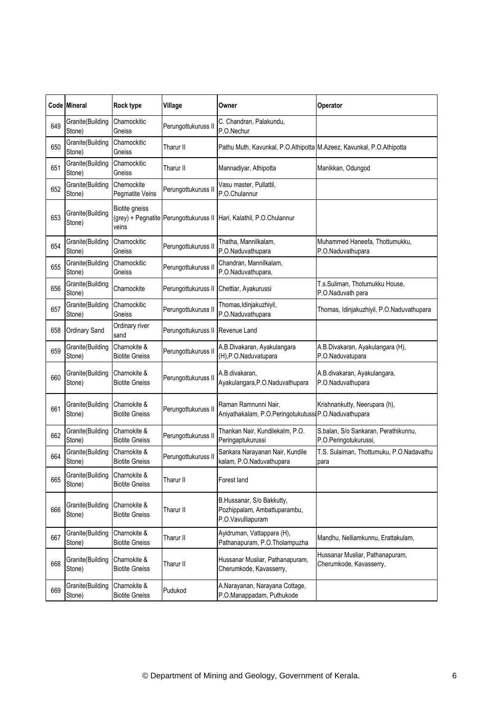|     | Code Mineral               | <b>Rock type</b>                                     | Village             | Owner                                                                          | Operator                                                      |
|-----|----------------------------|------------------------------------------------------|---------------------|--------------------------------------------------------------------------------|---------------------------------------------------------------|
| 649 | Granite(Building<br>Stone) | Charnockitic<br>Gneiss                               | Perungottukuruss II | C. Chandran, Palakundu,<br>P.O.Nechur                                          |                                                               |
| 650 | Granite(Building<br>Stone) | Charnockitic<br>Gneiss                               | Tharur II           | Pathu Muth, Kavunkal, P.O.Athipotta M.Azeez, Kavunkal, P.O.Athipotta           |                                                               |
| 651 | Granite(Building<br>Stone) | Charnockitic<br>Gneiss                               | Tharur II           | Mannadiyar, Athipotta                                                          | Manikkan, Odungod                                             |
| 652 | Granite(Building<br>Stone) | Chernockite<br><b>Pegmatite Veins</b>                | Perungottukuruss II | Vasu master, Pullattil,<br>P.O.Chulannur                                       |                                                               |
| 653 | Granite(Building<br>Stone) | <b>Biotite gneiss</b><br>(grey) + Pegnatite<br>veins | Perungottukuruss II | Hari, Kalathil, P.O.Chulannur                                                  |                                                               |
| 654 | Granite(Building<br>Stone) | Charnockitic<br>Gneiss                               | Perungottukuruss II | Thatha, Mannilkalam,<br>P.O.Naduvathupara                                      | Muhammed Haneefa, Thottumukku,<br>P.O.Naduvathupara           |
| 655 | Granite(Building<br>Stone) | Charnockitic<br>Gneiss                               | Perungottukuruss II | Chandran, Mannilkalam,<br>P.O.Naduvathupara,                                   |                                                               |
| 656 | Granite(Building<br>Stone) | Charnockite                                          | Perungottukuruss II | Chettiar, Ayakurussi                                                           | T.s.Suliman, Thotumukku House,<br>P.O.Naduvath para           |
| 657 | Granite(Building<br>Stone) | Charnockitic<br>Gneiss                               | Perungottukuruss II | Thomas, Idinjakuzhiyil,<br>P.O.Naduvathupara                                   | Thomas, Idinjakuzhiyil, P.O.Naduvathupara                     |
| 658 | Ordinary Sand              | Ordinary river<br>sand                               | Perungottukuruss II | Revenue Land                                                                   |                                                               |
| 659 | Granite(Building<br>Stone) | Charnokite &<br><b>Biotite Gneiss</b>                | Perungottukuruss II | A.B.Divakaran, Ayakulangara<br>(H), P.O. Naduvatupara                          | A.B.Divakaran, Ayakulangara (H),<br>P.O.Naduvatupara          |
| 660 | Granite(Building<br>Stone) | Charnokite &<br><b>Biotite Gneiss</b>                | Perungottukuruss II | A.B.divakaran,<br>Ayakulangara, P.O. Naduvathupara                             | A.B.divakaran, Ayakulangara,<br>P.O.Naduvathupara             |
| 661 | Granite(Building<br>Stone) | Charnokite &<br><b>Biotite Gneiss</b>                | Perungottukuruss II | Raman Ramnunni Nair,<br>Aniyathakalam, P.O.Peringotukutussi P.O.Naduvathupara  | Krishnankutty, Neerupara (h),                                 |
| 662 | Granite(Building<br>Stone) | Charnokite &<br><b>Biotite Gneiss</b>                | Perungottukuruss II | Thankan Nair, Kundilekalm, P.O.<br>Peringaptukurussi                           | S.balan, S/o Sankaran, Perathikunnu,<br>P.O.Peringotukurussi, |
| 664 | Granite(Building<br>Stone) | Charnokite &<br><b>Biotite Gneiss</b>                | Perungottukuruss II | Sankara Narayanan Nair, Kundile<br>kalam, P.O.Naduvathupara                    | T.S. Sulaiman, Thottumuku, P.O.Nadavathu<br>para              |
| 665 | Granite(Building<br>Stone) | Charnokite &<br><b>Biotite Gneiss</b>                | Tharur II           | Forest land                                                                    |                                                               |
| 666 | Granite(Building<br>Stone) | Charnokite &<br><b>Biotite Gneiss</b>                | Tharur II           | B.Hussanar, S/o Bakkutty,<br>Pozhippalam, Ambattuparambu,<br>P.O.Vavulliapuram |                                                               |
| 667 | Granite(Building<br>Stone) | Charnokite &<br><b>Biotite Gneiss</b>                | Tharur II           | Ayidruman, Vattappara (H),<br>Pathanapuram, P.O. Tholampuzha                   | Mandhu, Nelliamkunnu, Erattakulam,                            |
| 668 | Granite(Building<br>Stone) | Charnokite &<br><b>Biotite Gneiss</b>                | Tharur II           | Hussanar Musliar, Pathanapuram,<br>Cherumkode, Kavasserry,                     | Hussanar Musliar, Pathanapuram,<br>Cherumkode, Kavasserry,    |
| 669 | Granite(Building<br>Stone) | Charnokite &<br><b>Biotite Gneiss</b>                | Pudukod             | A.Narayanan, Narayana Cottage,<br>P.O.Manappadam, Puthukode                    |                                                               |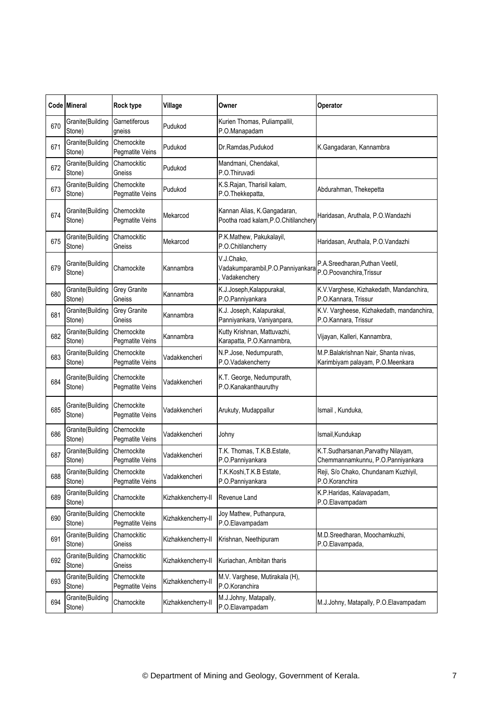|     | Code Mineral               | Rock type                      | Village            | Owner                                                               | Operator                                                                 |
|-----|----------------------------|--------------------------------|--------------------|---------------------------------------------------------------------|--------------------------------------------------------------------------|
| 670 | Granite(Building<br>Stone) | Garnetiferous<br>gneiss        | Pudukod            | Kurien Thomas, Puliampallil,<br>P.O.Manapadam                       |                                                                          |
| 671 | Granite(Building<br>Stone) | Chernockite<br>Pegmatite Veins | Pudukod            | Dr.Ramdas, Pudukod                                                  | K.Gangadaran, Kannambra                                                  |
| 672 | Granite(Building<br>Stone) | Charnockitic<br>Gneiss         | Pudukod            | Mandmani, Chendakal,<br>P.O.Thiruvadi                               |                                                                          |
| 673 | Granite(Building<br>Stone) | Chernockite<br>Pegmatite Veins | Pudukod            | K.S.Rajan, Tharisil kalam,<br>P.O.Thekkepatta,                      | Abdurahman, Thekepetta                                                   |
| 674 | Granite(Building<br>Stone) | Chernockite<br>Pegmatite Veins | Mekarcod           | Kannan Alias, K.Gangadaran,<br>Pootha road kalam, P.O.Chitilanchery | Haridasan, Aruthala, P.O.Wandazhi                                        |
| 675 | Granite(Building<br>Stone) | Charnockitic<br>Gneiss         | Mekarcod           | P.K.Mathew, Pakukalayil,<br>P.O.Chitilancherry                      | Haridasan, Aruthala, P.O.Vandazhi                                        |
| 679 | Granite(Building<br>Stone) | Charnockite                    | Kannambra          | V.J.Chako,<br>Vadakumparambil, P.O. Panniyankara<br>Vadakenchery    | P.A.Sreedharan, Puthan Veetil,<br>P.O.Poovanchira, Trissur               |
| 680 | Granite(Building<br>Stone) | <b>Grey Granite</b><br>Gneiss  | Kannambra          | K.J.Joseph, Kalappurakal,<br>P.O.Panniyankara                       | K.V.Varghese, Kizhakedath, Mandanchira,<br>P.O.Kannara, Trissur          |
| 681 | Granite(Building<br>Stone) | <b>Grey Granite</b><br>Gneiss  | Kannambra          | K.J. Joseph, Kalapurakal,<br>Panniyankara, Vaniyanpara,             | K.V. Vargheese, Kizhakedath, mandanchira,<br>P.O.Kannara, Trissur        |
| 682 | Granite(Building<br>Stone) | Chernockite<br>Pegmatite Veins | Kannambra          | Kutty Krishnan, Mattuvazhi,<br>Karapatta, P.O.Kannambra,            | Vijayan, Kalleri, Kannambra,                                             |
| 683 | Granite(Building<br>Stone) | Chernockite<br>Pegmatite Veins | Vadakkencheri      | N.P.Jose, Nedumpurath,<br>P.O.Vadakencherry                         | M.P.Balakrishnan Nair, Shanta nivas,<br>Karimbiyam palayam, P.O.Meenkara |
| 684 | Granite(Building<br>Stone) | Chernockite<br>Pegmatite Veins | √adakkencheri      | K.T. George, Nedumpurath,<br>P.O.Kanakanthauruthy                   |                                                                          |
| 685 | Granite(Building<br>Stone) | Chernockite<br>Pegmatite Veins | Vadakkencheri      | Arukuty, Mudappallur                                                | Ismail, Kunduka,                                                         |
| 686 | Granite(Building<br>Stone) | Chernockite<br>Pegmatite Veins | Vadakkencheri      | Johny                                                               | Ismail, Kundukap                                                         |
| 687 | Granite(Building<br>Stone) | Chernockite<br>Pegmatite Veins | Vadakkencheri      | T.K. Thomas, T.K.B.Estate,<br>P.O.Panniyankara                      | K.T.Sudharsanan, Parvathy Nilayam,<br>Chemmannamkunnu, P.O.Panniyankara  |
| 688 | Granite(Building<br>Stone) | Chernockite<br>Pegmatite Veins | Vadakkencheri      | T.K.Koshi, T.K.B Estate,<br>P.O.Panniyankara                        | Reji, S/o Chako, Chundanam Kuzhiyil,<br>P.O.Koranchira                   |
| 689 | Granite(Building<br>Stone) | Charnockite                    | Kizhakkencherry-II | Revenue Land                                                        | K.P.Haridas, Kalavapadam,<br>P.O.Elavampadam                             |
| 690 | Granite(Building<br>Stone) | Chernockite<br>Pegmatite Veins | Kizhakkencherry-II | Joy Mathew, Puthanpura,<br>P.O.Elavampadam                          |                                                                          |
| 691 | Granite(Building<br>Stone) | Charnockitic<br>Gneiss         | Kizhakkencherry-II | Krishnan, Neethipuram                                               | M.D.Sreedharan, Moochamkuzhi,<br>P.O.Elavampada,                         |
| 692 | Granite(Building<br>Stone) | Charnockitic<br>Gneiss         | Kizhakkencherry-II | Kuriachan, Ambitan tharis                                           |                                                                          |
| 693 | Granite(Building<br>Stone) | Chernockite<br>Pegmatite Veins | Kizhakkencherry-II | M.V. Varghese, Mutirakala (H),<br>P.O.Koranchira                    |                                                                          |
| 694 | Granite(Building<br>Stone) | Charnockite                    | Kizhakkencherry-II | M.J.Johny, Matapally,<br>P.O.Elavampadam                            | M.J.Johny, Matapally, P.O.Elavampadam                                    |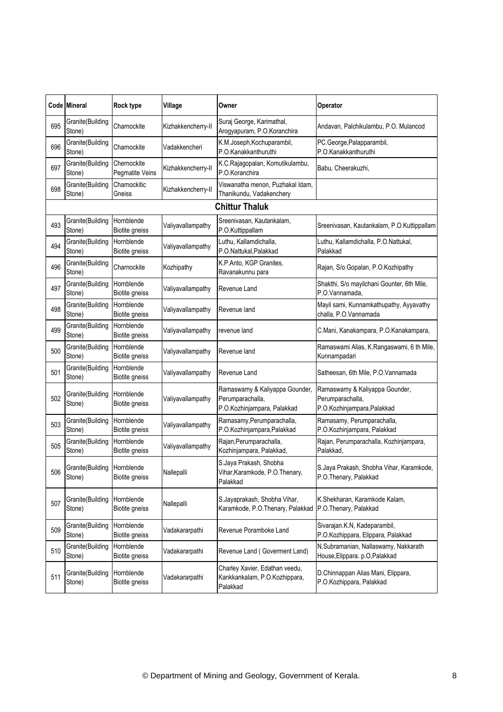|     | Code Mineral                          | Rock type                           | Village            | Owner                                                                             | Operator                                                                          |
|-----|---------------------------------------|-------------------------------------|--------------------|-----------------------------------------------------------------------------------|-----------------------------------------------------------------------------------|
| 695 | Granite(Building<br>Stone)            | Charnockite                         | Kizhakkencherry-II | Suraj George, Karimathal,<br>Arogyapuram, P.O.Koranchira                          | Andavan, Palchikulambu, P.O. Mulancod                                             |
| 696 | Granite(Building<br>Stone)            | Charnockite                         | Vadakkencheri      | K.M.Joseph, Kochuparambil,<br>P.O.Kanakkanthuruthi                                | PC.George, Palapparambil,<br>P.O.Kanakkanthuruthi                                 |
| 697 | Granite(Building<br>Stone)            | Chernockite<br>Pegmatite Veins      | Kizhakkencherry-II | K.C.Rajagopalan, Komutikulambu,<br>P.O.Koranchira                                 | Babu, Cheerakuzhi,                                                                |
| 698 | Granite(Building<br>Stone)            | Charnockitic<br>Gneiss              | Kizhakkencherry-II | Viswanatha menon, Puzhakal Idam,<br>Thanikundu, Vadakenchery                      |                                                                                   |
|     |                                       |                                     |                    | <b>Chittur Thaluk</b>                                                             |                                                                                   |
| 493 | Granite(Building<br>Stone)            | Hornblende<br><b>Biotite gneiss</b> | Valiyavallampathy  | Sreenivasan, Kautankalam,<br>P.O.Kuttippallam                                     | Sreenivasan, Kautankalam, P.O.Kuttippallam                                        |
| 494 | Granite(Building<br>Stone)            | Hornblende<br><b>Biotite gneiss</b> | Valiyavallampathy  | Luthu, Kallamdichalla,<br>P.O.Nattukal, Palakkad                                  | Luthu, Kallamdichalla, P.O.Nattukal,<br>Palakkad                                  |
| 496 | Granite(Building<br>Stone)            | Charnockite                         | Kozhipathy         | K.P.Anto, KGP Granites,<br>Ravanakunnu para                                       | Rajan, S/o Gopalan, P.O.Kozhipathy                                                |
| 497 | Granite(Building<br>Stone)            | Hornblende<br>Biotite gneiss        | Valiyavallampathy  | Revenue Land                                                                      | Shakthi, S/o mayilchani Gounter, 6th Mile,<br>P.O.Vannamada,                      |
| 498 | Granite(Building<br>Stone)            | Hornblende<br>Biotite gneiss        | Valiyavallampathy  | Revenue land                                                                      | Mayil sami, Kunnamkathupathy, Ayyavathy<br>challa, P.O.Vannamada                  |
| 499 | Granite(Building<br>Stone)            | Hornblende<br>Biotite gneiss        | Valiyavallampathy  | revenue land                                                                      | C.Mani, Kanakampara, P.O.Kanakampara,                                             |
| 500 | Granite(Building<br>Stone)            | Hornblende<br>Biotite gneiss        | Valiyavallampathy  | Revenue land                                                                      | Ramaswami Alias, K.Rangaswami, 6 th Mile,<br>Kunnampadari                         |
| 501 | Granite(Building<br>Stone)            | Hornblende<br>Biotite gneiss        | Valiyavallampathy  | Revenue Land                                                                      | Satheesan, 6th Mile, P.O.Vannamada                                                |
| 502 | Granite(Building<br>Stone)            | Hornblende<br>Biotite gneiss        | Valiyavallampathy  | Ramaswamy & Kaliyappa Gounder,<br>Perumparachalla,<br>P.O.Kozhinjampara, Palakkad | Ramaswamy & Kaliyappa Gounder,<br>Perumparachalla,<br>P.O.Kozhinjampara, Palakkad |
| 503 | Granite(Building<br>Stone)            | Hornblende<br><b>Biotite gneiss</b> | Valiyavallampathy  | Ramasamy, Perumparachalla,<br>P.O.Kozhinjampara, Palakkad                         | Ramasamy, Perumparachalla,<br>P.O.Kozhinjampara, Palakkad                         |
| 505 | Granite(Building<br>Stone)            | Hornblende<br>Biotite gneiss        | Valiyavallampathy  | Rajan, Perumparachalla,<br>Kozhinjampara, Palakkad,                               | Rajan, Perumparachalla, Kozhinjampara,<br>Palakkad,                               |
| 506 | Granite(Building Hornblende<br>Stone) | <b>Biotite gneiss</b>               | Nallepalli         | S.Jaya Prakash, Shobha<br>Vihar,Karamkode, P.O.Thenary,<br>Palakkad               | S.Jaya Prakash, Shobha Vihar, Karamkode,<br>P.O.Thenary, Palakkad                 |
| 507 | Granite(Building<br>Stone)            | Hornblende<br>Biotite gneiss        | Nallepalli         | S.Jayaprakash, Shobha Vihar,<br>Karamkode, P.O.Thenary, Palakkad                  | K.Shekharan, Karamkode Kalam,<br>P.O.Thenary, Palakkad                            |
| 509 | Granite(Building<br>Stone)            | Hornblende<br>Biotite gneiss        | Vadakararpathi     | Revenue Poramboke Land                                                            | Sivarajan.K.N, Kadeparambil,<br>P.O.Kozhippara, Elippara, Palakkad                |
| 510 | Granite(Building<br>Stone)            | Hornblende<br>Biotite gneiss        | Vadakararpathi     | Revenue Land (Goverment Land)                                                     | N.Subramanian, Nallaswamy, Nakkarath<br>House, Elippara. p.O, Palakkad            |
| 511 | Granite(Building<br>Stone)            | Hornblende<br>Biotite gneiss        | Vadakararpathi     | Charley Xavier, Edathan veedu,<br>Kankkankalam, P.O.Kozhippara,<br>Palakkad       | D.Chinnappan Alias Mani, Elippara,<br>P.O.Kozhippara, Palakkad                    |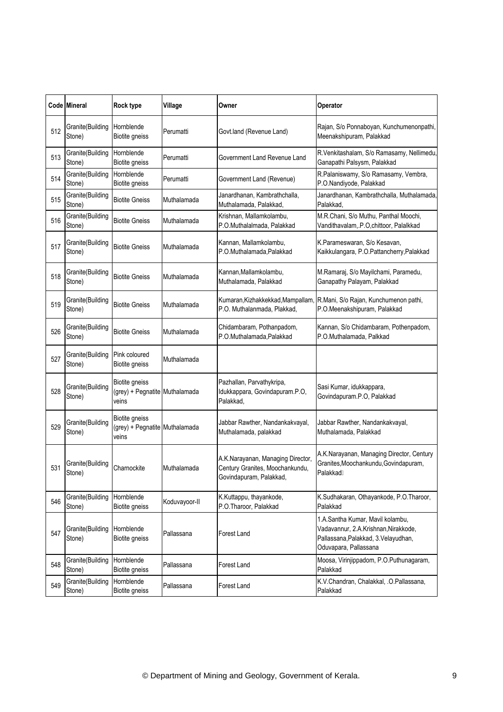|     | <b>Code Mineral</b>        | Rock type                                                 | Village       | Owner                                                                                           | Operator                                                                                                                                 |
|-----|----------------------------|-----------------------------------------------------------|---------------|-------------------------------------------------------------------------------------------------|------------------------------------------------------------------------------------------------------------------------------------------|
| 512 | Granite(Building<br>Stone) | Hornblende<br>Biotite gneiss                              | Perumatti     | Govt.land (Revenue Land)                                                                        | Rajan, S/o Ponnaboyan, Kunchumenonpathi,<br>Meenakshipuram, Palakkad                                                                     |
| 513 | Granite(Building<br>Stone) | Hornblende<br>Biotite gneiss                              | Perumatti     | Government Land Revenue Land                                                                    | R.Venkitashalam, S/o Ramasamy, Nellimedu,<br>Ganapathi Palsysm, Palakkad                                                                 |
| 514 | Granite(Building<br>Stone) | Hornblende<br>Biotite gneiss                              | Perumatti     | Government Land (Revenue)                                                                       | R.Palaniswamy, S/o Ramasamy, Vembra,<br>P.O.Nandiyode, Palakkad                                                                          |
| 515 | Granite(Building<br>Stone) | <b>Biotite Gneiss</b>                                     | Muthalamada   | Janardhanan, Kambrathchalla,<br>Muthalamada, Palakkad,                                          | Janardhanan, Kambrathchalla, Muthalamada,<br>Palakkad,                                                                                   |
| 516 | Granite(Building<br>Stone) | <b>Biotite Gneiss</b>                                     | Muthalamada   | Krishnan, Mallamkolambu,<br>P.O.Muthalalmada, Palakkad                                          | M.R.Chani, S/o Muthu, Panthal Moochi,<br>Vandithavalam, P.O, chittoor, Palalkkad                                                         |
| 517 | Granite(Building<br>Stone) | <b>Biotite Gneiss</b>                                     | Muthalamada   | Kannan, Mallamkolambu,<br>P.O.Muthalamada, Palakkad                                             | K.Parameswaran, S/o Kesavan,<br>Kaikkulangara, P.O.Pattancherry,Palakkad                                                                 |
| 518 | Granite(Building<br>Stone) | <b>Biotite Gneiss</b>                                     | Muthalamada   | Kannan, Mallamkolambu,<br>Muthalamada, Palakkad                                                 | M.Ramaraj, S/o Mayilchami, Paramedu,<br>Ganapathy Palayam, Palakkad                                                                      |
| 519 | Granite(Building<br>Stone) | <b>Biotite Gneiss</b>                                     | Muthalamada   | Kumaran, Kizhakkekkad, Mampallam<br>P.O. Muthalanmada, Plakkad,                                 | R.Mani, S/o Rajan, Kunchumenon pathi,<br>P.O.Meenakshipuram, Palakkad                                                                    |
| 526 | Granite(Building<br>Stone) | <b>Biotite Gneiss</b>                                     | Muthalamada   | Chidambaram, Pothanpadom,<br>P.O.Muthalamada, Palakkad                                          | Kannan, S/o Chidambaram, Pothenpadom,<br>P.O.Muthalamada, Palkkad                                                                        |
| 527 | Granite(Building<br>Stone) | Pink coloured<br>Biotite gneiss                           | Muthalamada   |                                                                                                 |                                                                                                                                          |
| 528 | Granite(Building<br>Stone) | Biotite gneiss<br>(grey) + Pegnatite Muthalamada<br>veins |               | Pazhallan, Parvathykripa,<br>Idukkappara, Govindapuram.P.O,<br>Palakkad,                        | Sasi Kumar, idukkappara,<br>Govindapuram.P.O, Palakkad                                                                                   |
| 529 | Granite(Building<br>Stone) | Biotite gneiss<br>(grey) + Pegnatite Muthalamada<br>veins |               | Jabbar Rawther, Nandankakvayal,<br>Muthalamada, palakkad                                        | Jabbar Rawther, Nandankakvayal,<br>Muthalamada, Palakkad                                                                                 |
| 531 | Granite(Building<br>Stone) | Charnockite                                               | Muthalamada   | A.K.Narayanan, Managing Director,<br>Century Granites, Moochankundu,<br>Govindapuram, Palakkad, | A.K.Narayanan, Managing Director, Century<br>Granites, Moochankundu, Govindapuram,<br>PalakkadH                                          |
| 546 | Granite(Building<br>Stone) | Hornblende<br>Biotite gneiss                              | Koduvayoor-II | K.Kuttappu, thayankode,<br>P.O.Tharoor, Palakkad                                                | K.Sudhakaran, Othayankode, P.O.Tharoor,<br>Palakkad                                                                                      |
| 547 | Granite(Building<br>Stone) | Hornblende<br>Biotite gneiss                              | Pallassana    | Forest Land                                                                                     | 1.A.Santha Kumar, Mavil kolambu,<br>Vadavannur, 2.A.Krishnan,Nirakkode,<br>Pallassana, Palakkad, 3. Velayudhan,<br>Oduvapara, Pallassana |
| 548 | Granite(Building<br>Stone) | Hornblende<br><b>Biotite gneiss</b>                       | Pallassana    | Forest Land                                                                                     | Moosa, Virinjippadom, P.O.Puthunagaram,<br>Palakkad                                                                                      |
| 549 | Granite(Building<br>Stone) | Hornblende<br>Biotite gneiss                              | Pallassana    | Forest Land                                                                                     | K.V.Chandran, Chalakkal, .O.Pallassana,<br>Palakkad                                                                                      |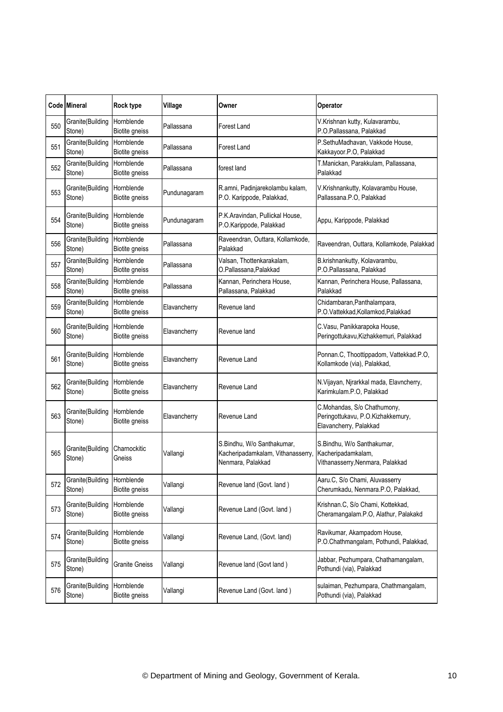|     | Code Mineral               | Rock type                           | Village      | Owner                                                                                | Operator                                                                                   |
|-----|----------------------------|-------------------------------------|--------------|--------------------------------------------------------------------------------------|--------------------------------------------------------------------------------------------|
| 550 | Granite(Building<br>Stone) | Hornblende<br>Biotite gneiss        | Pallassana   | <b>Forest Land</b>                                                                   | V.Krishnan kutty, Kulavarambu,<br>P.O.Pallassana, Palakkad                                 |
| 551 | Granite(Building<br>Stone) | Hornblende<br>Biotite gneiss        | Pallassana   | <b>Forest Land</b>                                                                   | P.SethuMadhavan, Vakkode House,<br>Kakkayoor.P.O, Palakkad                                 |
| 552 | Granite(Building<br>Stone) | Hornblende<br>Biotite gneiss        | Pallassana   | forest land                                                                          | T.Manickan, Parakkulam, Pallassana,<br>Palakkad                                            |
| 553 | Granite(Building<br>Stone) | Hornblende<br>Biotite gneiss        | Pundunagaram | R.amni, Padinjarekolambu kalam,<br>P.O. Karippode, Palakkad,                         | V.Krishnankutty, Kolavarambu House,<br>Pallassana.P.O, Palakkad                            |
| 554 | Granite(Building<br>Stone) | Hornblende<br>Biotite gneiss        | Pundunagaram | P.K.Aravindan, Pullickal House,<br>P.O.Karippode, Palakkad                           | Appu, Karippode, Palakkad                                                                  |
| 556 | Granite(Building<br>Stone) | Hornblende<br>Biotite gneiss        | Pallassana   | Raveendran, Outtara, Kollamkode,<br>Palakkad                                         | Raveendran, Outtara, Kollamkode, Palakkad                                                  |
| 557 | Granite(Building<br>Stone) | Hornblende<br>Biotite gneiss        | Pallassana   | Valsan, Thottenkarakalam,<br>O.Pallassana,Palakkad                                   | B.krishnankutty, Kolavarambu,<br>P.O.Pallassana, Palakkad                                  |
| 558 | Granite(Building<br>Stone) | Hornblende<br><b>Biotite gneiss</b> | Pallassana   | Kannan, Perinchera House,<br>Pallassana, Palakkad                                    | Kannan, Perinchera House, Pallassana,<br>Palakkad                                          |
| 559 | Granite(Building<br>Stone) | Hornblende<br><b>Biotite gneiss</b> | Elavancherry | Revenue land                                                                         | Chidambaran, Panthalampara,<br>P.O.Vattekkad, Kollamkod, Palakkad                          |
| 560 | Granite(Building<br>Stone) | Hornblende<br>Biotite gneiss        | Elavancherry | Revenue land                                                                         | C.Vasu, Panikkarapoka House,<br>Peringottukavu, Kizhakkemuri, Palakkad                     |
| 561 | Granite(Building<br>Stone) | Hornblende<br>Biotite gneiss        | Elavancherry | Revenue Land                                                                         | Ponnan.C, Thoottippadom, Vattekkad.P.O,<br>Kollamkode (via), Palakkad,                     |
| 562 | Granite(Building<br>Stone) | Hornblende<br>Biotite gneiss        | Elavancherry | Revenue Land                                                                         | N. Vijayan, Njrarkkal mada, Elavncherry,<br>Karimkulam.P.O, Palakkad                       |
| 563 | Granite(Building<br>Stone) | Hornblende<br>Biotite gneiss        | Elavancherry | Revenue Land                                                                         | C.Mohandas, S/o Chathumony,<br>Peringottukavu, P.O.Kizhakkemury,<br>Elavancherry, Palakkad |
| 565 | Granite(Building<br>Stone) | Charnockitic<br>Gneiss              | Vallangi     | S.Bindhu, W/o Santhakumar,<br>Kacheripadamkalam, Vithanasserry,<br>Nenmara, Palakkad | S.Bindhu, W/o Santhakumar,<br>Kacheripadamkalam,<br>Vithanasserry, Nenmara, Palakkad       |
| 572 | Granite(Building<br>Stone) | Hornblende<br>Biotite gneiss        | Vallangi     | Revenue land (Govt. land)                                                            | Aaru.C, S/o Chami, Aluvasserry<br>Cherumkadu, Nenmara.P.O, Palakkad,                       |
| 573 | Granite(Building<br>Stone) | Hornblende<br>Biotite gneiss        | Vallangi     | Revenue Land (Govt. land)                                                            | Krishnan.C, S/o Chami, Kottekkad,<br>Cheramangalam.P.O, Alathur, Palakakd                  |
| 574 | Granite(Building<br>Stone) | Hornblende<br><b>Biotite gneiss</b> | Vallangi     | Revenue Land, (Govt. land)                                                           | Ravikumar, Akampadom House,<br>P.O.Chathmangalam, Pothundi, Palakkad,                      |
| 575 | Granite(Building<br>Stone) | <b>Granite Gneiss</b>               | Vallangi     | Revenue land (Govt land)                                                             | Jabbar, Pezhumpara, Chathamangalam,<br>Pothundi (via), Palakkad                            |
| 576 | Granite(Building<br>Stone) | Hornblende<br>Biotite gneiss        | Vallangi     | Revenue Land (Govt. land)                                                            | sulaiman, Pezhumpara, Chathmangalam,<br>Pothundi (via), Palakkad                           |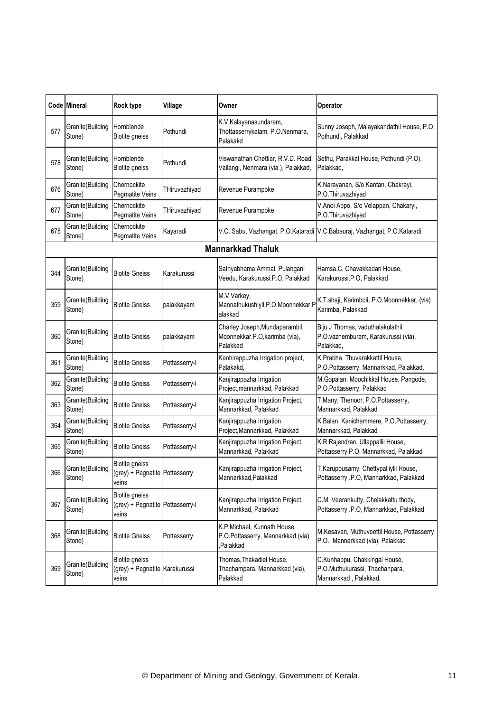|     | Code Mineral                | Rock type                                                   | Village       | Owner                                                                         | Operator                                                                                 |
|-----|-----------------------------|-------------------------------------------------------------|---------------|-------------------------------------------------------------------------------|------------------------------------------------------------------------------------------|
| 577 | Granite(Building<br>Stone)  | Hornblende<br><b>Biotite gneiss</b>                         | Pothundi      | K.V.Kalayanasundaram,<br>Thottasserrykalam, P.O.Nenmara,<br>Palakakd          | Sunny Joseph, Malayakandathil House, P.O.<br>Pothundi, Palakkad                          |
| 578 | Granite(Building<br>Stone)  | Hornblende<br><b>Biotite gneiss</b>                         | Pothundi      | Viswanathan Chettiar, R.V.D. Road,<br>Vallangi, Nenmara (via), Palakkad,      | Sethu, Parakkal House, Pothundi (P.O),<br>Palakkad,                                      |
| 676 | Granite(Building<br>Stone)  | Chernockite<br>Pegmatite Veins                              | THiruvazhiyad | Revenue Purampoke                                                             | K.Narayanan, S/o Kantan, Chakrayi,<br>P.O.Thiruvazhiyad                                  |
| 677 | Granite(Building<br>Stone)  | Chernockite<br>Pegmatite Veins                              | THiruvazhiyad | Revenue Purampoke                                                             | V.Anoi Appo, S/o Velappan, Chakaryi,<br>P.O.Thiruvazhiyad                                |
| 678 | Granite(Building<br>Stone)  | Chernockite<br>Pegmatite Veins                              | Kayaradi      |                                                                               | V.C. Sabu, Vazhangat, P.O.Kataradi V.C.Babauraj, Vazhangat, P.O.Kataradi                 |
|     |                             |                                                             |               | <b>Mannarkkad Thaluk</b>                                                      |                                                                                          |
| 344 | Granite(Building<br>Stone)  | <b>Biotite Gneiss</b>                                       | Karakurussi   | Sathyabhama Ammal, Pulangani<br>Veedu, Karakurussi.P.O, Palakkad              | Hamsa.C, Chavakkadan House,<br>Karakurussi.P.O, Palakkad                                 |
| 359 | Granite(Building<br>Stone)  | <b>Biotite Gneiss</b>                                       | palakkayam    | M.V.Varkey,<br>Mannathukushiyil, P.O. Moonnekkar, P<br>alakkad                | K.T.shaji, Karimboli, P.O.Moonnekkar, (via)<br>Karimba, Palakkad                         |
| 360 | Granite(Building<br>Stone)  | <b>Biotite Gneiss</b>                                       | palakkayam    | Charley Joseph, Mundaparambil,<br>Moonnekkar.P.O, karimba (via),<br>Palakkad  | Biju J Thomas, vaduthalakulathil,<br>P.O.vazhemburam, Karakurussi (via),<br>Palakkad.    |
| 361 | Granite(Building<br>Stone)  | <b>Biotite Gneiss</b>                                       | Pottasserry-I | Kanhirappuzha Irrigation project,<br>Palakakd,                                | K.Prabha, Thuvarakkattil House,<br>P.O.Pottasserry, Mannarkkad, Palakkad,                |
| 362 | Granite(Building<br>Stone)  | <b>Biotite Gneiss</b>                                       | Pottasserry-I | Kanjirappazha Irrigation<br>Project, mannarkkad, Palakkad                     | M.Gopalan, Moochikkal House, Pangode,<br>P.O.Pottasserry, Palakkad                       |
| 363 | Granite(Building<br>Stone)  | <b>Biotite Gneiss</b>                                       | Pottasserry-I | Kanjirappuzha Irrigation Project,<br>Mannarkkad, Palakkad                     | T.Many, Thenoor, P.O.Pottasserry,<br>Mannarkkad, Palakkad                                |
| 364 | Granite(Building<br>Stone)  | <b>Biotite Gneiss</b>                                       | Pottasserry-I | Kanjirappuzha Irrigation<br>Project, Mannarkkad, Palakkad                     | K.Balan, Kanichammere, P.O.Pottasserry,<br>Mannarkkad, Palakkad                          |
| 365 | Granite(Building<br>Stone)  | <b>Biotite Gneiss</b>                                       | Pottasserry-I | Kanjirappuzha Irrigation Project,<br>Mannarkkad, Palakkad                     | K.R.Rajendran, Ullappallil House,<br>Pottasserry.P.O, Mannarkkad, Palakkad               |
| 366 | Granite (Building<br>Stone) | Biotite gneiss<br>(grey) + Pegnatite Pottasserry<br>veins   |               | Kanjirappuzha Irrigation Project,<br>Mannarkkad, Palakkad                     | T.Karuppusamy, Chettypalliylil House,<br>Pottasserry .P.O, Mannarkkad, Palakkad          |
| 367 | Granite(Building<br>Stone)  | Biotite gneiss<br>(grey) + Pegnatite Pottasserry-I<br>veins |               | Kanjirappuzha Irrigation Project,<br>Mannarkkad, Palakkad                     | C.M. Veerankutty, Chelakkattu thody,<br>Pottasserry .P.O, Mannarkkad, Palakkad           |
| 368 | Granite(Building<br>Stone)  | <b>Biotite Gneiss</b>                                       | Pottasserry   | K.P.Michael, Kunnath House,<br>P.O.Pottasserry, Mannarkkad (via)<br>Palakkad. | M.Kesavan, Muthuveettil House, Pottasserry<br>P.O., Mannarkkad (via), Palakkad           |
| 369 | Granite(Building<br>Stone)  | Biotite gneiss<br>(grey) + Pegnatite Karakurussi<br>veins   |               | Thomas, Thakadiel House,<br>Thachampara, Mannarkkad (via),<br>Palakkad        | C.Kunhappu, Chakkingal House,<br>P.O.Muthukurassi, Thachanpara,<br>Mannarkkad, Palakkad, |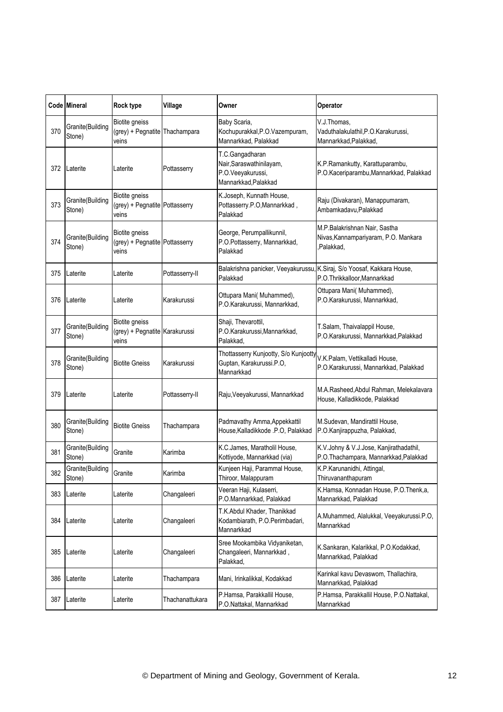|     | Code Mineral               | Rock type                                                        | Village         | Owner                                                                                    | Operator                                                                                                |
|-----|----------------------------|------------------------------------------------------------------|-----------------|------------------------------------------------------------------------------------------|---------------------------------------------------------------------------------------------------------|
| 370 | Granite(Building<br>Stone) | <b>Biotite</b> gneiss<br>(grey) + Pegnatite<br>veins             | Thachampara     | Baby Scaria,<br>Kochupurakkal, P.O. Vazempuram,<br>Mannarkkad, Palakkad                  | V.J.Thomas,<br>Vaduthalakulathil, P.O. Karakurussi,<br>Mannarkkad, Palakkad,                            |
| 372 | Laterite                   | Laterite                                                         | Pottasserry     | T.C.Gangadharan<br>Nair, Saraswathinilayam,<br>P.O.Veeyakurussi,<br>Mannarkkad, Palakkad | K.P.Ramankutty, Karattuparambu,<br>P.O.Kaceriparambu, Mannarkkad, Palakkad                              |
| 373 | Granite(Building<br>Stone) | <b>Biotite gneiss</b><br>(grey) + Pegnatite Pottasserry<br>veins |                 | K.Joseph, Kunnath House,<br>Pottasserry.P.O,Mannarkkad,<br>Palakkad                      | Raju (Divakaran), Manappumaram,<br>Ambamkadavu, Palakkad                                                |
| 374 | Granite(Building<br>Stone) | Biotite gneiss<br>(grey) + Pegnatite Pottasserry<br>veins        |                 | George, Perumpallikunnil,<br>P.O.Pottasserry, Mannarkkad,<br>Palakkad                    | M.P.Balakrishnan Nair, Sastha<br>Nivas, Kannampariyaram, P.O. Mankara<br>,Palakkad,                     |
| 375 | Laterite                   | Laterite                                                         | Pottasserry-II  | Palakkad                                                                                 | Balakrishna panicker, Veeyakurussu, K.Siraj, S/o Yoosaf, Kakkara House,<br>P.O.Thrikkalloor, Mannarkkad |
| 376 | Laterite                   | Laterite                                                         | Karakurussi     | Ottupara Mani( Muhammed),<br>P.O.Karakurussi, Mannarkkad,                                | Ottupara Mani( Muhammed),<br>P.O.Karakurussi, Mannarkkad,                                               |
| 377 | Granite(Building<br>Stone) | Biotite gneiss<br>(grey) + Pegnatite Karakurussi<br>veins        |                 | Shaji, Thevarottil,<br>P.O.Karakurussi, Mannarkkad,<br>Palakkad.                         | T.Salam, Thaivalappil House,<br>P.O.Karakurussi, Mannarkkad, Palakkad                                   |
| 378 | Granite(Building<br>Stone) | <b>Biotite Gneiss</b>                                            | Karakurussi     | Thottasserry Kunjootty, S/o Kunjootty<br>Guptan, Karakurussi.P.O,<br>Mannarkkad          | V.K.Palam, Vettikalladi House,<br>P.O.Karakurussi, Mannarkkad, Palakkad                                 |
| 379 | Laterite                   | Laterite                                                         | Pottasserry-II  | Raju, Veeyakurussi, Mannarkkad                                                           | M.A.Rasheed, Abdul Rahman, Melekalavara<br>House, Kalladikkode, Palakkad                                |
| 380 | Granite(Building<br>Stone) | <b>Biotite Gneiss</b>                                            | Thachampara     | Padmavathy Amma, Appekkattil<br>House, Kalladikkode .P.O, Palakkad                       | M.Sudevan, Mandirattil House,<br>P.O.Kanjirappuzha, Palakkad,                                           |
| 381 | Granite(Building<br>Stone) | Granite                                                          | Karimba         | K.C.James, Maratholil House,<br>Kottiyode, Mannarkkad (via)                              | K.V.Johny & V.J.Jose, Kanjirathadathil,<br>P.O.Thachampara, Mannarkkad, Palakkad                        |
| 382 | Granite(Building<br>Stone) | Granite                                                          | Karimba         | Kunjeen Haji, Parammal House,<br>Thiroor, Malappuram                                     | K.P.Karunanidhi, Attingal,<br>Thiruvananthapuram                                                        |
| 383 | Laterite                   | Laterite                                                         | Changaleeri     | Veeran Haji, Kulaserri,<br>P.O.Mannarkkad, Palakkad                                      | K.Hamsa, Konnadan House, P.O.Thenk,a,<br>Mannarkkad, Palakkad                                           |
| 384 | Laterite                   | Laterite                                                         | Changaleeri     | T.K.Abdul Khader, Thanikkad<br>Kodambiarath, P.O.Perimbadari,<br>Mannarkkad              | A.Muhammed, Alalukkal, Veeyakurussi.P.O,<br>Mannarkkad                                                  |
| 385 | Laterite                   | Laterite                                                         | Changaleeri     | Sree Mookambika Vidyaniketan,<br>Changaleeri, Mannarkkad,<br>Palakkad,                   | K.Sankaran, Kalarikkal, P.O.Kodakkad,<br>Mannarkkad, Palakkad                                           |
| 386 | Laterite                   | Laterite                                                         | Thachampara     | Mani, Irinkalikkal, Kodakkad                                                             | Karinkal kavu Devaswom, Thallachira,<br>Mannarkkad, Palakkad                                            |
| 387 | Laterite                   | Laterite                                                         | Thachanattukara | P.Hamsa, Parakkallil House,<br>P.O.Nattakal, Mannarkkad                                  | P.Hamsa, Parakkallil House, P.O.Nattakal,<br>Mannarkkad                                                 |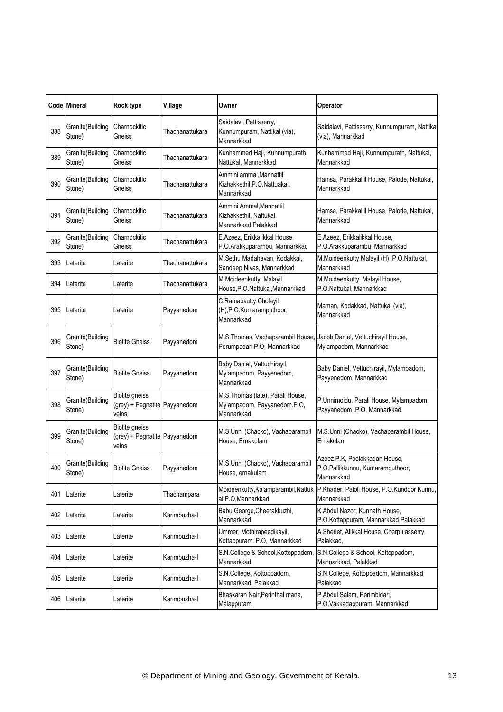|     | Code Mineral               | <b>Rock type</b>                                                | Village         | Owner                                                                                               | Operator                                                                        |
|-----|----------------------------|-----------------------------------------------------------------|-----------------|-----------------------------------------------------------------------------------------------------|---------------------------------------------------------------------------------|
| 388 | Granite(Building<br>Stone) | Charnockitic<br>Gneiss                                          | Thachanattukara | Saidalavi, Pattisserry,<br>Kunnumpuram, Nattikal (via),<br>Mannarkkad                               | Saidalavi, Pattisserry, Kunnumpuram, Nattikal<br>(via), Mannarkkad              |
| 389 | Granite(Building<br>Stone) | Charnockitic<br>Gneiss                                          | Thachanattukara | Kunhammed Haji, Kunnumpurath,<br>Nattukal, Mannarkkad                                               | Kunhammed Haji, Kunnumpurath, Nattukal,<br>Mannarkkad                           |
| 390 | Granite(Building<br>Stone) | Charnockitic<br>Gneiss                                          | Thachanattukara | Ammini ammal, Mannattil<br>Kizhakkethil, P.O. Nattuakal,<br>Mannarkkad                              | Hamsa, Parakkallil House, Palode, Nattukal,<br>Mannarkkad                       |
| 391 | Granite(Building<br>Stone) | Charnockitic<br>Gneiss                                          | Thachanattukara | Ammini Ammal.Mannattil<br>Kizhakkethil, Nattukal,<br>Mannarkkad, Palakkad                           | Hamsa, Parakkallil House, Palode, Nattukal,<br>Mannarkkad                       |
| 392 | Granite(Building<br>Stone) | Charnockitic<br>Gneiss                                          | Thachanattukara | E.Azeez, Erikkalikkal House,<br>P.O.Arakkuparambu, Mannarkkad                                       | E.Azeez, Erikkalikkal House,<br>P.O.Arakkuparambu, Mannarkkad                   |
| 393 | Laterite                   | Laterite                                                        | Thachanattukara | M.Sethu Madahavan, Kodakkal,<br>Sandeep Nivas, Mannarkkad                                           | M.Moideenkutty, Malayil (H), P.O.Nattukal,<br>Mannarkkad                        |
| 394 | Laterite                   | Laterite                                                        | Thachanattukara | M.Moideenkutty, Malayil<br>House, P.O. Nattukal, Mannarkkad                                         | M.Moideenkutty, Malayil House,<br>P.O.Nattukal, Mannarkkad                      |
| 395 | Laterite                   | Laterite                                                        | Payyanedom      | C.Ramabkutty, Cholayil<br>(H), P.O. Kumaramputhoor,<br>Mannarkkad                                   | Maman, Kodakkad, Nattukal (via),<br>Mannarkkad                                  |
| 396 | Granite(Building<br>Stone) | <b>Biotite Gneiss</b>                                           | Payyanedom      | M.S. Thomas, Vachaparambil House, Jacob Daniel, Vettuchirayil House,<br>Perumpadari.P.O, Mannarkkad | Mylampadom, Mannarkkad                                                          |
| 397 | Granite(Building<br>Stone) | <b>Biotite Gneiss</b>                                           | Payyanedom      | Baby Daniel, Vettuchirayil,<br>Mylampadom, Payyenedom,<br>Mannarkkad                                | Baby Daniel, Vettuchirayil, Mylampadom,<br>Payyenedom, Mannarkkad               |
| 398 | Granite(Building<br>Stone) | <b>Biotite gneiss</b><br>(grey) + Pegnatite Payyanedom<br>veins |                 | M.S.Thomas (late), Parali House,<br>Mylampadom, Payyanedom.P.O,<br>Mannarkkad,                      | P.Unnimoidu, Parali House, Mylampadom,<br>Payyanedom .P.O, Mannarkkad           |
| 399 | Granite(Building<br>Stone) | Biotite gneiss<br>(grey) + Pegnatite Payyanedom<br>veins        |                 | M.S.Unni (Chacko), Vachaparambil<br>House, Ernakulam                                                | M.S.Unni (Chacko), Vachaparambil House,<br>Ernakulam                            |
| 400 | Granite(Building<br>Stone) | <b>Biotite Gneiss</b>                                           | Payyanedom      | M.S.Unni (Chacko), Vachaparambil<br>House, ernakulam                                                | Azeez.P.K, Poolakkadan House,<br>P.O.Pallikkunnu, Kumaramputhoor,<br>Mannarkkad |
| 401 | Laterite                   | Laterite                                                        | Thachampara     | Moideenkutty, Kalamparambil, Nattuk<br>al.P.O,Mannarkkad                                            | P.Khader, Paloli House, P.O.Kundoor Kunnu,<br>Mannarkkad                        |
| 402 | Laterite                   | Laterite                                                        | Karimbuzha-l    | Babu George, Cheerakkuzhi,<br>Mannarkkad                                                            | K.Abdul Nazor, Kunnath House,<br>P.O.Kottappuram, Mannarkkad, Palakkad          |
| 403 | Laterite                   | Laterite                                                        | Karimbuzha-l    | Ummer, Mothirapeedikayil,<br>Kottappuram. P.O, Mannarkkad                                           | A.Sherief, Alikkal House, Cherpulasserry,<br>Palakkad,                          |
| 404 | Laterite                   | Laterite                                                        | Karimbuzha-l    | S.N.College & School,Kottoppadom,<br>Mannarkkad                                                     | S.N.College & School, Kottoppadom,<br>Mannarkkad, Palakkad                      |
| 405 | Laterite                   | Laterite                                                        | Karimbuzha-l    | S.N.College, Kottoppadom,<br>Mannarkkad, Palakkad                                                   | S.N.College, Kottoppadom, Mannarkkad,<br>Palakkad                               |
| 406 | Laterite                   | Laterite                                                        | Karimbuzha-l    | Bhaskaran Nair, Perinthal mana,<br>Malappuram                                                       | P.Abdul Salam, Perimbidari,<br>P.O.Vakkadappuram, Mannarkkad                    |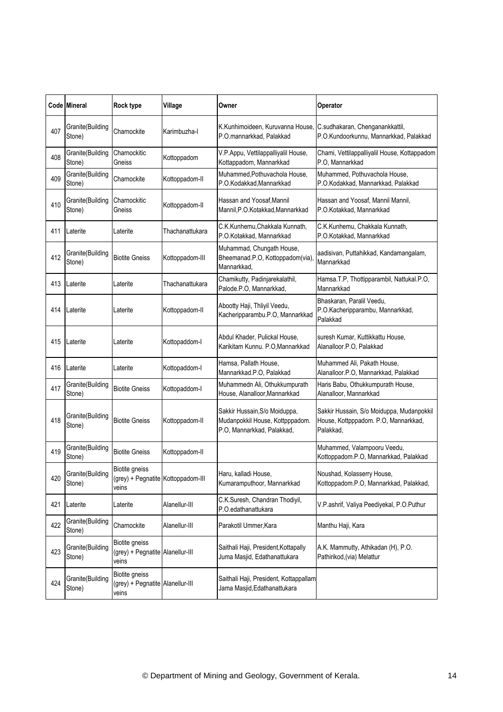|     | <b>Code Mineral</b>        | Rock type                                                            | Village         | Owner                                                                                          | Operator                                                                                       |
|-----|----------------------------|----------------------------------------------------------------------|-----------------|------------------------------------------------------------------------------------------------|------------------------------------------------------------------------------------------------|
| 407 | Granite(Building<br>Stone) | Charnockite                                                          | Karimbuzha-l    | K.Kunhimoideen, Kuruvanna House, C.sudhakaran, Chenganankkattil,<br>P.O.mannarkkad, Palakkad   | P.O.Kundoorkunnu, Mannarkkad, Palakkad                                                         |
| 408 | Granite(Building<br>Stone) | Charnockitic<br>Gneiss                                               | Kottoppadom     | V.P.Appu, Vettilappalliyalil House,<br>Kottappadom, Mannarkkad                                 | Chami, Vettilappalliyalil House, Kottappadom<br>P.O, Mannarkkad                                |
| 409 | Granite(Building<br>Stone) | Charnockite                                                          | Kottoppadom-II  | Muhammed, Pothuvachola House,<br>P.O.Kodakkad, Mannarkkad                                      | Muhammed, Pothuvachola House,<br>P.O.Kodakkad, Mannarkkad, Palakkad                            |
| 410 | Granite(Building<br>Stone) | Charnockitic<br>Gneiss                                               | Kottoppadom-II  | Hassan and Yoosaf, Mannil<br>Mannil, P.O. Kotakkad, Mannarkkad                                 | Hassan and Yoosaf, Mannil Mannil,<br>P.O.Kotakkad, Mannarkkad                                  |
| 411 | Laterite                   | Laterite                                                             | Thachanattukara | C.K.Kunhemu, Chakkala Kunnath,<br>P.O.Kotakkad, Mannarkkad                                     | C.K.Kunhemu, Chakkala Kunnath,<br>P.O.Kotakkad, Mannarkkad                                     |
| 412 | Granite(Building<br>Stone) | <b>Biotite Gneiss</b>                                                | Kottoppadom-III | Muhammad, Chungath House,<br>Bheemanad.P.O, Kottoppadom(via)<br>Mannarkkad,                    | aadisivan, Puttahikkad, Kandamangalam,<br>Mannarkkad                                           |
| 413 | Laterite                   | Laterite                                                             | Thachanattukara | Chamikutty, Padinjarekalathil,<br>Palode.P.O, Mannarkkad,                                      | Hamsa.T.P, Thottipparambil, Nattukal.P.O,<br>Mannarkkad                                        |
| 414 | Laterite                   | Laterite                                                             | Kottoppadom-II  | Abootty Haji, Thliyil Veedu,<br>Kacheripparambu.P.O, Mannarkkad                                | Bhaskaran, Paralil Veedu,<br>P.O.Kacheripparambu, Mannarkkad,<br>Palakkad                      |
| 415 | Laterite                   | Laterite                                                             | Kottopaddom-l   | Abdul Khader, Pulickal House,<br>Karikitam Kunnu. P.O, Mannarkkad                              | suresh Kumar, Kuttikkattu House,<br>Alanalloor.P.O, Palakkad                                   |
| 416 | Laterite                   | Laterite                                                             | Kottopaddom-I   | Hamsa, Pallath House,<br>Mannarkkad.P.O, Palakkad                                              | Muhammed Ali, Pakath House,<br>Alanalloor.P.O, Mannarkkad, Palakkad                            |
| 417 | Granite(Building<br>Stone) | <b>Biotite Gneiss</b>                                                | Kottopaddom-I   | Muhammedn Ali, Othukkumpurath<br>House, Alanalloor, Mannarkkad                                 | Haris Babu, Othukkumpurath House,<br>Alanalloor, Mannarkkad                                    |
| 418 | Granite(Building<br>Stone) | <b>Biotite Gneiss</b>                                                | Kottoppadom-II  | Sakkir Hussain, S/o Moiduppa,<br>Mudanpokkil House, Kottpppadom.<br>P.O, Mannarkkad, Palakkad, | Sakkir Hussain, S/o Moiduppa, Mudanpokkil<br>House, Kottpppadom. P.O, Mannarkkad,<br>Palakkad. |
| 419 | Granite(Building<br>Stone) | <b>Biotite Gneiss</b>                                                | Kottoppadom-II  |                                                                                                | Muhammed, Valampooru Veedu,<br>Kottoppadom.P.O, Mannarkkad, Palakkad                           |
| 420 | Granite(Building<br>Stone) | <b>Biotite gneiss</b><br>(grey) + Pegnatite Kottoppadom-III<br>veins |                 | Haru, kalladi House,<br>Kumaramputhoor, Mannarkkad                                             | Noushad, Kolasserry House,<br>Kottoppadom.P.O, Mannarkkad, Palakkad,                           |
| 421 | Laterite                   | Laterite                                                             | Alanellur-III   | C.K.Suresh, Chandran Thodiyil,<br>P.O.edathanattukara                                          | V.P.ashrif, Valiya Peediyekal, P.O.Puthur                                                      |
| 422 | Granite(Building<br>Stone) | Charnockite                                                          | Alanellur-III   | Parakotil Ummer, Kara                                                                          | Manthu Haji, Kara                                                                              |
| 423 | Granite(Building<br>Stone) | Biotite gneiss<br>(grey) + Pegnatite Alanellur-III<br>veins          |                 | Saithali Haji, President, Kottapally<br>Juma Masjid, Edathanattukara                           | A.K. Mammutty, Athikadan (H), P.O.<br>Pathirikod, (via) Melattur                               |
| 424 | Granite(Building<br>Stone) | Biotite gneiss<br>(grey) + Pegnatite Alanellur-III<br>veins          |                 | Saithali Haji, President, Kottappallam<br>Jama Masjid, Edathanattukara                         |                                                                                                |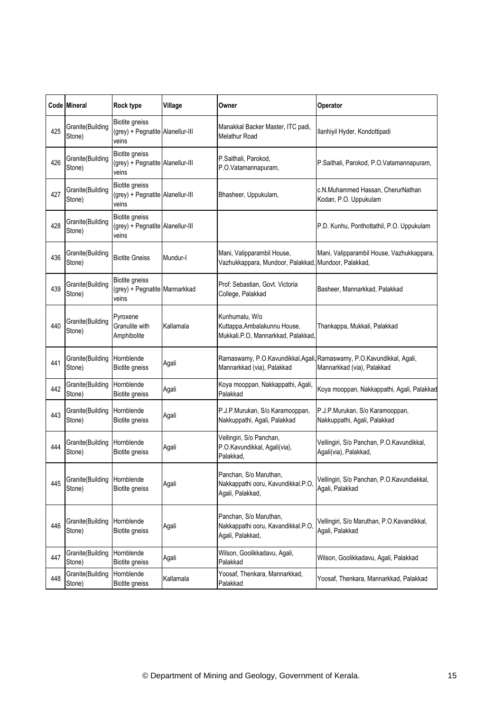|     | Code Mineral                | <b>Rock type</b>                                                   | Village   | Owner                                                                                | Operator                                                                                          |
|-----|-----------------------------|--------------------------------------------------------------------|-----------|--------------------------------------------------------------------------------------|---------------------------------------------------------------------------------------------------|
| 425 | Granite(Building<br>Stone)  | <b>Biotite gneiss</b><br>(grey) + Pegnatite Alanellur-III<br>veins |           | Manakkal Backer Master, ITC padi,<br><b>Melathur Road</b>                            | Ilanhiyil Hyder, Kondottipadi                                                                     |
| 426 | Granite(Building<br>Stone)  | Biotite gneiss<br>(grey) + Pegnatite Alanellur-III<br>veins        |           | P.Saithali, Parokod,<br>P.O.Vatamannapuram,                                          | P.Saithali, Parokod, P.O.Vatamannapuram,                                                          |
| 427 | Granite(Building<br>Stone)  | <b>Biotite gneiss</b><br>(grey) + Pegnatite Alanellur-III<br>veins |           | Bhasheer, Uppukulam,                                                                 | c.N.Muhammed Hassan, CherurNathan<br>Kodan, P.O. Uppukulam                                        |
| 428 | Granite(Building<br>Stone)  | Biotite gneiss<br>(grey) + Pegnatite Alanellur-III<br>veins        |           |                                                                                      | P.D. Kunhu, Ponthottathil, P.O. Uppukulam                                                         |
| 436 | Granite(Building<br>Stone)  | <b>Biotite Gneiss</b>                                              | Mundur-I  | Mani, Valipparambil House,<br>Vazhukkappara, Mundoor, Palakkad, Mundoor, Palakkad,   | Mani, Valipparambil House, Vazhukkappara,                                                         |
| 439 | Granite(Building<br>Stone)  | <b>Biotite gneiss</b><br>(grey) + Pegnatite Mannarkkad<br>veins    |           | Prof: Sebastian, Govt, Victoria<br>College, Palakkad                                 | Basheer, Mannarkkad, Palakkad                                                                     |
| 440 | Granite(Building<br>Stone)  | Pyroxene<br>Granulite with<br>Amphibolite                          | Kallamala | Kunhumalu, W/o<br>Kuttappa, Ambalakunnu House,<br>Mukkali.P.O, Mannarkkad, Palakkad, | Thankappa, Mukkali, Palakkad                                                                      |
| 441 | Granite(Building<br>Stone)  | Hornblende<br><b>Biotite gneiss</b>                                | Agali     | Mannarkkad (via), Palakkad                                                           | Ramaswamy, P.O.Kavundikkal,Agali,Ramaswamy, P.O.Kavundikkal, Agali,<br>Mannarkkad (via), Palakkad |
| 442 | Granite(Building<br>Stone)  | Hornblende<br><b>Biotite gneiss</b>                                | Agali     | Koya mooppan, Nakkappathi, Agali,<br>Palakkad                                        | Koya mooppan, Nakkappathi, Agali, Palakkad                                                        |
| 443 | Granite(Building<br>Stone)  | Hornblende<br><b>Biotite gneiss</b>                                | Agali     | P.J.P.Murukan, S/o Karamooppan,<br>Nakkuppathi, Agali, Palakkad                      | P.J.P.Murukan, S/o Karamooppan,<br>Nakkuppathi, Agali, Palakkad                                   |
| 444 | Granite(Building<br>Stone)  | Hornblende<br><b>Biotite gneiss</b>                                | Agali     | Vellingiri, S/o Panchan,<br>P.O.Kavundikkal, Agali(via),<br>Palakkad,                | Vellingiri, S/o Panchan, P.O.Kavundikkal,<br>Agali(via), Palakkad,                                |
| 445 | Granite(Building<br>Stone)  | Hornblende<br><b>Biotite gneiss</b>                                | Agali     | Panchan, S/o Maruthan,<br>Nakkappathi ooru, Kavundikkal.P.O,<br>Agali, Palakkad,     | Vellingiri, S/o Panchan, P.O.Kavundiakkal,<br>Agali, Palakkad                                     |
| 446 | Granite (Building<br>Stone) | Hornblende<br><b>Biotite gneiss</b>                                | Agali     | Panchan, S/o Maruthan,<br>Nakkappathi ooru, Kavandikkal.P.O,<br>Agali, Palakkad,     | Vellingiri, S/o Maruthan, P.O.Kavandikkal,<br>Agali, Palakkad                                     |
| 447 | Granite(Building<br>Stone)  | Hornblende<br>Biotite gneiss                                       | Agali     | Wilson, Goolikkadavu, Agali,<br>Palakkad                                             | Wilson, Goolikkadavu, Agali, Palakkad                                                             |
| 448 | Granite(Building<br>Stone)  | Hornblende<br>Biotite gneiss                                       | Kallamala | Yoosaf, Thenkara, Mannarkkad,<br>Palakkad                                            | Yoosaf, Thenkara, Mannarkkad, Palakkad                                                            |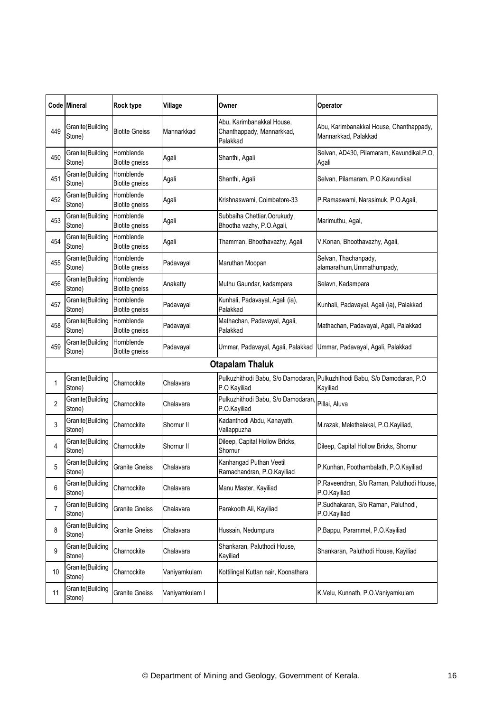|     | Code Mineral               | <b>Rock type</b>                    | Village        | Owner                                                              | Operator                                                                              |
|-----|----------------------------|-------------------------------------|----------------|--------------------------------------------------------------------|---------------------------------------------------------------------------------------|
| 449 | Granite(Building<br>Stone) | <b>Biotite Gneiss</b>               | Mannarkkad     | Abu, Karimbanakkal House,<br>Chanthappady, Mannarkkad,<br>Palakkad | Abu, Karimbanakkal House, Chanthappady,<br>Mannarkkad, Palakkad                       |
| 450 | Granite(Building<br>Stone) | Hornblende<br><b>Biotite gneiss</b> | Agali          | Shanthi, Agali                                                     | Selvan, AD430, Pilamaram, Kavundikal.P.O,<br>Agali                                    |
| 451 | Granite(Building<br>Stone) | Hornblende<br><b>Biotite gneiss</b> | Agali          | Shanthi, Agali                                                     | Selvan, Pilamaram, P.O.Kavundikal                                                     |
| 452 | Granite(Building<br>Stone) | Hornblende<br>Biotite gneiss        | Agali          | Krishnaswami, Coimbatore-33                                        | P.Ramaswami, Narasimuk, P.O.Agali,                                                    |
| 453 | Granite(Building<br>Stone) | Hornblende<br><b>Biotite gneiss</b> | Agali          | Subbaiha Chettiar, Oorukudy,<br>Bhootha vazhy, P.O.Agali,          | Marimuthu, Agal,                                                                      |
| 454 | Granite(Building<br>Stone) | Hornblende<br><b>Biotite gneiss</b> | Agali          | Thamman, Bhoothavazhy, Agali                                       | V.Konan, Bhoothavazhy, Agali,                                                         |
| 455 | Granite(Building<br>Stone) | Hornblende<br><b>Biotite gneiss</b> | Padavayal      | Maruthan Moopan                                                    | Selvan, Thachanpady,<br>alamarathum, Ummathumpady,                                    |
| 456 | Granite(Building<br>Stone) | Hornblende<br>Biotite gneiss        | Anakatty       | Muthu Gaundar, kadampara                                           | Selavn, Kadampara                                                                     |
| 457 | Granite(Building<br>Stone) | Hornblende<br><b>Biotite gneiss</b> | Padavayal      | Kunhali, Padavayal, Agali (ia),<br>Palakkad                        | Kunhali, Padavayal, Agali (ia), Palakkad                                              |
| 458 | Granite(Building<br>Stone) | Hornblende<br><b>Biotite gneiss</b> | Padavayal      | Mathachan, Padavayal, Agali,<br>Palakkad                           | Mathachan, Padavayal, Agali, Palakkad                                                 |
| 459 | Granite(Building<br>Stone) | Hornblende<br>Biotite gneiss        | Padavayal      | Ummar, Padavayal, Agali, Palakkad                                  | Ummar, Padavayal, Agali, Palakkad                                                     |
|     |                            |                                     |                | <b>Otapalam Thaluk</b>                                             |                                                                                       |
| 1   | Granite(Building<br>Stone) | Charnockite                         | Chalavara      | P.O Kayiliad                                                       | Pulkuzhithodi Babu, S/o Damodaran, Pulkuzhithodi Babu, S/o Damodaran, P.O<br>Kayiliad |
| 2   | Granite(Building<br>Stone) | Charnockite                         | Chalavara      | Pulkuzhithodi Babu, S/o Damodaran<br>P.O.Kayiliad                  | Pillai, Aluva                                                                         |
| 3   | Granite(Building<br>Stone) | Charnockite                         | Shornur II     | Kadanthodi Abdu, Kanayath,<br>Vallappuzha                          | M.razak, Melethalakal, P.O.Kayiliad,                                                  |
| 4   | Granite(Building<br>Stone) | Charnockite                         | Shornur II     | Dileep, Capital Hollow Bricks,<br>Shornur                          | Dileep, Capital Hollow Bricks, Shornur                                                |
| 5   | Granite(Building<br>Stone) | <b>Granite Gneiss</b>               | Chalavara      | Kanhangad Puthan Veetil<br>Ramachandran, P.O.Kayiliad              | P.Kunhan, Poothambalath, P.O.Kayiliad                                                 |
| 6   | Granite(Building<br>Stone) | Charnockite                         | Chalavara      | Manu Master, Kayiliad                                              | P.Raveendran, S/o Raman, Paluthodi House,<br>P.O.Kayiliad                             |
| 7   | Granite(Building<br>Stone) | <b>Granite Gneiss</b>               | Chalavara      | Parakooth Ali, Kayiliad                                            | P.Sudhakaran, S/o Raman, Paluthodi,<br>P.O.Kayiliad                                   |
| 8   | Granite(Building<br>Stone) | <b>Granite Gneiss</b>               | Chalavara      | Hussain, Nedumpura                                                 | P.Bappu, Parammel, P.O.Kayiliad                                                       |
| 9   | Granite(Building<br>Stone) | Charnockite                         | Chalavara      | Shankaran, Paluthodi House,<br>Kayiliad                            | Shankaran, Paluthodi House, Kayiliad                                                  |
| 10  | Granite(Building<br>Stone) | Charnockite                         | Vaniyamkulam   | Kottilingal Kuttan nair, Koonathara                                |                                                                                       |
| 11  | Granite(Building<br>Stone) | <b>Granite Gneiss</b>               | Vaniyamkulam I |                                                                    | K.Velu, Kunnath, P.O.Vaniyamkulam                                                     |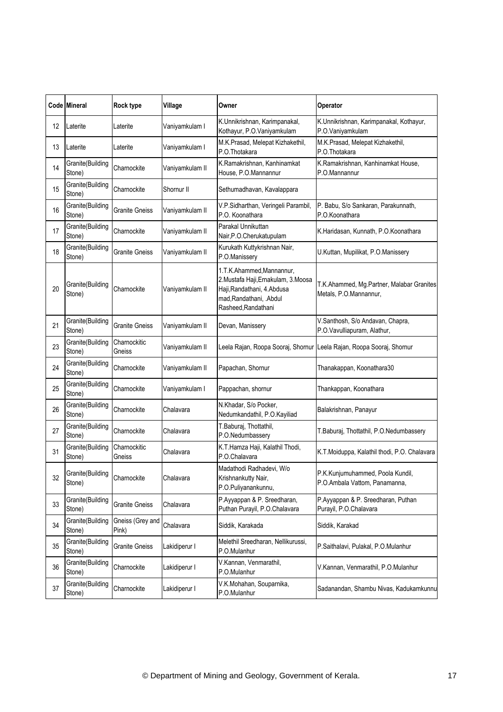|    | Code Mineral               | <b>Rock type</b>          | Village         | Owner                                                                                                                                              | Operator                                                              |
|----|----------------------------|---------------------------|-----------------|----------------------------------------------------------------------------------------------------------------------------------------------------|-----------------------------------------------------------------------|
| 12 | Laterite                   | Laterite                  | Vaniyamkulam I  | K.Unnikrishnan, Karimpanakal,<br>Kothayur, P.O.Vaniyamkulam                                                                                        | K.Unnikrishnan, Karimpanakal, Kothayur,<br>P.O.Vaniyamkulam           |
| 13 | Laterite                   | Laterite                  | Vaniyamkulam I  | M.K.Prasad, Melepat Kizhakethil,<br>P.O.Thotakara                                                                                                  | M.K.Prasad, Melepat Kizhakethil,<br>P.O.Thotakara                     |
| 14 | Granite(Building<br>Stone) | Charnockite               | Vaniyamkulam II | K.Ramakrishnan, Kanhinamkat<br>House, P.O.Mannannur                                                                                                | K.Ramakrishnan, Kanhinamkat House,<br>P.O.Mannannur                   |
| 15 | Granite(Building<br>Stone) | Charnockite               | Shornur II      | Sethumadhavan, Kavalappara                                                                                                                         |                                                                       |
| 16 | Granite(Building<br>Stone) | <b>Granite Gneiss</b>     | Vaniyamkulam II | V.P.Sidharthan, Veringeli Parambil,<br>P.O. Koonathara                                                                                             | P. Babu, S/o Sankaran, Parakunnath,<br>P.O.Koonathara                 |
| 17 | Granite(Building<br>Stone) | Charnockite               | Vaniyamkulam II | Parakal Unnikuttan<br>Nair, P.O. Cherukatupulam                                                                                                    | K.Haridasan, Kunnath, P.O.Koonathara                                  |
| 18 | Granite(Building<br>Stone) | <b>Granite Gneiss</b>     | Vaniyamkulam II | Kurukath Kuttykrishnan Nair,<br>P.O.Manissery                                                                                                      | U.Kuttan, Mupilikat, P.O.Manissery                                    |
| 20 | Granite(Building<br>Stone) | Charnockite               | Vaniyamkulam II | 1.T.K.Ahammed,Mannannur,<br>2. Mustafa Haji, Ernakulam, 3. Moosa<br>Haji, Randathani, 4. Abdusa<br>mad, Randathani, . Abdul<br>Rasheed, Randathani | T.K.Ahammed, Mg.Partner, Malabar Granites<br>Metals, P.O.Mannannur,   |
| 21 | Granite(Building<br>Stone) | <b>Granite Gneiss</b>     | Vaniyamkulam II | Devan, Manissery                                                                                                                                   | V.Santhosh, S/o Andavan, Chapra,<br>P.O.Vavulliapuram, Alathur,       |
| 23 | Granite(Building<br>Stone) | Charnockitic<br>Gneiss    | Vaniyamkulam II |                                                                                                                                                    | Leela Rajan, Roopa Sooraj, Shornur Leela Rajan, Roopa Sooraj, Shornur |
| 24 | Granite(Building<br>Stone) | Charnockite               | Vaniyamkulam II | Papachan, Shornur                                                                                                                                  | Thanakappan, Koonathara30                                             |
| 25 | Granite(Building<br>Stone) | Charnockite               | Vaniyamkulam I  | Pappachan, shornur                                                                                                                                 | Thankappan, Koonathara                                                |
| 26 | Granite(Building<br>Stone) | Charnockite               | Chalavara       | N.Khadar, S/o Pocker,<br>Nedumkandathil, P.O.Kayiliad                                                                                              | Balakrishnan, Panayur                                                 |
| 27 | Granite(Building<br>Stone) | Charnockite               | Chalavara       | T.Baburaj, Thottathil,<br>P.O.Nedumbassery                                                                                                         | T.Baburaj, Thottathil, P.O.Nedumbassery                               |
| 31 | Granite(Building<br>Stone) | Charnockitic<br>Gneiss    | Chalavara       | K.T.Hamza Haji, Kalathil Thodi,<br>P.O.Chalavara                                                                                                   | K.T.Moiduppa, Kalathil thodi, P.O. Chalavara                          |
| 32 | Granite(Building<br>Stone) | Charnockite               | Chalavara       | Madathodi Radhadevi, W/o<br>Krishnankutty Nair,<br>P.O.Puliyanankunnu,                                                                             | P.K.Kunjumuhammed, Poola Kundil,<br>P.O.Ambala Vattom, Panamanna,     |
| 33 | Granite(Building<br>Stone) | Granite Gneiss            | Chalavara       | P.Ayyappan & P. Sreedharan,<br>Puthan Purayil, P.O.Chalavara                                                                                       | P.Ayyappan & P. Sreedharan, Puthan<br>Purayil, P.O.Chalavara          |
| 34 | Granite(Building<br>Stone) | Gneiss (Grey and<br>Pink) | Chalavara       | Siddik, Karakada                                                                                                                                   | Siddik, Karakad                                                       |
| 35 | Granite(Building<br>Stone) | <b>Granite Gneiss</b>     | Lakidiperur I   | Melethil Sreedharan, Nellikurussi,<br>P.O.Mulanhur                                                                                                 | P.Saithalavi, Pulakal, P.O.Mulanhur                                   |
| 36 | Granite(Building<br>Stone) | Charnockite               | Lakidiperur I   | V.Kannan, Venmarathil,<br>P.O.Mulanhur                                                                                                             | V.Kannan, Venmarathil, P.O.Mulanhur                                   |
| 37 | Granite(Building<br>Stone) | Charnockite               | Lakidiperur I   | V.K.Mohahan, Souparnika,<br>P.O.Mulanhur                                                                                                           | Sadanandan, Shambu Nivas, Kadukamkunnu                                |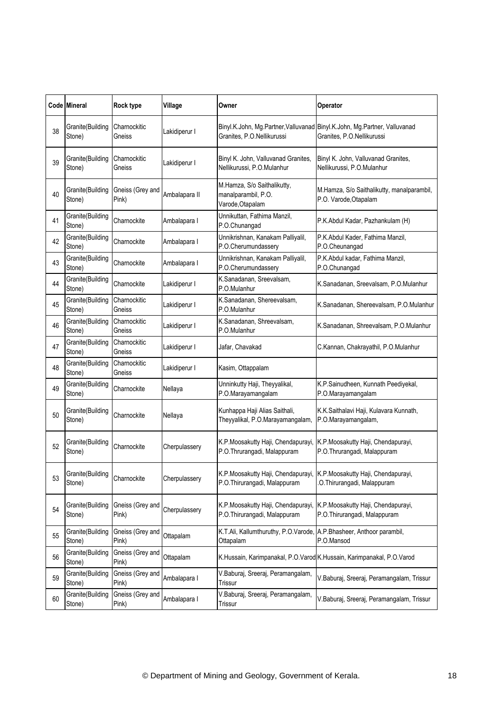|    | Code Mineral               | Rock type                 | Village       | Owner                                                                                                 | Operator                                                                                                |
|----|----------------------------|---------------------------|---------------|-------------------------------------------------------------------------------------------------------|---------------------------------------------------------------------------------------------------------|
| 38 | Granite(Building<br>Stone) | Charnockitic<br>Gneiss    | Lakidiperur I | Granites, P.O.Nellikurussi                                                                            | Binyl.K.John, Mg.Partner, Valluvanad Binyl.K.John, Mg.Partner, Valluvanad<br>Granites, P.O.Nellikurussi |
| 39 | Granite(Building<br>Stone) | Charnockitic<br>Gneiss    | Lakidiperur I | Binyl K. John, Valluvanad Granites,<br>Nellikurussi, P.O.Mulanhur                                     | Binyl K. John, Valluvanad Granites,<br>Nellikurussi, P.O.Mulanhur                                       |
| 40 | Granite(Building<br>Stone) | Gneiss (Grey and<br>Pink) | Ambalapara II | M.Hamza, S/o Saithalikutty,<br>manalparambil, P.O.<br>Varode, Otapalam                                | M.Hamza, S/o Saithalikutty, manalparambil,<br>P.O. Varode, Otapalam                                     |
| 41 | Granite(Building<br>Stone) | Charnockite               | Ambalapara I  | Unnikuttan, Fathima Manzil,<br>P.O.Chunangad                                                          | P.K.Abdul Kadar, Pazhankulam (H)                                                                        |
| 42 | Granite(Building<br>Stone) | Charnockite               | Ambalapara I  | Unnikrishnan, Kanakam Palliyalil,<br>P.O.Cherumundassery                                              | P.K.Abdul Kader, Fathima Manzil,<br>P.O.Cheunangad                                                      |
| 43 | Granite(Building<br>Stone) | Charnockite               | Ambalapara I  | Unnikrishnan, Kanakam Palliyalil,<br>P.O.Cherumundassery                                              | P.K.Abdul kadar, Fathima Manzil,<br>P.O.Chunangad                                                       |
| 44 | Granite(Building<br>Stone) | Charnockite               | Lakidiperur I | K.Sanadanan, Sreevalsam,<br>P.O.Mulanhur                                                              | K.Sanadanan, Sreevalsam, P.O.Mulanhur                                                                   |
| 45 | Granite(Building<br>Stone) | Charnockitic<br>Gneiss    | Lakidiperur I | K.Sanadanan, Shereevalsam,<br>P.O.Mulanhur                                                            | K.Sanadanan, Shereevalsam, P.O.Mulanhur                                                                 |
| 46 | Granite(Building<br>Stone) | Charnockitic<br>Gneiss    | Lakidiperur I | K.Sanadanan, Shreevalsam,<br>P.O.Mulanhur                                                             | K.Sanadanan, Shreevalsam, P.O.Mulanhur                                                                  |
| 47 | Granite(Building<br>Stone) | Charnockitic<br>Gneiss    | Lakidiperur I | Jafar, Chavakad                                                                                       | C.Kannan, Chakrayathil, P.O.Mulanhur                                                                    |
| 48 | Granite(Building<br>Stone) | Charnockitic<br>Gneiss    | Lakidiperur I | Kasim, Ottappalam                                                                                     |                                                                                                         |
| 49 | Granite(Building<br>Stone) | Charnockite               | Nellaya       | Unninkutty Haji, Theyyalikal,<br>P.O.Marayamangalam                                                   | K.P.Sainudheen, Kunnath Peediyekal,<br>P.O.Marayamangalam                                               |
| 50 | Granite(Building<br>Stone) | Charnockite               | Nellaya       | Kunhappa Haji Alias Saithali,<br>Theyyalikal, P.O.Marayamangalam,                                     | K.K.Saithalavi Haji, Kulavara Kunnath,<br>P.O.Marayamangalam,                                           |
| 52 | Granite(Building<br>Stone) | Charnockite               | Cherpulassery | K.P.Moosakutty Haji, Chendapurayi,<br>P.O.Thrurangadi, Malappuram                                     | K.P. Moosakutty Haji, Chendapurayi,<br>P.O.Thrurangadi, Malappuram                                      |
| 53 | Granite(Building<br>Stone) | Charnockite               | Cherpulassery | K.P.Moosakutty Haji, Chendapurayi, K.P.Moosakutty Haji, Chendapurayi,<br>P.O.Thirurangadi, Malappuram | O.Thirurangadi, Malappuram                                                                              |
| 54 | Granite(Building<br>Stone) | Gneiss (Grey and<br>Pink) | Cherpulassery | K.P.Moosakutty Haji, Chendapurayi,<br>P.O.Thirurangadi, Malappuram                                    | K.P. Moosakutty Haji, Chendapurayi,<br>P.O.Thirurangadi, Malappuram                                     |
| 55 | Granite(Building<br>Stone) | Gneiss (Grey and<br>Pink) | Ottapalam     | K.T.Ali, Kallumthuruthy, P.O.Varode,<br>Ottapalam                                                     | A.P.Bhasheer, Anthoor parambil,<br>P.O.Mansod                                                           |
| 56 | Granite(Building<br>Stone) | Gneiss (Grey and<br>Pink) | Ottapalam     |                                                                                                       | K.Hussain, Karimpanakal, P.O.Varod K.Hussain, Karimpanakal, P.O.Varod                                   |
| 59 | Granite(Building<br>Stone) | Gneiss (Grey and<br>Pink) | Ambalapara I  | V.Baburaj, Sreeraj, Peramangalam,<br>Trissur                                                          | V.Baburaj, Sreeraj, Peramangalam, Trissur                                                               |
| 60 | Granite(Building<br>Stone) | Gneiss (Grey and<br>Pink) | Ambalapara I  | V.Baburaj, Sreeraj, Peramangalam,<br>Trissur                                                          | V.Baburaj, Sreeraj, Peramangalam, Trissur                                                               |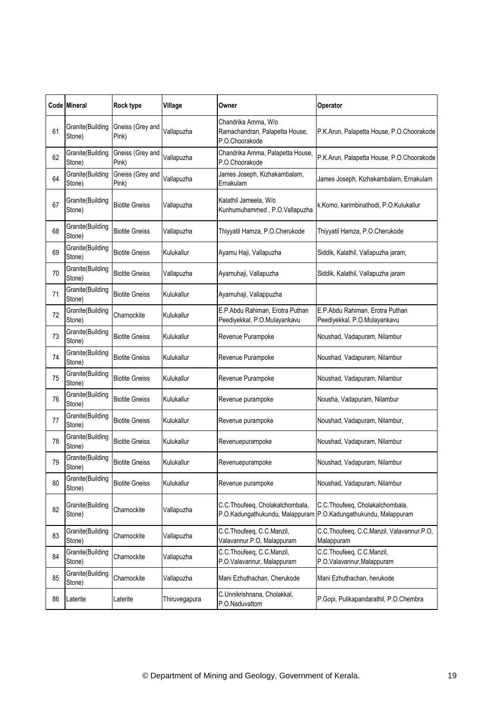|    | <b>Code Mineral</b>        | Rock type                 | Village       | Owner                                                                   | Operator                                                                                           |
|----|----------------------------|---------------------------|---------------|-------------------------------------------------------------------------|----------------------------------------------------------------------------------------------------|
| 61 | Granite(Building<br>Stone) | Gneiss (Grey and<br>Pink) | Vallapuzha    | Chandrika Amma, W/o<br>Ramachandran, Palapetta House,<br>P.O.Choorakode | P.K.Arun, Palapetta House, P.O.Choorakode                                                          |
| 62 | Granite(Building<br>Stone) | Gneiss (Grey and<br>Pink) | Vallapuzha    | Chandrika Amma, Palapetta House,<br>P.O.Choorakode                      | P.K.Arun, Palapetta House, P.O.Choorakode                                                          |
| 64 | Granite(Building<br>Stone) | Gneiss (Grey and<br>Pink) | Vallapuzha    | James Joseph, Kizhakambalam,<br>Ernakulam                               | James Joseph, Kizhakambalam, Ernakulam                                                             |
| 67 | Granite(Building<br>Stone) | <b>Biotite Gneiss</b>     | Vallapuzha    | Kalathil Jameela, W/o<br>Kunhumuhammed, P.O.Vallapuzha                  | k.Komo, karimbinathodi, P.O.Kulukallur                                                             |
| 68 | Granite(Building<br>Stone) | <b>Biotite Gneiss</b>     | Vallapuzha    | Thiyyatil Hamza, P.O.Cherukode                                          | Thiyyatil Hamza, P.O.Cherukode                                                                     |
| 69 | Granite(Building<br>Stone) | <b>Biotite Gneiss</b>     | Kulukallur    | Ayamu Haji, Vallapuzha                                                  | Siddik, Kalathil, Vallapuzha jaram,                                                                |
| 70 | Granite(Building<br>Stone) | <b>Biotite Gneiss</b>     | Vallapuzha    | Ayamuhaji, Vallapuzha                                                   | Siddik, Kalathil, Vallapuzha jaram                                                                 |
| 71 | Granite(Building<br>Stone) | <b>Biotite Gneiss</b>     | Kulukallur    | Ayamuhaji, Vallappuzha                                                  |                                                                                                    |
| 72 | Granite(Building<br>Stone) | Charnockite               | Kulukallur    | E.P.Abdu Rahiman, Erotra Puthan<br>Peediyekkal, P.O.Mulayankavu         | E.P.Abdu Rahiman, Erotra Puthan<br>Peediyekkal, P.O.Mulayankavu                                    |
| 73 | Granite(Building<br>Stone) | <b>Biotite Gneiss</b>     | Kulukallur    | Revenue Purampoke                                                       | Noushad, Vadapuram, Nilambur                                                                       |
| 74 | Granite(Building<br>Stone) | <b>Biotite Gneiss</b>     | Kulukallur    | Revenue Purampoke                                                       | Noushad, Vadapuram, Nilambur                                                                       |
| 75 | Granite(Building<br>Stone) | <b>Biotite Gneiss</b>     | Kulukallur    | Revenue Purampoke                                                       | Noushad, Vadapuram, Nilambur                                                                       |
| 76 | Granite(Building<br>Stone) | <b>Biotite Gneiss</b>     | Kulukallur    | Revenue purampoke                                                       | Nousha, Vadapuram, Nilambur                                                                        |
| 77 | Granite(Building<br>Stone) | <b>Biotite Gneiss</b>     | Kulukallur    | Revenue purampoke                                                       | Noushad, Vadapuram, Nilambur,                                                                      |
| 78 | Granite(Building<br>Stone) | <b>Biotite Gneiss</b>     | Kulukallur    | Revenuepurampoke                                                        | Noushad, Vadapuram, Nilambur                                                                       |
| 79 | Granite(Building<br>Stone) | <b>Biotite Gneiss</b>     | Kulukallur    | Revenuepurampoke                                                        | Noushad, Vadapuram, Nilambur                                                                       |
| 80 | Granite(Building<br>Stone) | <b>Biotite Gneiss</b>     | Kulukallur    | Revenue purampoke                                                       | Noushad, Vadapuram, Nilambur                                                                       |
| 82 | Granite(Building<br>Stone) | Charnockite               | Vallapuzha    | C.C.Thoufeeq, Cholakalchombala,                                         | C.C.Thoufeeq, Cholakalchombala,<br>P.O.Kadungathukundu, Malappuram P.O.Kadungathukundu, Malappuram |
| 83 | Granite(Building<br>Stone) | Charnockite               | Vallapuzha    | C.C.Thoufeeq, C.C.Manzil,<br>Valavannur.P.O, Malappuram                 | C.C.Thoufeeq, C.C.Manzil, Valavannur.P.O,<br>Malappuram                                            |
| 84 | Granite(Building<br>Stone) | Charnockite               | Vallapuzha    | C.C.Thoufeeq, C.C.Manzil,<br>P.O.Valavannur, Malappuram                 | C.C.Thoufeeq, C.C.Manzil,<br>P.O.Valavannur, Malappuram                                            |
| 85 | Granite(Building<br>Stone) | Charnockite               | Vallapuzha    | Mani Ezhuthachan, Cherukode                                             | Mani Ezhuthachan, herukode                                                                         |
| 86 | Laterite                   | Laterite                  | Thiruvegapura | C.Unnikrishnana, Cholakkal,<br>P.O.Naduvattom                           | P.Gopi, Pulikapandarathil, P.O.Chembra                                                             |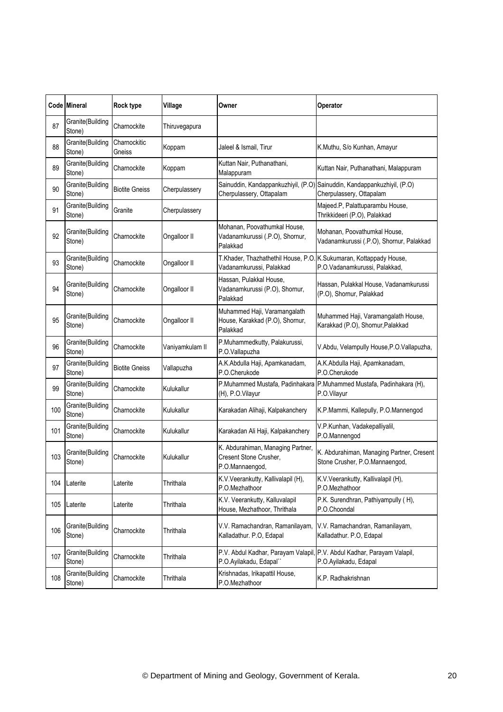|     | <b>Code Mineral</b>        | Rock type              | Village         | Owner                                                                          | Operator                                                                                            |
|-----|----------------------------|------------------------|-----------------|--------------------------------------------------------------------------------|-----------------------------------------------------------------------------------------------------|
| 87  | Granite(Building<br>Stone) | Charnockite            | Thiruvegapura   |                                                                                |                                                                                                     |
| 88  | Granite(Building<br>Stone) | Charnockitic<br>Gneiss | Koppam          | Jaleel & Ismail, Tirur                                                         | K.Muthu, S/o Kunhan, Amayur                                                                         |
| 89  | Granite(Building<br>Stone) | Charnockite            | Koppam          | Kuttan Nair, Puthanathani,<br>Malappuram                                       | Kuttan Nair, Puthanathani, Malappuram                                                               |
| 90  | Granite(Building<br>Stone) | <b>Biotite Gneiss</b>  | Cherpulassery   | Cherpulassery, Ottapalam                                                       | Sainuddin, Kandappankuzhiyil, (P.O) Sainuddin, Kandappankuzhiyil, (P.O)<br>Cherpulassery, Ottapalam |
| 91  | Granite(Building<br>Stone) | Granite                | Cherpulassery   |                                                                                | Majeed.P, Palattuparambu House,<br>Thrikkideeri (P.O), Palakkad                                     |
| 92  | Granite(Building<br>Stone) | Charnockite            | Ongalloor II    | Mohanan, Poovathumkal House,<br>Vadanamkurussi (.P.O), Shornur,<br>Palakkad    | Mohanan, Poovathumkal House,<br>Vadanamkurussi (.P.O), Shornur, Palakkad                            |
| 93  | Granite(Building<br>Stone) | Charnockite            | Ongalloor II    | T.Khader, Thazhathethil House, P.O<br>Vadanamkurussi, Palakkad                 | K.Sukumaran, Kottappady House,<br>P.O.Vadanamkurussi, Palakkad,                                     |
| 94  | Granite(Building<br>Stone) | Charnockite            | Ongalloor II    | Hassan, Pulakkal House.<br>Vadanamkurussi (P.O), Shornur,<br>Palakkad          | Hassan, Pulakkal House, Vadanamkurussi<br>(P.O), Shornur, Palakkad                                  |
| 95  | Granite(Building<br>Stone) | Charnockite            | Ongalloor II    | Muhammed Haji, Varamangalath<br>House, Karakkad (P.O), Shornur,<br>Palakkad    | Muhammed Haji, Varamangalath House,<br>Karakkad (P.O), Shornur, Palakkad                            |
| 96  | Granite(Building<br>Stone) | Charnockite            | Vaniyamkulam II | P.Muhammedkutty, Palakurussi,<br>P.O.Vallapuzha                                | V.Abdu, Velampully House, P.O. Vallapuzha,                                                          |
| 97  | Granite(Building<br>Stone) | <b>Biotite Gneiss</b>  | Vallapuzha      | A.K.Abdulla Haji, Apamkanadam,<br>P.O.Cherukode                                | A.K.Abdulla Haji, Apamkanadam,<br>P.O.Cherukode                                                     |
| 99  | Granite(Building<br>Stone) | Charnockite            | Kulukallur      | (H), P.O.Vilayur                                                               | P.Muhammed Mustafa, Padinhakara P.Muhammed Mustafa, Padinhakara (H),<br>P.O.Vilayur                 |
| 100 | Granite(Building<br>Stone) | Charnockite            | Kulukallur      | Karakadan Alihaji, Kalpakanchery                                               | K.P.Mammi, Kallepully, P.O.Mannengod                                                                |
| 101 | Granite(Building<br>Stone) | Charnockite            | Kulukallur      | Karakadan Ali Haji, Kalpakanchery                                              | V.P.Kunhan, Vadakepalliyalil,<br>P.O.Mannengod                                                      |
| 103 | Granite(Building<br>Stone) | Charnockite            | Kulukallur      | K. Abdurahiman, Managing Partner,<br>Cresent Stone Crusher,<br>P.O.Mannaengod, | K. Abdurahiman, Managing Partner, Cresent<br>Stone Crusher, P.O.Mannaengod,                         |
| 104 | Laterite                   | Laterite               | Thrithala       | K.V.Veerankutty, Kallivalapil (H),<br>P.O.Mezhathoor                           | K.V.Veerankutty, Kallivalapil (H),<br>P.O.Mezhathoor                                                |
| 105 | Laterite                   | Laterite               | Thrithala       | K.V. Veerankutty, Kalluvalapil<br>House, Mezhathoor, Thrithala                 | P.K. Surendhran, Pathiyampully (H),<br>P.O.Choondal                                                 |
| 106 | Granite(Building<br>Stone) | Charnockite            | Thrithala       | V.V. Ramachandran, Ramanilayam,<br>Kalladathur. P.O, Edapal                    | V.V. Ramachandran, Ramanilayam,<br>Kalladathur. P.O, Edapal                                         |
| 107 | Granite(Building<br>Stone) | Charnockite            | Thrithala       | P.V. Abdul Kadhar, Parayam Valapil<br>P.O.Ayilakadu, Edapal"                   | P.V. Abdul Kadhar, Parayam Valapil,<br>P.O.Ayilakadu, Edapal                                        |
| 108 | Granite(Building<br>Stone) | Charnockite            | Thrithala       | Krishnadas, Irikapattil House,<br>P.O.Mezhathoor                               | K.P. Radhakrishnan                                                                                  |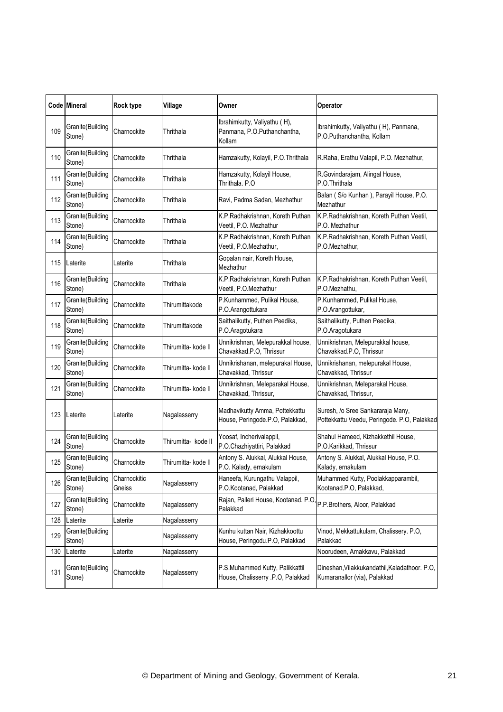|     | Code Mineral               | Rock type              | Village             | Owner                                                                 | Operator                                                                         |
|-----|----------------------------|------------------------|---------------------|-----------------------------------------------------------------------|----------------------------------------------------------------------------------|
| 109 | Granite(Building<br>Stone) | Charnockite            | Thrithala           | Ibrahimkutty, Valiyathu (H),<br>Panmana, P.O.Puthanchantha,<br>Kollam | Ibrahimkutty, Valiyathu (H), Panmana,<br>P.O.Puthanchantha, Kollam               |
| 110 | Granite(Building<br>Stone) | Charnockite            | Thrithala           | Hamzakutty, Kolayil, P.O. Thrithala                                   | R.Raha, Erathu Valapil, P.O. Mezhathur,                                          |
| 111 | Granite(Building<br>Stone) | Charnockite            | Thrithala           | Hamzakutty, Kolayil House,<br>Thrithala, P.O                          | R.Govindarajam, Alingal House,<br>P.O.Thrithala                                  |
| 112 | Granite(Building<br>Stone) | Charnockite            | Thrithala           | Ravi, Padma Sadan, Mezhathur                                          | Balan (S/o Kunhan), Parayil House, P.O.<br>Mezhathur                             |
| 113 | Granite(Building<br>Stone) | Charnockite            | Thrithala           | K.P.Radhakrishnan, Koreth Puthan<br>Veetil, P.O. Mezhathur            | K.P.Radhakrishnan, Koreth Puthan Veetil,<br>P.O. Mezhathur                       |
| 114 | Granite(Building<br>Stone) | Charnockite            | Thrithala           | K.P.Radhakrishnan, Koreth Puthan<br>Veetil, P.O.Mezhathur,            | K.P.Radhakrishnan, Koreth Puthan Veetil,<br>P.O.Mezhathur,                       |
| 115 | Laterite                   | Laterite               | Thrithala           | Gopalan nair, Koreth House,<br>Mezhathur                              |                                                                                  |
| 116 | Granite(Building<br>Stone) | Charnockite            | Thrithala           | K.P.Radhakrishnan, Koreth Puthan<br>Veetil, P.O.Mezhathur             | K.P.Radhakrishnan, Koreth Puthan Veetil,<br>P.O.Mezhathu,                        |
| 117 | Granite(Building<br>Stone) | Charnockite            | Thirumittakode      | P.Kunhammed, Pulikal House,<br>P.O.Arangottukara                      | P.Kunhammed, Pulikal House,<br>P.O.Arangottukar,                                 |
| 118 | Granite(Building<br>Stone) | Charnockite            | Thirumittakode      | Saithalikutty, Puthen Peedika,<br>P.O.Aragotukara                     | Saithalikutty, Puthen Peedika,<br>P.O.Aragotukara                                |
| 119 | Granite(Building<br>Stone) | Charnockite            | Thirumitta- kode II | Unnikrishnan, Melepurakkal house,<br>Chavakkad.P.O, Thrissur          | Unnikrishnan, Melepurakkal house,<br>Chavakkad.P.O, Thrissur                     |
| 120 | Granite(Building<br>Stone) | Charnockite            | Thirumitta- kode II | Unnikrishanan, melepurakal House,<br>Chavakkad, Thrissur              | Unnikrishanan, melepurakal House,<br>Chavakkad, Thrissur                         |
| 121 | Granite(Building<br>Stone) | Charnockite            | Thirumitta- kode II | Unnikrishnan, Meleparakal House,<br>Chavakkad, Thrissur,              | Unnikrishnan, Meleparakal House,<br>Chavakkad, Thrissur,                         |
| 123 | Laterite                   | Laterite               | Nagalasserry        | Madhavikutty Amma, Pottekkattu<br>House, Peringode.P.O, Palakkad,     | Suresh, /o Sree Sankararaja Many,<br>Pottekkattu Veedu, Peringode. P.O, Palakkad |
| 124 | Granite(Building<br>Stone) | Charnockite            | Thirumitta- kode II | Yoosaf, Incherivalappil,<br>P.O.Chazhiyattiri, Palakkad               | Shahul Hameed, Kizhakkethil House,<br>P.O.Karikkad, Thrissur                     |
| 125 | Granite(Building<br>Stone) | Charnockite            | Thirumitta- kode II | Antony S. Alukkal, Alukkal House,<br>P.O. Kalady, ernakulam           | Antony S. Alukkal, Alukkal House, P.O.<br>Kalady, ernakulam                      |
| 126 | Granite(Building<br>Stone) | Charnockitic<br>Gneiss | Nagalasserry        | Haneefa, Kurungathu Valappil,<br>P.O.Kootanad, Palakkad               | Muhammed Kutty, Poolakkapparambil,<br>Kootanad.P.O, Palakkad,                    |
| 127 | Granite(Building<br>Stone) | Charnockite            | Nagalasserry        | Rajan, Palleri House, Kootanad. P.O<br>Palakkad                       | P.P.Brothers, Aloor, Palakkad                                                    |
| 128 | Laterite                   | Laterite               | Nagalasserry        |                                                                       |                                                                                  |
| 129 | Granite(Building<br>Stone) |                        | Nagalasserry        | Kunhu kuttan Nair, Kizhakkoottu<br>House, Peringodu.P.O, Palakkad     | Vinod, Mekkattukulam, Chalissery. P.O,<br>Palakkad                               |
| 130 | Laterite                   | Laterite               | Nagalasserry        |                                                                       | Noorudeen, Amakkavu, Palakkad                                                    |
| 131 | Granite(Building<br>Stone) | Charnockite            | Nagalasserry        | P.S.Muhammed Kutty, Palikkattil<br>House, Chalisserry .P.O, Palakkad  | Dineshan, Vilakkukandathil, Kaladathoor. P.O,<br>Kumaranallor (via), Palakkad    |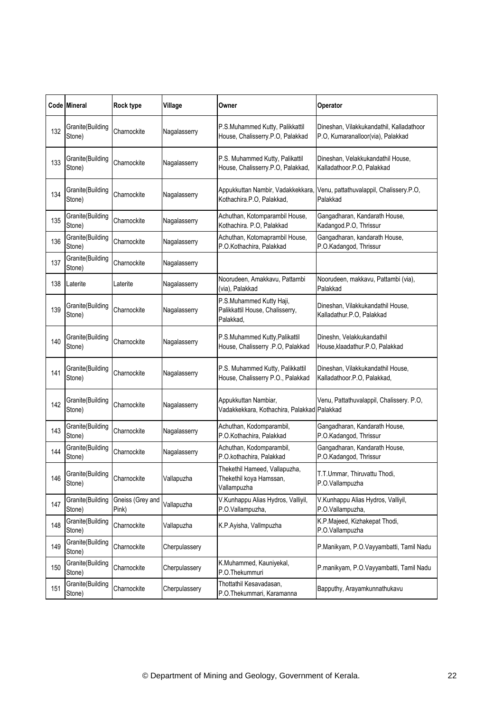|     | Code Mineral               | Rock type                 | Village       | Owner                                                                    | Operator                                                                      |
|-----|----------------------------|---------------------------|---------------|--------------------------------------------------------------------------|-------------------------------------------------------------------------------|
| 132 | Granite(Building<br>Stone) | Charnockite               | Nagalasserry  | P.S.Muhammed Kutty, Palikkattil<br>House, Chalisserry.P.O, Palakkad      | Dineshan, Vilakkukandathil, Kalladathoor<br>P.O, Kumaranalloor(via), Palakkad |
| 133 | Granite(Building<br>Stone) | Charnockite               | Nagalasserry  | P.S. Muhammed Kutty, Palikattil<br>House, Chalisserry.P.O, Palakkad,     | Dineshan, Velakkukandathil House,<br>Kalladathoor.P.O, Palakkad               |
| 134 | Granite(Building<br>Stone) | Charnockite               | Nagalasserry  | Appukkuttan Nambir, Vadakkekkara<br>Kothachira.P.O, Palakkad,            | Venu, pattathuvalappil, Chalissery.P.O,<br>Palakkad                           |
| 135 | Granite(Building<br>Stone) | Charnockite               | Nagalasserry  | Achuthan, Kotomparambil House,<br>Kothachira. P.O, Palakkad              | Gangadharan, Kandarath House,<br>Kadangod.P.O, Thrissur                       |
| 136 | Granite(Building<br>Stone) | Charnockite               | Nagalasserry  | Achuthan, Kotomaprambil House,<br>P.O.Kothachira, Palakkad               | Gangadharan, kandarath House,<br>P.O.Kadangod, Thrissur                       |
| 137 | Granite(Building<br>Stone) | Charnockite               | Nagalasserry  |                                                                          |                                                                               |
| 138 | Laterite                   | Laterite                  | Nagalasserry  | Noorudeen, Amakkavu, Pattambi<br>(via), Palakkad                         | Noorudeen, makkavu, Pattambi (via),<br>Palakkad                               |
| 139 | Granite(Building<br>Stone) | Charnockite               | Nagalasserry  | P.S.Muhammed Kutty Haji,<br>Palikkattil House, Chalisserry,<br>Palakkad, | Dineshan, Vilakkukandathil House,<br>Kalladathur.P.O, Palakkad                |
| 140 | Granite(Building<br>Stone) | Charnockite               | Nagalasserry  | P.S.Muhammed Kutty, Palikattil<br>House, Chalisserry .P.O, Palakkad      | Dineshn, Velakkukandathil<br>House, klaadathur. P.O, Palakkad                 |
| 141 | Granite(Building<br>Stone) | Charnockite               | Nagalasserry  | P.S. Muhammed Kutty, Palikkattil<br>House, Chalisserry P.O., Palakkad    | Dineshan, Vilakkukandathil House,<br>Kalladathoor.P.O, Palakkad,              |
| 142 | Granite(Building<br>Stone) | Charnockite               | Nagalasserry  | Appukkuttan Nambiar,<br>Vadakkekkara, Kothachira, Palakkad Palakkad      | Venu, Pattathuvalappil, Chalissery. P.O,                                      |
| 143 | Granite(Building<br>Stone) | Charnockite               | Nagalasserry  | Achuthan, Kodomparambil,<br>P.O.Kothachira, Palakkad                     | Gangadharan, Kandarath House,<br>P.O.Kadangod, Thrissur                       |
| 144 | Granite(Building<br>Stone) | Charnockite               | Nagalasserry  | Achuthan, Kodomparambil,<br>P.O.kothachira, Palakkad                     | Gangadharan, Kandarath House,<br>P.O.Kadangod, Thrissur                       |
| 146 | Granite(Building<br>Stone) | Charnockite               | Vallapuzha    | Thekethil Hameed, Vallapuzha,<br>Thekethil koya Hamssan,<br>Vallampuzha  | T.T.Ummar, Thiruvattu Thodi,<br>P.O.Vallampuzha                               |
| 147 | Granite(Building<br>Stone) | Gneiss (Grey and<br>Pink) | Vallapuzha    | V.Kunhappu Alias Hydros, Valliyil,<br>P.O.Vallampuzha,                   | V.Kunhappu Alias Hydros, Valliyil,<br>P.O.Vallampuzha,                        |
| 148 | Granite(Building<br>Stone) | Charnockite               | Vallapuzha    | K.P.Ayisha, Vallmpuzha                                                   | K.P.Majeed, Kizhakepat Thodi,<br>P.O.Vallampuzha                              |
| 149 | Granite(Building<br>Stone) | Charnockite               | Cherpulassery |                                                                          | P.Manikyam, P.O.Vayyambatti, Tamil Nadu                                       |
| 150 | Granite(Building<br>Stone) | Charnockite               | Cherpulassery | K.Muhammed, Kauniyekal,<br>P.O.Thekummuri                                | P.manikyam, P.O.Vayyambatti, Tamil Nadu                                       |
| 151 | Granite(Building<br>Stone) | Charnockite               | Cherpulassery | Thottathil Kesavadasan,<br>P.O.Thekummari, Karamanna                     | Bapputhy, Arayamkunnathukavu                                                  |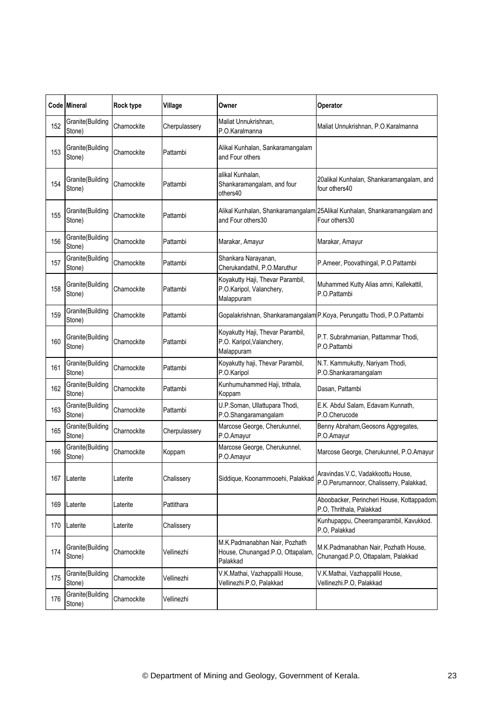|     | Code Mineral               | <b>Rock type</b> | Village       | Owner                                                                         | Operator                                                                                   |
|-----|----------------------------|------------------|---------------|-------------------------------------------------------------------------------|--------------------------------------------------------------------------------------------|
| 152 | Granite(Building<br>Stone) | Charnockite      | Cherpulassery | Maliat Unnukrishnan,<br>P.O.Karalmanna                                        | Maliat Unnukrishnan, P.O.Karalmanna                                                        |
| 153 | Granite(Building<br>Stone) | Charnockite      | Pattambi      | Alikal Kunhalan, Sankaramangalam<br>and Four others                           |                                                                                            |
| 154 | Granite(Building<br>Stone) | Charnockite      | Pattambi      | alikal Kunhalan,<br>Shankaramangalam, and four<br>others40                    | 20alikal Kunhalan, Shankaramangalam, and<br>four others40                                  |
| 155 | Granite(Building<br>Stone) | Charnockite      | Pattambi      | and Four others30                                                             | Alikal Kunhalan, Shankaramangalam 25Alikal Kunhalan, Shankaramangalam and<br>Four others30 |
| 156 | Granite(Building<br>Stone) | Charnockite      | Pattambi      | Marakar, Amayur                                                               | Marakar, Amayur                                                                            |
| 157 | Granite(Building<br>Stone) | Charnockite      | Pattambi      | Shankara Narayanan,<br>Cherukandathil, P.O.Maruthur                           | P.Ameer, Poovathingal, P.O.Pattambi                                                        |
| 158 | Granite(Building<br>Stone) | Charnockite      | Pattambi      | Koyakutty Haji, Thevar Parambil,<br>P.O.Karipol, Valanchery,<br>Malappuram    | Muhammed Kutty Alias amni, Kallekattil,<br>P.O.Pattambi                                    |
| 159 | Granite(Building<br>Stone) | Charnockite      | Pattambi      |                                                                               | Gopalakrishnan, Shankaramangalam P.Koya, Perungattu Thodi, P.O.Pattambi                    |
| 160 | Granite(Building<br>Stone) | Charnockite      | Pattambi      | Koyakutty Haji, Thevar Parambil,<br>P.O. Karipol, Valanchery,<br>Malappuram   | P.T. Subrahmanian, Pattammar Thodi,<br>P.O.Pattambi                                        |
| 161 | Granite(Building<br>Stone) | Charnockite      | Pattambi      | Koyakutty haji, Thevar Parambil,<br>P.O.Karipol                               | N.T. Kammukutty, Nariyam Thodi,<br>P.O.Shankaramangalam                                    |
| 162 | Granite(Building<br>Stone) | Charnockite      | Pattambi      | Kunhumuhammed Haji, trithala,<br>Koppam                                       | Dasan, Pattambi                                                                            |
| 163 | Granite(Building<br>Stone) | Charnockite      | Pattambi      | U.P.Soman, Ullattupara Thodi,<br>P.O.Shangaramangalam                         | E.K. Abdul Salam, Edavam Kunnath,<br>P.O.Cherucode                                         |
| 165 | Granite(Building<br>Stone) | Charnockite      | Cherpulassery | Marcose George, Cherukunnel,<br>P.O.Amayur                                    | Benny Abraham, Geosons Aggregates,<br>P.O.Amayur                                           |
| 166 | Granite(Building<br>Stone) | Charnockite      | Koppam        | Marcose George, Cherukunnel,<br>P.O.Amayur                                    | Marcose George, Cherukunnel, P.O.Amayur                                                    |
| 167 | Laterite                   | Laterite         | Chalissery    | Siddique, Koonammooehi, Palakkad                                              | Aravindas.V.C, Vadakkoottu House,<br>P.O.Perumannoor, Chalisserry, Palakkad,               |
| 169 | Laterite                   | Laterite         | Pattithara    |                                                                               | Aboobacker, Perincheri House, Kottappadom<br>P.O, Thrithala, Palakkad                      |
| 170 | Laterite                   | Laterite         | Chalissery    |                                                                               | Kunhupappu, Cheeramparambil, Kavukkod.<br>P.O, Palakkad                                    |
| 174 | Granite(Building<br>Stone) | Charnockite      | Vellinezhi    | M.K.Padmanabhan Nair, Pozhath<br>House, Chunangad.P.O, Ottapalam,<br>Palakkad | M.K.Padmanabhan Nair, Pozhath House,<br>Chunangad.P.O, Ottapalam, Palakkad                 |
| 175 | Granite(Building<br>Stone) | Charnockite      | Vellinezhi    | V.K.Mathai, Vazhappallil House,<br>Vellinezhi.P.O, Palakkad                   | V.K.Mathai, Vazhappallil House,<br>Vellinezhi.P.O, Palakkad                                |
| 176 | Granite(Building<br>Stone) | Charnockite      | Vellinezhi    |                                                                               |                                                                                            |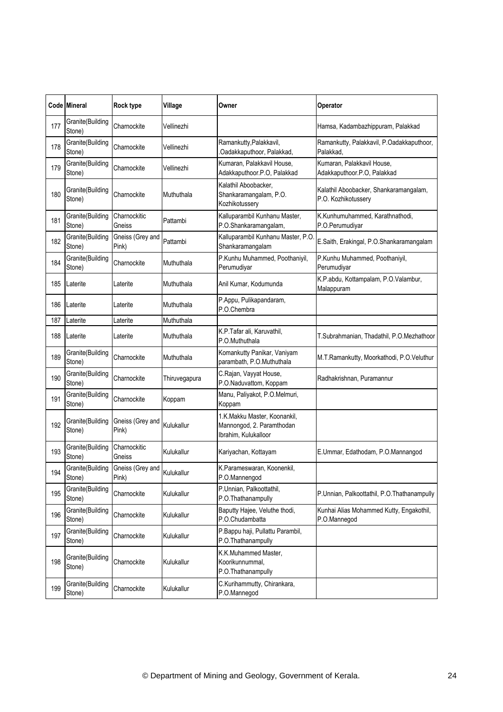|     | Code Mineral               | Rock type                 | Village       | Owner                                                                             | Operator                                                      |
|-----|----------------------------|---------------------------|---------------|-----------------------------------------------------------------------------------|---------------------------------------------------------------|
| 177 | Granite(Building<br>Stone) | Charnockite               | Vellinezhi    |                                                                                   | Hamsa, Kadambazhippuram, Palakkad                             |
| 178 | Granite(Building<br>Stone) | Charnockite               | Vellinezhi    | Ramankutty, Palakkavil,<br>Oadakkaputhoor, Palakkad,                              | Ramankutty, Palakkavil, P.Oadakkaputhoor,<br>Palakkad,        |
| 179 | Granite(Building<br>Stone) | Charnockite               | Vellinezhi    | Kumaran, Palakkavil House,<br>Adakkaputhoor.P.O, Palakkad                         | Kumaran, Palakkavil House,<br>Adakkaputhoor.P.O, Palakkad     |
| 180 | Granite(Building<br>Stone) | Charnockite               | Muthuthala    | Kalathil Aboobacker,<br>Shankaramangalam, P.O.<br>Kozhikotussery                  | Kalathil Aboobacker, Shankaramangalam,<br>P.O. Kozhikotussery |
| 181 | Granite(Building<br>Stone) | Charnockitic<br>Gneiss    | Pattambi      | Kalluparambil Kunhanu Master,<br>P.O.Shankaramangalam,                            | K.Kunhumuhammed, Karathnathodi,<br>P.O.Perumudiyar            |
| 182 | Granite(Building<br>Stone) | Gneiss (Grey and<br>Pink) | Pattambi      | Kalluparambil Kunhanu Master, P.O<br>Shankaramangalam                             | E.Saith, Erakingal, P.O.Shankaramangalam                      |
| 184 | Granite(Building<br>Stone) | Charnockite               | Muthuthala    | P.Kunhu Muhammed, Poothaniyil,<br>Perumudiyar                                     | P.Kunhu Muhammed, Poothaniyil,<br>Perumudivar                 |
| 185 | Laterite                   | Laterite                  | Muthuthala    | Anil Kumar, Kodumunda                                                             | K.P.abdu, Kottampalam, P.O.Valambur,<br>Malappuram            |
| 186 | Laterite                   | Laterite                  | Muthuthala    | P.Appu, Pulikapandaram,<br>P.O.Chembra                                            |                                                               |
| 187 | Laterite                   | _aterite                  | Muthuthala    |                                                                                   |                                                               |
| 188 | Laterite                   | Laterite                  | Muthuthala    | K.P.Tafar ali, Karuvathil,<br>P.O.Muthuthala                                      | T.Subrahmanian, Thadathil, P.O.Mezhathoor                     |
| 189 | Granite(Building<br>Stone) | Charnockite               | Muthuthala    | Komankutty Panikar, Vaniyam<br>parambath, P.O.Muthuthala                          | M.T.Ramankutty, Moorkathodi, P.O.Veluthur                     |
| 190 | Granite(Building<br>Stone) | Charnockite               | Thiruvegapura | C.Rajan, Vayyat House,<br>P.O.Naduvattom, Koppam                                  | Radhakrishnan, Puramannur                                     |
| 191 | Granite(Building<br>Stone) | Charnockite               | Koppam        | Manu, Paliyakot, P.O.Melmuri,<br>Koppam                                           |                                                               |
| 192 | Granite(Building<br>Stone) | Gneiss (Grey and<br>Pink) | Kulukallur    | 1.K.Makku Master, Koonankil,<br>Mannongod, 2. Paramthodan<br>Ibrahim, Kulukalloor |                                                               |
| 193 | Granite(Building<br>Stone) | Charnockitic<br>Gneiss    | Kulukallur    | Kariyachan, Kottayam                                                              | E.Ummar, Edathodam, P.O.Mannangod                             |
| 194 | Granite(Building<br>Stone) | Gneiss (Grey and<br>Pink) | Kulukallur    | K.Parameswaran, Koonenkil,<br>P.O.Mannengod                                       |                                                               |
| 195 | Granite(Building<br>Stone) | Charnockite               | Kulukallur    | P.Unnian, Palkoottathil,<br>P.O.Thathanampully                                    | P.Unnian, Palkoottathil, P.O.Thathanampully                   |
| 196 | Granite(Building<br>Stone) | Charnockite               | Kulukallur    | Baputty Hajee, Veluthe thodi,<br>P.O.Chudambatta                                  | Kunhai Alias Mohammed Kutty, Engakothil,<br>P.O.Mannegod      |
| 197 | Granite(Building<br>Stone) | Charnockite               | Kulukallur    | P.Bappu haji, Pullattu Parambil,<br>P.O.Thathanampully                            |                                                               |
| 198 | Granite(Building<br>Stone) | Charnockite               | Kulukallur    | K.K.Muhammed Master,<br>Koorikunnummal,<br>P.O.Thathanampully                     |                                                               |
| 199 | Granite(Building<br>Stone) | Charnockite               | Kulukallur    | C.Kurihammutty, Chirankara,<br>P.O.Mannegod                                       |                                                               |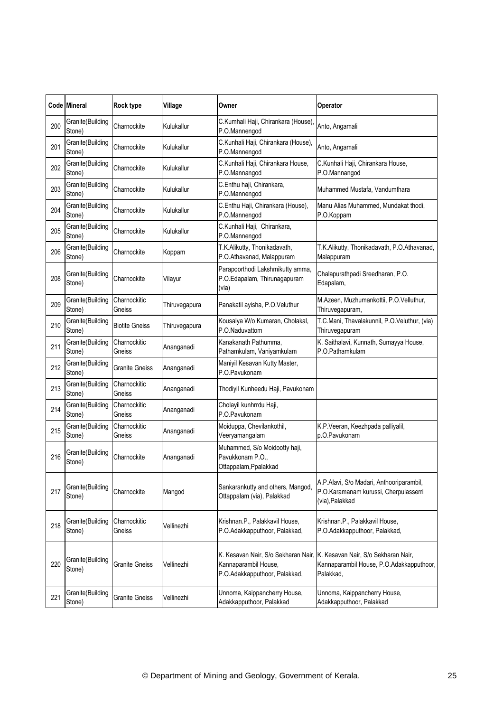|     | Code Mineral               | Rock type              | Village       | Owner                                                                      | Operator                                                                                                                         |
|-----|----------------------------|------------------------|---------------|----------------------------------------------------------------------------|----------------------------------------------------------------------------------------------------------------------------------|
| 200 | Granite(Building<br>Stone) | Charnockite            | Kulukallur    | C.Kumhali Haji, Chirankara (House),<br>P.O.Mannengod                       | Anto, Angamali                                                                                                                   |
| 201 | Granite(Building<br>Stone) | Charnockite            | Kulukallur    | C.Kunhali Haji, Chirankara (House),<br>P.O.Mannengod                       | Anto, Angamali                                                                                                                   |
| 202 | Granite(Building<br>Stone) | Charnockite            | Kulukallur    | C.Kunhali Haji, Chirankara House,<br>P.O.Mannangod                         | C.Kunhali Haji, Chirankara House,<br>P.O.Mannangod                                                                               |
| 203 | Granite(Building<br>Stone) | Charnockite            | Kulukallur    | C.Enthu haji, Chirankara,<br>P.O.Mannengod                                 | Muhammed Mustafa, Vandumthara                                                                                                    |
| 204 | Granite(Building<br>Stone) | Charnockite            | Kulukallur    | C.Enthu Haji, Chirankara (House),<br>P.O.Mannengod                         | Manu Alias Muhammed, Mundakat thodi,<br>P.O.Koppam                                                                               |
| 205 | Granite(Building<br>Stone) | Charnockite            | Kulukallur    | C.Kunhali Haji, Chirankara,<br>P.O.Mannengod                               |                                                                                                                                  |
| 206 | Granite(Building<br>Stone) | Charnockite            | Koppam        | T.K.Alikutty, Thonikadavath,<br>P.O.Athavanad, Malappuram                  | T.K.Alikutty, Thonikadavath, P.O.Athavanad,<br>Malappuram                                                                        |
| 208 | Granite(Building<br>Stone) | Charnockite            | Vilayur       | Parapoorthodi Lakshmikutty amma,<br>P.O.Edapalam, Thirunagapuram<br>(via)  | Chalapurathpadi Sreedharan, P.O.<br>Edapalam,                                                                                    |
| 209 | Granite(Building<br>Stone) | Charnockitic<br>Gneiss | Thiruvegapura | Panakatil ayisha, P.O.Veluthur                                             | M.Azeen, Muzhumankottii, P.O.Velluthur,<br>Thiruvegapuram,                                                                       |
| 210 | Granite(Building<br>Stone) | <b>Biotite Gneiss</b>  | Thiruvegapura | Kousalya W/o Kumaran, Cholakal,<br>P.O.Naduvattom                          | T.C.Mani, Thavalakunnil, P.O.Veluthur, (via)<br>Thiruvegapuram                                                                   |
| 211 | Granite(Building<br>Stone) | Charnockitic<br>Gneiss | Ananganadi    | Kanakanath Pathumma,<br>Pathamkulam, Vaniyamkulam                          | K. Saithalavi, Kunnath, Sumayya House,<br>P.O.Pathamkulam                                                                        |
| 212 | Granite(Building<br>Stone) | <b>Granite Gneiss</b>  | Ananganadi    | Maniyil Kesavan Kutty Master,<br>P.O.Pavukonam                             |                                                                                                                                  |
| 213 | Granite(Building<br>Stone) | Charnockitic<br>Gneiss | Ananganadi    | Thodiyil Kunheedu Haji, Pavukonam                                          |                                                                                                                                  |
| 214 | Granite(Building<br>Stone) | Charnockitic<br>Gneiss | Ananganadi    | Cholayil kunhrrdu Haji,<br>P.O.Pavukonam                                   |                                                                                                                                  |
| 215 | Granite(Building<br>Stone) | Charnockitic<br>Gneiss | Ananganadi    | Moiduppa, Chevilankothil,<br>Veeryamangalam                                | K.P.Veeran, Keezhpada palliyalil,<br>p.O.Pavukonam                                                                               |
| 216 | Granite(Building<br>Stone) | Charnockite            | Ananganadi    | Muhammed, S/o Moidootty haji,<br>Pavukkonam P.O.,<br>Ottappalam, Ppalakkad |                                                                                                                                  |
| 217 | Granite(Building<br>Stone) | Charnockite            | Mangod        | Sankarankutty and others, Mangod,<br>Ottappalam (via), Palakkad            | A.P.Alavi, S/o Madari, Anthooriparambil,<br>P.O.Karamanam kurussi, Cherpulasserri<br>(via), Palakkad                             |
| 218 | Granite(Building<br>Stone) | Charnockitic<br>Gneiss | Vellinezhi    | Krishnan.P., Palakkavil House,<br>P.O.Adakkapputhoor, Palakkad,            | Krishnan.P., Palakkavil House,<br>P.O.Adakkapputhoor, Palakkad,                                                                  |
| 220 | Granite(Building<br>Stone) | Granite Gneiss         | Vellinezhi    | Kannaparambil House,<br>P.O.Adakkapputhoor, Palakkad,                      | K. Kesavan Nair, S/o Sekharan Nair, K. Kesavan Nair, S/o Sekharan Nair,<br>Kannaparambil House, P.O.Adakkapputhoor,<br>Palakkad, |
| 221 | Granite(Building<br>Stone) | <b>Granite Gneiss</b>  | Vellinezhi    | Unnoma, Kaippancherry House,<br>Adakkapputhoor, Palakkad                   | Unnoma, Kaippancherry House,<br>Adakkapputhoor, Palakkad                                                                         |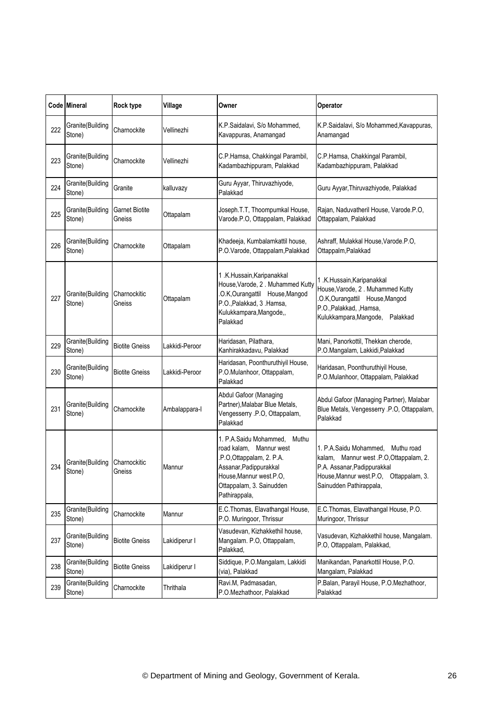|     | Code Mineral               | Rock type                | Village        | Owner                                                                                                                                                                                        | Operator                                                                                                                                                                               |
|-----|----------------------------|--------------------------|----------------|----------------------------------------------------------------------------------------------------------------------------------------------------------------------------------------------|----------------------------------------------------------------------------------------------------------------------------------------------------------------------------------------|
| 222 | Granite(Building<br>Stone) | Charnockite              | Vellinezhi     | K.P.Saidalavi, S/o Mohammed,<br>Kavappuras, Anamangad                                                                                                                                        | K.P.Saidalavi, S/o Mohammed, Kavappuras,<br>Anamangad                                                                                                                                  |
| 223 | Granite(Building<br>Stone) | Charnockite              | Vellinezhi     | C.P.Hamsa, Chakkingal Parambil,<br>Kadambazhippuram, Palakkad                                                                                                                                | C.P.Hamsa, Chakkingal Parambil,<br>Kadambazhippuram, Palakkad                                                                                                                          |
| 224 | Granite(Building<br>Stone) | Granite                  | kalluvazy      | Guru Ayyar, Thiruvazhiyode,<br>Palakkad                                                                                                                                                      | Guru Ayyar, Thiruvazhiyode, Palakkad                                                                                                                                                   |
| 225 | Granite(Building<br>Stone) | Garnet Biotite<br>Gneiss | Ottapalam      | Joseph.T.T, Thoompumkal House,<br>Varode.P.O, Ottappalam, Palakkad                                                                                                                           | Rajan, Naduvatheril House, Varode.P.O,<br>Ottappalam, Palakkad                                                                                                                         |
| 226 | Granite(Building<br>Stone) | Charnockite              | Ottapalam      | Khadeeja, Kumbalamkattil house,<br>P.O.Varode, Ottappalam, Palakkad                                                                                                                          | Ashraff, Mulakkal House, Varode.P.O,<br>Ottappalm, Palakkad                                                                                                                            |
| 227 | Granite(Building<br>Stone) | Charnockitic<br>Gneiss   | Ottapalam      | 1.K.Hussain, Karipanakkal<br>House, Varode, 2. Muhammed Kutty<br>.O.K,Ourangattil House,Mangod<br>P.O., Palakkad, 3 . Hamsa,<br>Kulukkampara, Mangode,,<br>Palakkad                          | 1 .K.Hussain, Karipanakkal<br>House, Varode, 2. Muhammed Kutty<br>O.K, Ourangattil House, Mangod<br>P.O., Palakkad, , Hamsa,<br>Kulukkampara, Mangode,<br>Palakkad                     |
| 229 | Granite(Building<br>Stone) | <b>Biotite Gneiss</b>    | Lakkidi-Peroor | Haridasan, Pilathara,<br>Kanhirakkadavu, Palakkad                                                                                                                                            | Mani, Panorkottil, Thekkan cherode,<br>P.O.Mangalam, Lakkidi, Palakkad                                                                                                                 |
| 230 | Granite(Building<br>Stone) | <b>Biotite Gneiss</b>    | Lakkidi-Peroor | Haridasan, Poonthuruthiyil House,<br>P.O.Mulanhoor, Ottappalam,<br>Palakkad                                                                                                                  | Haridasan, Poonthuruthiyil House,<br>P.O.Mulanhoor, Ottappalam, Palakkad                                                                                                               |
| 231 | Granite(Building<br>Stone) | Charnockite              | Ambalappara-I  | Abdul Gafoor (Managing<br>Partner), Malabar Blue Metals,<br>Vengesserry .P.O, Ottappalam,<br>Palakkad                                                                                        | Abdul Gafoor (Managing Partner), Malabar<br>Blue Metals, Vengesserry .P.O, Ottappalam,<br>Palakkad                                                                                     |
| 234 | Granite(Building<br>Stone) | Charnockitic<br>Gneiss   | Mannur         | 1. P.A.Saidu Mohammed,<br>Muthu<br>road kalam,<br>Mannur west<br>.P.O, Ottappalam, 2. P.A.<br>Assanar, Padippurakkal<br>House, Mannur west.P.O,<br>Ottappalam, 3. Sainudden<br>Pathirappala, | 1. P.A.Saidu Mohammed, Muthu road<br>Mannur west .P.O, Ottappalam, 2.<br>kalam.<br>P.A. Assanar, Padippurakkal<br>House, Mannur west.P.O.<br>Ottappalam, 3.<br>Sainudden Pathirappala, |
| 235 | Granite(Building<br>Stone) | Charnockite              | Mannur         | E.C.Thomas, Elavathangal House,<br>P.O. Muringoor, Thrissur                                                                                                                                  | E.C. Thomas, Elavathangal House, P.O.<br>Muringoor, Thrissur                                                                                                                           |
| 237 | Granite(Building<br>Stone) | <b>Biotite Gneiss</b>    | Lakidiperur I  | Vasudevan, Kizhakkethil house,<br>Mangalam. P.O, Ottappalam,<br>Palakkad,                                                                                                                    | Vasudevan, Kizhakkethil house, Mangalam.<br>P.O, Ottappalam, Palakkad,                                                                                                                 |
| 238 | Granite(Building<br>Stone) | <b>Biotite Gneiss</b>    | Lakidiperur I  | Siddique, P.O.Mangalam, Lakkidi<br>(via), Palakkad                                                                                                                                           | Manikandan, Panarkottil House, P.O.<br>Mangalam, Palakkad                                                                                                                              |
| 239 | Granite(Building<br>Stone) | Charnockite              | Thrithala      | Ravi.M, Padmasadan,<br>P.O.Mezhathoor, Palakkad                                                                                                                                              | P.Balan, Parayil House, P.O.Mezhathoor,<br>Palakkad                                                                                                                                    |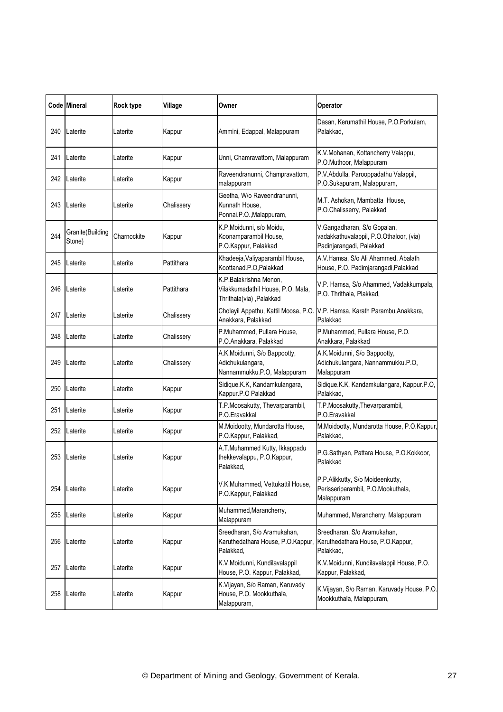|     | Code Mineral               | <b>Rock type</b> | Village    | Owner                                                                                    | Operator                                                                                           |
|-----|----------------------------|------------------|------------|------------------------------------------------------------------------------------------|----------------------------------------------------------------------------------------------------|
| 240 | Laterite                   | Laterite         | Kappur     | Ammini, Edappal, Malappuram                                                              | Dasan, Kerumathil House, P.O.Porkulam,<br>Palakkad,                                                |
| 241 | Laterite                   | Laterite         | Kappur     | Unni, Chamravattom, Malappuram                                                           | K.V.Mohanan, Kottancherry Valappu,<br>P.O.Muthoor, Malappuram                                      |
| 242 | Laterite                   | Laterite         | Kappur     | Raveendranunni, Champravattom,<br>malappuram                                             | P.V.Abdulla, Parooppadathu Valappil,<br>P.O.Sukapuram, Malappuram,                                 |
| 243 | Laterite                   | Laterite         | Chalissery | Geetha, W/o Raveendranunni,<br>Kunnath House,<br>Ponnai.P.O., Malappuram,                | M.T. Ashokan, Mambatta House,<br>P.O.Chalisserry, Palakkad                                         |
| 244 | Granite(Building<br>Stone) | Charnockite      | Kappur     | K.P.Moidunni, s/o Moidu,<br>Koonamparambil House,<br>P.O.Kappur, Palakkad                | V.Gangadharan, S/o Gopalan,<br>vadakkathuvalappil, P.O.Othaloor, (via)<br>Padinjarangadi, Palakkad |
| 245 | Laterite                   | Laterite         | Pattithara | Khadeeja, Valiyaparambil House,<br>Koottanad.P.O,Palakkad                                | A.V.Hamsa, S/o Ali Ahammed, Abalath<br>House, P.O. Padimjarangadi, Palakkad                        |
| 246 | Laterite                   | Laterite         | Pattithara | K.P.Balakrishna Menon,<br>Vilakkumadathil House, P.O. Mala,<br>Thrithala(via) , Palakkad | V.P. Hamsa, S/o Ahammed, Vadakkumpala,<br>P.O. Thrithala, Plakkad,                                 |
| 247 | Laterite                   | Laterite         | Chalissery | Cholayil Appathu, Kattil Moosa, P.O.<br>Anakkara, Palakkad                               | V.P. Hamsa, Karath Parambu, Anakkara,<br>Palakkad                                                  |
| 248 | Laterite                   | Laterite         | Chalissery | P.Muhammed, Pullara House,<br>P.O.Anakkara, Palakkad                                     | P.Muhammed, Pullara House, P.O.<br>Anakkara, Palakkad                                              |
| 249 | Laterite                   | Laterite         | Chalissery | A.K.Moidunni, S/o Bappootty,<br>Adichukulangara,<br>Nannammukku.P.O, Malappuram          | A.K.Moidunni, S/o Bappootty,<br>Adichukulangara, Nannammukku.P.O,<br>Malappuram                    |
| 250 | Laterite                   | Laterite         | Kappur     | Sidique.K.K, Kandamkulangara,<br>Kappur.P.O Palakkad                                     | Sidique.K.K, Kandamkulangara, Kappur.P.O,<br>Palakkad,                                             |
| 251 | Laterite                   | Laterite         | Kappur     | T.P.Moosakutty, Thevarparambil,<br>P.O.Eravakkal                                         | T.P.Moosakutty, Thevarparambil,<br>P.O.Eravakkal                                                   |
| 252 | Laterite                   | Laterite         | Kappur     | M.Moidootty, Mundarotta House,<br>P.O.Kappur, Palakkad,                                  | M.Moidootty, Mundarotta House, P.O.Kappur,<br>Palakkad.                                            |
| 253 | Laterite                   | Laterite         | Kappur     | A.T.Muhammed Kutty, Ikkappadu<br>thekkevalappu, P.O.Kappur,<br>Palakkad,                 | P.G.Sathyan, Pattara House, P.O.Kokkoor,<br>Palakkad                                               |
| 254 | Laterite                   | Laterite         | Kappur     | V.K.Muhammed, Vettukattil House,<br>P.O.Kappur, Palakkad                                 | P.P.Alikkutty, S/o Moideenkutty,<br>Perisseriparambil, P.O.Mookuthala,<br>Malappuram               |
| 255 | Laterite                   | Laterite         | Kappur     | Muhammed, Marancherry,<br>Malappuram                                                     | Muhammed, Marancherry, Malappuram                                                                  |
| 256 | Laterite                   | Laterite         | Kappur     | Sreedharan, S/o Aramukahan,<br>Karuthedathara House, P.O.Kappur,<br>Palakkad.            | Sreedharan, S/o Aramukahan,<br>Karuthedathara House, P.O.Kappur,<br>Palakkad,                      |
| 257 | Laterite                   | Laterite         | Kappur     | K.V.Moidunni, Kundilavalappil<br>House, P.O. Kappur, Palakkad,                           | K.V.Moidunni, Kundilavalappil House, P.O.<br>Kappur, Palakkad,                                     |
| 258 | Laterite                   | Laterite         | Kappur     | K.Vijayan, S/o Raman, Karuvady<br>House, P.O. Mookkuthala,<br>Malappuram,                | K.Vijayan, S/o Raman, Karuvady House, P.O.<br>Mookkuthala, Malappuram,                             |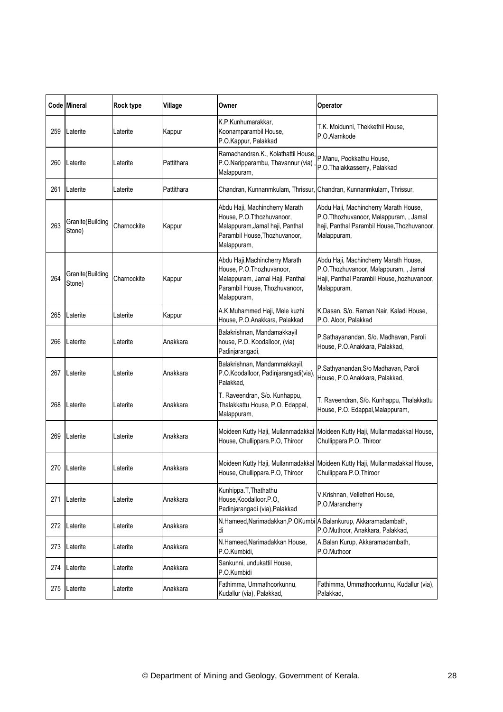|     | Code Mineral               | Rock type   | Village    | Owner                                                                                                                                          | Operator                                                                                                                                      |
|-----|----------------------------|-------------|------------|------------------------------------------------------------------------------------------------------------------------------------------------|-----------------------------------------------------------------------------------------------------------------------------------------------|
| 259 | Laterite                   | Laterite    | Kappur     | K.P.Kunhumarakkar,<br>Koonamparambil House,<br>P.O.Kappur, Palakkad                                                                            | T.K. Moidunni, Thekkethil House,<br>P.O.Alamkode                                                                                              |
| 260 | Laterite                   | Laterite    | Pattithara | Ramachandran.K., Kolathattil House<br>P.O.Naripparambu, Thavannur (via)<br>Malappuram,                                                         | P.Manu, Pookkathu House,<br>P.O.Thalakkasserry, Palakkad                                                                                      |
| 261 | Laterite                   | Laterite    | Pattithara |                                                                                                                                                | Chandran, Kunnanmkulam, Thrissur, Chandran, Kunnanmkulam, Thrissur,                                                                           |
| 263 | Granite(Building<br>Stone) | Charnockite | Kappur     | Abdu Haji, Machincherry Marath<br>House, P.O.Tthozhuvanoor,<br>Malappuram, Jamal haji, Panthal<br>Parambil House, Thozhuvanoor,<br>Malappuram, | Abdu Haji, Machincherry Marath House,<br>P.O.Tthozhuvanoor, Malappuram, , Jamal<br>haji, Panthal Parambil House, Thozhuvanoor,<br>Malappuram, |
| 264 | Granite(Building<br>Stone) | Charnockite | Kappur     | Abdu Haji, Machincherry Marath<br>House, P.O.Thozhuvanoor,<br>Malappuram, Jamal Haji, Panthal<br>Parambil House, Thozhuvanoor,<br>Malappuram,  | Abdu Haji, Machincherry Marath House,<br>P.O.Thozhuvanoor, Malappuram, , Jamal<br>Haji, Panthal Parambil House,, hozhuvanoor,<br>Malappuram,  |
| 265 | Laterite                   | Laterite    | Kappur     | A.K.Muhammed Haji, Mele kuzhi<br>House, P.O.Anakkara, Palakkad                                                                                 | K.Dasan, S/o. Raman Nair, Kaladi House,<br>P.O. Aloor, Palakkad                                                                               |
| 266 | Laterite                   | Laterite    | Anakkara   | Balakrishnan, Mandamakkayil<br>house, P.O. Koodalloor, (via)<br>Padinjarangadi,                                                                | P.Sathayanandan, S/o. Madhavan, Paroli<br>House, P.O.Anakkara, Palakkad,                                                                      |
| 267 | Laterite                   | Laterite    | Anakkara   | Balakrishnan, Mandammakkayil,<br>P.O.Koodalloor, Padinjarangadi(via)<br>Palakkad,                                                              | P.Sathyanandan, S/o Madhavan, Paroli<br>House, P.O.Anakkara, Palakkad,                                                                        |
| 268 | Laterite                   | Laterite    | Anakkara   | T. Raveendran, S/o. Kunhappu,<br>Thalakkattu House, P.O. Edappal,<br>Malappuram,                                                               | T. Raveendran, S/o. Kunhappu, Thalakkattu<br>House, P.O. Edappal, Malappuram,                                                                 |
| 269 | Laterite                   | Laterite    | Anakkara   | Moideen Kutty Haji, Mullanmadakkal<br>House, Chullippara.P.O, Thiroor                                                                          | Moideen Kutty Haji, Mullanmadakkal House,<br>Chullippara.P.O, Thiroor                                                                         |
|     | 270 Laterite               | Laterite    | Anakkara   | House, Chullippara.P.O, Thiroor                                                                                                                | Moideen Kutty Haji, Mullanmadakkal Moideen Kutty Haji, Mullanmadakkal House,<br>Chullippara.P.O.Thiroor                                       |
| 271 | Laterite                   | Laterite    | Anakkara   | Kunhippa.T, Thathathu<br>House, Koodalloor.P.O,<br>Padinjarangadi (via), Palakkad                                                              | V.Krishnan, Velletheri House,<br>P.O.Marancherry                                                                                              |
| 272 | Laterite                   | Laterite    | Anakkara   | N.Hameed,Narimadakkan,P.OKumbi A.Balankurup, Akkaramadambath,<br>di                                                                            | P.O.Muthoor, Anakkara, Palakkad,                                                                                                              |
| 273 | Laterite                   | Laterite    | Anakkara   | N.Hameed, Narimadakkan House,<br>P.O.Kumbidi,                                                                                                  | A.Balan Kurup, Akkaramadambath,<br>P.O.Muthoor                                                                                                |
| 274 | Laterite                   | Laterite    | Anakkara   | Sankunni, undukattil House,<br>P.O.Kumbidi                                                                                                     |                                                                                                                                               |
| 275 | Laterite                   | Laterite    | Anakkara   | Fathimma, Ummathoorkunnu,<br>Kudallur (via), Palakkad,                                                                                         | Fathimma, Ummathoorkunnu, Kudallur (via),<br>Palakkad,                                                                                        |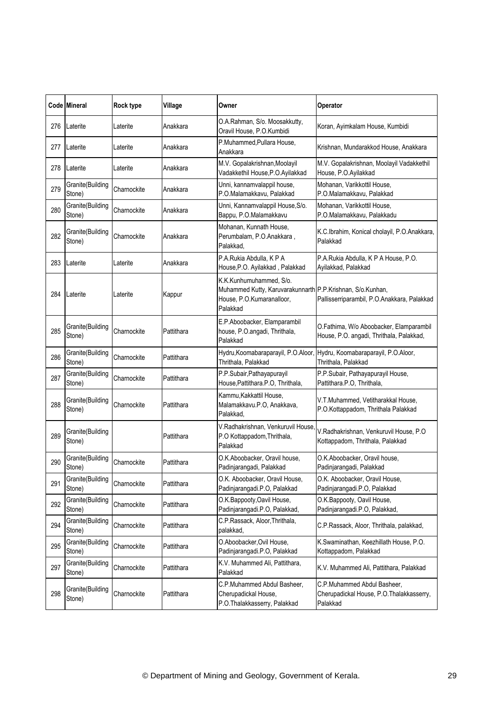|     | <b>Code Mineral</b>         | Rock type   | Village    | Owner                                                                                                                          | Operator                                                                            |
|-----|-----------------------------|-------------|------------|--------------------------------------------------------------------------------------------------------------------------------|-------------------------------------------------------------------------------------|
| 276 | Laterite                    | Laterite    | Anakkara   | O.A.Rahman, S/o. Moosakkutty,<br>Oravil House, P.O.Kumbidi                                                                     | Koran, Ayimkalam House, Kumbidi                                                     |
| 277 | Laterite                    | Laterite    | Anakkara   | P.Muhammed, Pullara House,<br>Anakkara                                                                                         | Krishnan, Mundarakkod House, Anakkara                                               |
| 278 | Laterite                    | Laterite    | Anakkara   | M.V. Gopalakrishnan, Moolayil<br>Vadakkethil House, P.O. Ayilakkad                                                             | M.V. Gopalakrishnan, Moolayil Vadakkethil<br>House, P.O.Ayilakkad                   |
| 279 | Granite(Building<br>Stone)  | Charnockite | Anakkara   | Unni, kannamvalappil house,<br>P.O.Malamakkavu, Palakkad                                                                       | Mohanan, Varikkottil House,<br>P.O.Malamakkavu, Palakkad                            |
| 280 | Granite(Building<br>Stone)  | Charnockite | Anakkara   | Unni, Kannamvalappil House, S/o.<br>Bappu, P.O.Malamakkavu                                                                     | Mohanan, Varikkottil House,<br>P.O.Malamakkavu, Palakkadu                           |
| 282 | Granite(Building<br>Stone)  | Charnockite | Anakkara   | Mohanan, Kunnath House,<br>Perumbalam, P.O.Anakkara,<br>Palakkad,                                                              | K.C.Ibrahim, Konical cholayil, P.O.Anakkara,<br>Palakkad                            |
| 283 | Laterite                    | Laterite    | Anakkara   | P.A.Rukia Abdulla, KPA<br>House, P.O. Ayilakkad, Palakkad                                                                      | P.A.Rukia Abdulla, K P A House, P.O.<br>Ayilakkad, Palakkad                         |
| 284 | Laterite                    | Laterite    | Kappur     | K.K.Kunhumuhammed. S/o.<br>Muhammed Kutty, Karuvarakunnarth P.P.Krishnan, S/o.Kunhan,<br>House, P.O.Kumaranalloor,<br>Palakkad | Pallisserriparambil, P.O.Anakkara, Palakkad                                         |
| 285 | Granite (Building<br>Stone) | Charnockite | Pattithara | E.P.Aboobacker, Elamparambil<br>house, P.O.angadi, Thrithala,<br>Palakkad                                                      | O.Fathima, W/o Aboobacker, Elamparambil<br>House, P.O. angadi, Thrithala, Palakkad, |
| 286 | Granite(Building<br>Stone)  | Charnockite | Pattithara | Hydru, Koomabaraparayil, P.O.Aloor,<br>Thrithala, Palakkad                                                                     | Hydru, Koomabaraparayil, P.O.Aloor,<br>Thrithala, Palakkad                          |
| 287 | Granite(Building<br>Stone)  | Charnockite | Pattithara | P.P.Subair, Pathayapurayil<br>House, Pattithara. P.O, Thrithala,                                                               | P.P.Subair, Pathayapurayil House,<br>Pattithara.P.O, Thrithala,                     |
| 288 | Granite(Building<br>Stone)  | Charnockite | Pattithara | Kammu, Kakkattil House,<br>Malamakkavu.P.O, Anakkava,<br>Palakkad,                                                             | V.T.Muhammed, Vetitharakkal House,<br>P.O.Kottappadom, Thrithala Palakkad           |
| 289 | Granite(Building<br>Stone)  |             | Pattithara | V.Radhakrishnan, Venkuruvil House<br>P.O Kottappadom, Thrithala,<br>Palakkad                                                   | V.Radhakrishnan, Venkuruvil House, P.O<br>Kottappadom, Thrithala, Palakkad          |
| 290 | Granite(Building<br>Stone)  | Charnockite | Pattithara | O.K.Aboobacker, Oravil house,<br>Padinjarangadi, Palakkad                                                                      | O.K.Aboobacker, Oravil house,<br>Padinjarangadi, Palakkad                           |
| 291 | Granite(Building<br>Stone)  | Charnockite | Pattithara | O.K. Aboobacker, Oravil House,<br>Padinjarangadi.P.O, Palakkad                                                                 | O.K. Aboobacker, Oravil House,<br>Padinjarangadi.P.O, Palakkad                      |
| 292 | Granite(Building<br>Stone)  | Charnockite | Pattithara | O.K.Bappooty, Oavil House,<br>Padinjarangadi.P.O, Palakkad,                                                                    | O.K.Bappooty, Oavil House,<br>Padinjarangadi.P.O, Palakkad,                         |
| 294 | Granite(Building<br>Stone)  | Charnockite | Pattithara | C.P.Rassack, Aloor, Thrithala,<br>palakkad,                                                                                    | C.P.Rassack, Aloor, Thrithala, palakkad,                                            |
| 295 | Granite(Building<br>Stone)  | Charnockite | Pattithara | O.Aboobacker, Ovil House,<br>Padinjarangadi.P.O, Palakkad                                                                      | K.Swaminathan, Keezhillath House, P.O.<br>Kottappadom, Palakkad                     |
| 297 | Granite(Building<br>Stone)  | Charnockite | Pattithara | K.V. Muhammed Ali, Pattithara,<br>Palakkad                                                                                     | K.V. Muhammed Ali, Pattithara, Palakkad                                             |
| 298 | Granite(Building<br>Stone)  | Charnockite | Pattithara | C.P.Muhammed Abdul Basheer,<br>Cherupadickal House,<br>P.O.Thalakkasserry, Palakkad                                            | C.P.Muhammed Abdul Basheer,<br>Cherupadickal House, P.O.Thalakkasserry,<br>Palakkad |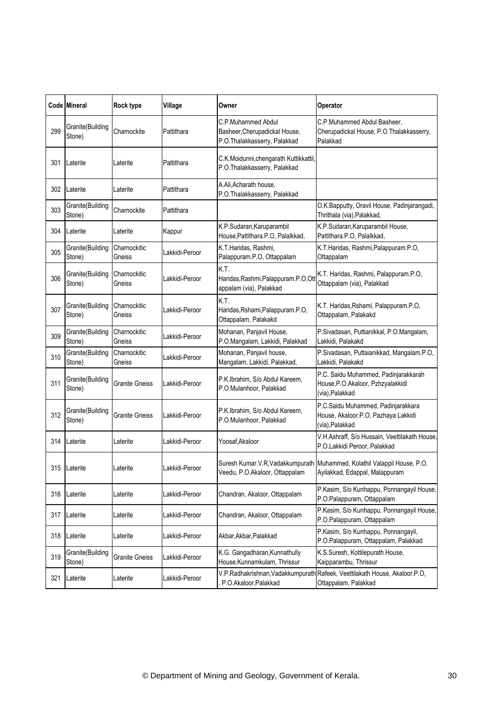|     | Code Mineral               | Rock type              | Village        | Owner                                                                               | Operator                                                                                                   |
|-----|----------------------------|------------------------|----------------|-------------------------------------------------------------------------------------|------------------------------------------------------------------------------------------------------------|
| 299 | Granite(Building<br>Stone) | Charnockite            | Pattithara     | C.P.Muhammed Abdul<br>Basheer, Cherupadickal House,<br>P.O.Thalakkasserry, Palakkad | C.P.Muhammed Abdul Basheer.<br>Cherupadickal House, P.O.Thalakkasserry,<br>Palakkad                        |
| 301 | Laterite                   | Laterite               | Pattithara     | C.K.Moidunni,chengarath Kuttikkattil,<br>P.O.Thalakkasserry, Palakkad               |                                                                                                            |
| 302 | Laterite                   | Laterite               | Pattithara     | A.Ali, Acharath house,<br>P.O.Thalakkasserry, Palakkad                              |                                                                                                            |
| 303 | Granite(Building<br>Stone) | Charnockite            | Pattithara     |                                                                                     | O.K.Bapputty, Oravil House, Padinjarangadi,<br>Thrithala (via), Palakkad,                                  |
| 304 | Laterite                   | Laterite               | Kappur         | K.P.Sudaran, Karuparambil<br>House, Pattithara.P.O, Palalkkad,                      | K.P.Sudaran, Karuparambil House,<br>Pattithara.P.O, Palalkkad,                                             |
| 305 | Granite(Building<br>Stone) | Charnockitic<br>Gneiss | Lakkidi-Peroor | K.T.Haridas, Rashmi,<br>Palappuram.P.O, Ottappalam                                  | K.T.Haridas, Rashmi, Palappuram.P.O,<br>Ottappalam                                                         |
| 306 | Granite(Building<br>Stone) | Charnockitic<br>Gneiss | Lakkidi-Peroor | K.T.<br>Haridas, Rashmi, Palappuram.P.O, Ot<br>appalam (via), Palakkad              | K.T. Haridas, Rashmi, Palappuram.P.O,<br>Ottappalam (via), Palakkad                                        |
| 307 | Granite(Building<br>Stone) | Charnockitic<br>Gneiss | Lakkidi-Peroor | K.T.<br>Haridas, Rshami, Palappuram. P.O,<br>Ottappalam, Palakakd                   | K.T. Haridas, Rshami, Palappuram.P.O,<br>Ottappalam, Palakakd                                              |
| 309 | Granite(Building<br>Stone) | Charnockitic<br>Gneiss | Lakkidi-Peroor | Mohanan, Panjavil House,<br>P.O.Mangalam, Lakkidi, Palakkad                         | P.Sivadasan, Puttianikkal, P.O.Mangalam,<br>Lakkidi, Palakakd                                              |
| 310 | Granite(Building<br>Stone) | Charnockitic<br>Gneiss | Lakkidi-Peroor | Mohanan, Panjavil house,<br>Mangalam, Lakkidi, Palakkad,                            | P.Sivadasan, Puttaianikkad, Mangalam.P.O,<br>Lakkidi, Palakakd                                             |
| 311 | Granite(Building<br>Stone) | <b>Granite Gneiss</b>  | Lakkidi-Peroor | P.K.Ibrahim, S/o Abdul Kareem,<br>P.O.Mulanhoor, Palakkad                           | P.C. Saidu Muhammed, Padinjarakkarah<br>House, P.O. Akaloor, Pzhzyalakkidi<br>(via), Palakkad              |
| 312 | Granite(Building<br>Stone) | Granite Gneiss         | Lakkidi-Peroor | P.K.Ibrahim, S/o Abdul Kareem,<br>P.O.Mulanhoor, Palakkad                           | P.C.Saidu Muhammed, Padinjarakkara<br>House, Akaloor.P.O, Pazhaya Lakkidi<br>(via), Palakkad               |
| 314 | Laterite                   | Laterite               | Lakkidi-Peroor | Yoosaf, Akaloor                                                                     | V.H.Ashraff, S/o Hussain, Veettilakath House,<br>P.O.Lakkidi Peroor, Palakkad                              |
|     | 315 Laterite               | Laterite               | Lakkidi-Peroor | Veedu, P.O.Akaloor, Ottappalam                                                      | Suresh Kumar.V.R, Vadakkumpurath Muhammed, Kolathil Valappil House, P.O.<br>Ayilakkad, Edappal, Malappuram |
| 316 | Laterite                   | Laterite               | Lakkidi-Peroor | Chandran, Akaloor, Ottappalam                                                       | P.Kasim, S/o Kunhappu, Ponnangayil House,<br>P.O.Palappuram, Ottappalam                                    |
| 317 | Laterite                   | Laterite               | Lakkidi-Peroor | Chandran, Akaloor, Ottappalam                                                       | P.Kasim, S/o Kunhappu, Ponnangayil House,<br>P.O.Palappuram, Ottappalam                                    |
| 318 | Laterite                   | Laterite               | Lakkidi-Peroor | Akbar, Akbar, Palakkad                                                              | P.Kasim, S/o Kunhappu, Ponnangayil,<br>P.O.Palappuram, Ottappalam, Palakkad                                |
| 319 | Granite(Building<br>Stone) | Granite Gneiss         | Lakkidi-Peroor | K.G. Gangadharan, Kunnathully<br>House, Kunnamkulam, Thrissur                       | K.S.Suresh, Kottilepurath House,<br>Kaipparambu, Thrissur                                                  |
| 321 | Laterite                   | Laterite               | Lakkidi-Peroor | P.O.Akaloor,Palakkad                                                                | V.P.Radhakrishnan, Vadakkumpurath Rafeek, Veettilakath House, Akaloor.P.O,<br>Ottappalam, Palakkad         |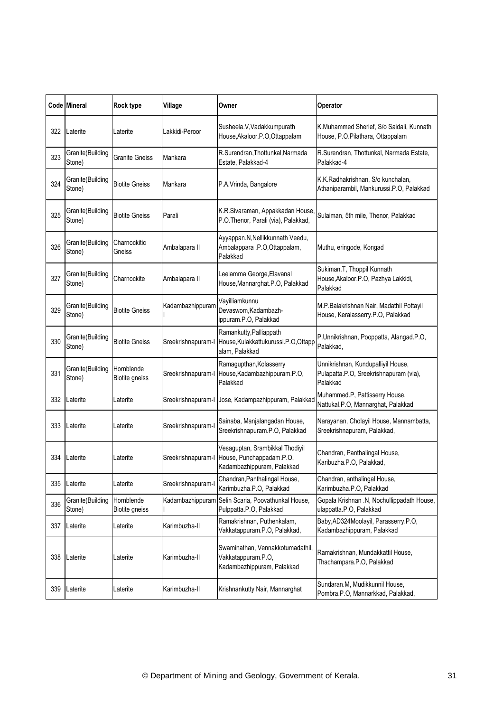|     | <b>Code Mineral</b>        | Rock type                           | Village            | Owner                                                                                     | Operator                                                                                 |
|-----|----------------------------|-------------------------------------|--------------------|-------------------------------------------------------------------------------------------|------------------------------------------------------------------------------------------|
| 322 | Laterite                   | Laterite                            | Lakkidi-Peroor     | Susheela.V, Vadakkumpurath<br>House, Akaloor.P.O, Ottappalam                              | K.Muhammed Sherief, S/o Saidali, Kunnath<br>House, P.O.Pilathara, Ottappalam             |
| 323 | Granite(Building<br>Stone) | <b>Granite Gneiss</b>               | Mankara            | R.Surendran, Thottunkal, Narmada<br>Estate, Palakkad-4                                    | R.Surendran, Thottunkal, Narmada Estate,<br>Palakkad-4                                   |
| 324 | Granite(Building<br>Stone) | <b>Biotite Gneiss</b>               | Mankara            | P.A.Vrinda, Bangalore                                                                     | K.K.Radhakrishnan, S/o kunchalan,<br>Athaniparambil, Mankurussi.P.O, Palakkad            |
| 325 | Granite(Building<br>Stone) | <b>Biotite Gneiss</b>               | Parali             | K.R.Sivaraman, Appakkadan House<br>P.O.Thenor, Parali (via), Palakkad,                    | Sulaiman, 5th mile, Thenor, Palakkad                                                     |
| 326 | Granite(Building<br>Stone) | Charnockitic<br>Gneiss              | Ambalapara II      | Ayyappan.N, Nellikkunnath Veedu,<br>Ambalappara .P.O,Ottappalam,<br>Palakkad              | Muthu, eringode, Kongad                                                                  |
| 327 | Granite(Building<br>Stone) | Charnockite                         | Ambalapara II      | Leelamma George, Elavanal<br>House, Mannarghat.P.O, Palakkad                              | Sukiman.T, Thoppil Kunnath<br>House, Akaloor.P.O, Pazhya Lakkidi,<br>Palakkad            |
| 329 | Granite(Building<br>Stone) | <b>Biotite Gneiss</b>               | Kadambazhippuram   | Vayilliamkunnu<br>Devaswom, Kadambazh-<br>ippuram.P.O, Palakkad                           | M.P.Balakrishnan Nair, Madathil Pottayil<br>House, Keralasserry.P.O, Palakkad            |
| 330 | Granite(Building<br>Stone) | <b>Biotite Gneiss</b>               | Sreekrishnapuram-l | Ramankutty, Palliappath<br>House, Kulakkattukurussi.P.O, Ottapp<br>alam, Palakkad         | P.Unnikrishnan, Pooppatta, Alangad.P.O,<br>Palakkad,                                     |
| 331 | Granite(Building<br>Stone) | Hornblende<br>Biotite gneiss        | Sreekrishnapuram-l | Ramagupthan, Kolasserry<br>House, Kadambazhippuram.P.O,<br>Palakkad                       | Unnikrishnan, Kundupalliyil House,<br>Pulapatta.P.O, Sreekrishnapuram (via),<br>Palakkad |
| 332 | Laterite                   | Laterite                            |                    | Sreekrishnapuram-I Jose, Kadampazhippuram, Palakkad                                       | Muhammed.P, Pattisserry House,<br>Nattukal.P.O, Mannarghat, Palakkad                     |
| 333 | Laterite                   | Laterite                            | Sreekrishnapuram-l | Sainaba, Manjalangadan House,<br>Sreekrishnapuram.P.O, Palakkad                           | Narayanan, Cholayil House, Mannambatta,<br>Sreekrishnapuram, Palakkad,                   |
| 334 | Laterite                   | Laterite                            | Sreekrishnapuram-l | Vesaguptan, Srambikkal Thodiyil<br>House, Punchappadam.P.O,<br>Kadambazhippuram, Palakkad | Chandran, Panthalingal House,<br>Karibuzha.P.O, Palakkad,                                |
| 335 | Laterite                   | Laterite                            | Sreekrishnapuram-l | Chandran, Panthalingal House,<br>Karimbuzha.P.O, Palakkad                                 | Chandran, anthalingal House,<br>Karimbuzha.P.O, Palakkad                                 |
| 336 | Granite(Building<br>Stone) | Hornblende<br><b>Biotite gneiss</b> |                    | Kadambazhippuram Selin Scaria, Poovathunkal House,<br>Pulppatta.P.O, Palakkad             | Gopala Krishnan .N, Nochullippadath House,<br>ulappatta.P.O, Palakkad                    |
| 337 | Laterite                   | Laterite                            | Karimbuzha-II      | Ramakrishnan, Puthenkalam,<br>Vakkatappuram.P.O, Palakkad,                                | Baby, AD324Moolayil, Parasserry.P.O,<br>Kadambazhippuram, Palakkad                       |
| 338 | Laterite                   | Laterite                            | Karimbuzha-II      | Swaminathan, Vennakkotumadathil,<br>Vakkatappuram.P.O,<br>Kadambazhippuram, Palakkad      | Ramakrishnan, Mundakkattil House,<br>Thachampara.P.O, Palakkad                           |
| 339 | Laterite                   | Laterite                            | Karimbuzha-II      | Krishnankutty Nair, Mannarghat                                                            | Sundaran.M, Mudikkunnil House,<br>Pombra.P.O, Mannarkkad, Palakkad,                      |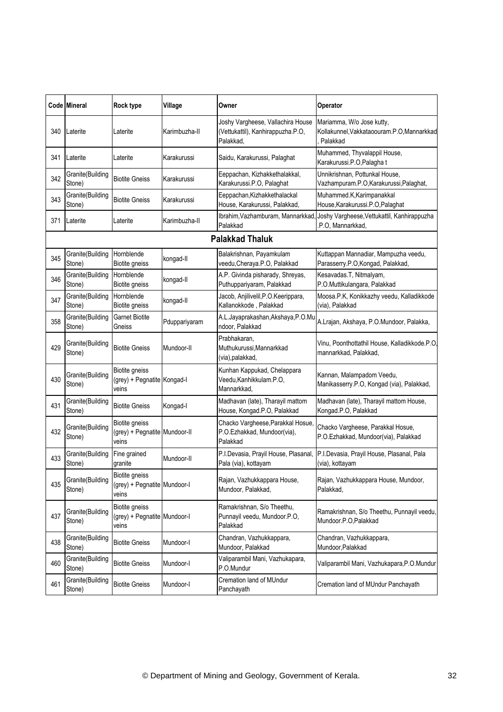|     | Code Mineral               | <b>Rock type</b>                                               | Village       | Owner                                                                               | Operator                                                                                           |
|-----|----------------------------|----------------------------------------------------------------|---------------|-------------------------------------------------------------------------------------|----------------------------------------------------------------------------------------------------|
| 340 | Laterite                   | Laterite                                                       | Karimbuzha-II | Joshy Vargheese, Vallachira House<br>(Vettukattil), Kanhirappuzha.P.O,<br>Palakkad, | Mariamma, W/o Jose kutty,<br>Kollakunnel, Vakkataoouram.P.O, Mannarkkad<br>Palakkad                |
| 341 | Laterite                   | Laterite                                                       | Karakurussi   | Saidu, Karakurussi, Palaghat                                                        | Muhammed, Thyvalappil House,<br>Karakurussi.P.O, Palagha t                                         |
| 342 | Granite(Building<br>Stone) | <b>Biotite Gneiss</b>                                          | Karakurussi   | Eeppachan, Kizhakkethalakkal,<br>Karakurussi.P.O, Palaghat                          | Unnikrishnan, Pottunkal House,<br>Vazhampuram.P.O,Karakurussi,Palaghat,                            |
| 343 | Granite(Building<br>Stone) | <b>Biotite Gneiss</b>                                          | Karakurussi   | Eeppachan, Kizhakkethalackal<br>House, Karakurussi, Palakkad,                       | Muhammed.K, Karimpanakkal<br>House, Karakurussi.P.O, Palaghat                                      |
| 371 | Laterite                   | Laterite                                                       | Karimbuzha-II | Palakkad                                                                            | Ibrahim, Vazhamburam, Mannarkkad, Joshy Vargheese, Vettukattil, Kanhirappuzha<br>.P.O, Mannarkkad, |
|     |                            |                                                                |               | <b>Palakkad Thaluk</b>                                                              |                                                                                                    |
| 345 | Granite(Building<br>Stone) | Hornblende<br><b>Biotite gneiss</b>                            | kongad-II     | Balakrishnan, Payamkulam<br>veedu, Cheraya.P.O, Palakkad                            | Kuttappan Mannadiar, Mampuzha veedu,<br>Parasserry.P.O,Kongad, Palakkad,                           |
| 346 | Granite(Building<br>Stone) | Hornblende<br>Biotite gneiss                                   | kongad-II     | A.P. Givinda pisharady, Shreyas,<br>Puthuppariyaram, Palakkad                       | Kesavadas.T, Nitmalyam,<br>P.O.Muttikulangara, Palakkad                                            |
| 347 | Granite(Building<br>Stone) | Hornblende<br>Biotite gneiss                                   | kongad-II     | Jacob, Anjilivelil, P.O. Keerippara,<br>Kallanokkode, Palakkad                      | Moosa.P.K, Konikkazhy veedu, Kalladikkode<br>(via), Palakkad                                       |
| 358 | Granite(Building<br>Stone) | <b>Garnet Biotite</b><br>Gneiss                                | Pduppariyaram | A.L.Jayaprakashan, Akshaya, P.O.Mu<br>ndoor, Palakkad                               | A.Lrajan, Akshaya, P.O.Mundoor, Palakka,                                                           |
| 429 | Granite(Building<br>Stone) | <b>Biotite Gneiss</b>                                          | Mundoor-II    | Prabhakaran,<br>Muthukurussi, Mannarkkad<br>(via), palakkad,                        | Vinu, Poonthottathil House, Kalladikkode.P.O<br>mannarkkad, Palakkad,                              |
| 430 | Granite(Building<br>Stone) | Biotite gneiss<br>(grey) + Pegnatite Kongad-I<br>veins         |               | Kunhan Kappukad, Chelappara<br>Veedu, Kanhikkulam.P.O,<br>Mannarkkad,               | Kannan, Malampadom Veedu,<br>Manikasserry.P.O, Kongad (via), Palakkad,                             |
| 431 | Granite(Building<br>Stone) | <b>Biotite Gneiss</b>                                          | Kongad-I      | Madhavan (late), Tharayil mattom<br>House, Kongad.P.O, Palakkad                     | Madhavan (late), Tharayil mattom House,<br>Kongad.P.O, Palakkad                                    |
| 432 | Granite(Building<br>Stone) | Biotite gneiss<br>(grey) + Pegnatite Mundoor-II<br>veins       |               | Chacko Vargheese, Parakkal Hosue,<br>P.O.Ezhakkad, Mundoor(via),<br>Palakkad        | Chacko Vargheese, Parakkal Hosue,<br>P.O.Ezhakkad, Mundoor(via), Palakkad                          |
| 433 | Granite(Building<br>Stone) | Fine grained<br>granite                                        | Mundoor-II    | P.I.Devasia, Prayil House, Plasanal,<br>Pala (via), kottayam                        | P.I.Devasia, Prayil House, Plasanal, Pala<br>(via), kottayam                                       |
| 435 | Granite(Building<br>Stone) | <b>Biotite gneiss</b><br>(grey) + Pegnatite Mundoor-I<br>veins |               | Rajan, Vazhukkappara House,<br>Mundoor, Palakkad,                                   | Rajan, Vazhukkappara House, Mundoor,<br>Palakkad,                                                  |
| 437 | Granite(Building<br>Stone) | Biotite gneiss<br>(grey) + Pegnatite Mundoor-I<br>veins        |               | Ramakrishnan, S/o Theethu,<br>Punnayil veedu, Mundoor.P.O,<br>Palakkad              | Ramakrishnan, S/o Theethu, Punnayil veedu,<br>Mundoor.P.O,Palakkad                                 |
| 438 | Granite(Building<br>Stone) | <b>Biotite Gneiss</b>                                          | Mundoor-I     | Chandran, Vazhukkappara,<br>Mundoor, Palakkad                                       | Chandran, Vazhukkappara,<br>Mundoor, Palakkad                                                      |
| 460 | Granite(Building<br>Stone) | <b>Biotite Gneiss</b>                                          | Mundoor-I     | Valiparambil Mani, Vazhukapara,<br>P.O.Mundur                                       | Valiparambil Mani, Vazhukapara, P.O. Mundur                                                        |
| 461 | Granite(Building<br>Stone) | <b>Biotite Gneiss</b>                                          | Mundoor-I     | Cremation land of MUndur<br>Panchayath                                              | Cremation land of MUndur Panchayath                                                                |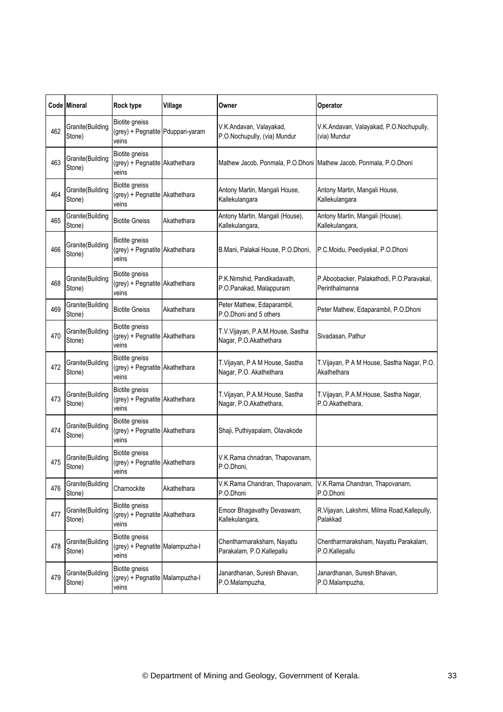|     | Code Mineral               | Rock type                                                        | Village     | Owner                                                      | Operator                                                          |
|-----|----------------------------|------------------------------------------------------------------|-------------|------------------------------------------------------------|-------------------------------------------------------------------|
| 462 | Granite(Building<br>Stone) | Biotite gneiss<br>(grey) + Pegnatite Pduppari-yaram<br>veins     |             | V.K.Andavan, Valayakad,<br>P.O.Nochupully, (via) Mundur    | V.K.Andavan, Valayakad, P.O.Nochupully,<br>(via) Mundur           |
| 463 | Granite(Building<br>Stone) | Biotite gneiss<br>(grey) + Pegnatite Akathethara<br>veins        |             |                                                            | Mathew Jacob, Ponmala, P.O.Dhoni Mathew Jacob, Ponmala, P.O.Dhoni |
| 464 | Granite(Building<br>Stone) | Biotite gneiss<br>(grey) + Pegnatite Akathethara<br>veins        |             | Antony Martin, Mangali House,<br>Kallekulangara            | Antony Martin, Mangali House,<br>Kallekulangara                   |
| 465 | Granite(Building<br>Stone) | <b>Biotite Gneiss</b>                                            | Akathethara | Antony Martin, Mangali (House),<br>Kallekulangara,         | Antony Martin, Mangali (House),<br>Kallekulangara,                |
| 466 | Granite(Building<br>Stone) | Biotite gneiss<br>(grey) + Pegnatite Akathethara<br>veins        |             | B.Mani, Palakal House, P.O.Dhoni,                          | P.C.Moidu, Peediyekal, P.O.Dhoni                                  |
| 468 | Granite(Building<br>Stone) | Biotite gneiss<br>(grey) + Pegnatite Akathethara<br>veins        |             | P.K.Nimshid, Pandikadavath,<br>P.O.Panakad, Malappuram     | P.Aboobacker, Palakathodi, P.O.Paravakal,<br>Perinthalmanna       |
| 469 | Granite(Building<br>Stone) | <b>Biotite Gneiss</b>                                            | Akathethara | Peter Mathew, Edaparambil,<br>P.O.Dhoni and 5 others       | Peter Mathew, Edaparambil, P.O.Dhoni                              |
| 470 | Granite(Building<br>Stone) | Biotite gneiss<br>(grey) + Pegnatite Akathethara<br>veins        |             | T.V.Vijayan, P.A.M.House, Sastha<br>Nagar, P.O.Akathethara | Sivadasan, Pathur                                                 |
| 472 | Granite(Building<br>Stone) | <b>Biotite gneiss</b><br>(grey) + Pegnatite Akathethara<br>veins |             | T.Vijayan, P A M House, Sastha<br>Nagar, P.O. Akathethara  | T.Vijayan, P A M House, Sastha Nagar, P.O.<br>Akathethara         |
| 473 | Granite(Building<br>Stone) | Biotite gneiss<br>(grey) + Pegnatite Akathethara<br>veins        |             | T.Vijayan, P.A.M.House, Sastha<br>Nagar, P.O.Akathethara,  | T.Vijayan, P.A.M.House, Sastha Nagar,<br>P.O.Akathethara,         |
| 474 | Granite(Building<br>Stone) | Biotite gneiss<br>(grey) + Pegnatite Akathethara<br>veins        |             | Shaji, Puthiyapalam, Olavakode                             |                                                                   |
| 475 | Granite(Building<br>Stone) | Biotite gneiss<br>(grey) + Pegnatite Akathethara<br>veins        |             | V.K.Rama chnadran, Thapovanam,<br>P.O.Dhoni,               |                                                                   |
| 476 | Granite(Building<br>Stone) | Charnockite                                                      | Akathethara | V.K.Rama Chandran, Thapovanam,<br>P.O.Dhoni                | V.K.Rama Chandran, Thapovanam,<br>P.O.Dhoni                       |
| 477 | Granite(Building<br>Stone) | Biotite gneiss<br>(grey) + Pegnatite Akathethara<br>veins        |             | Emoor Bhagavathy Devaswam,<br>Kallekulangara,              | R.Vijayan, Lakshmi, Milma Road, Kallepully,<br>Palakkad           |
| 478 | Granite(Building<br>Stone) | Biotite gneiss<br>(grey) + Pegnatite Malampuzha-I<br>veins       |             | Chentharmaraksham, Nayattu<br>Parakalam, P.O.Kallepallu    | Chentharmaraksham, Nayattu Parakalam,<br>P.O.Kallepallu           |
| 479 | Granite(Building<br>Stone) | Biotite gneiss<br>(grey) + Pegnatite Malampuzha-I<br>veins       |             | Janardhanan, Suresh Bhavan,<br>P.O.Malampuzha,             | Janardhanan, Suresh Bhavan,<br>P.O.Malampuzha,                    |